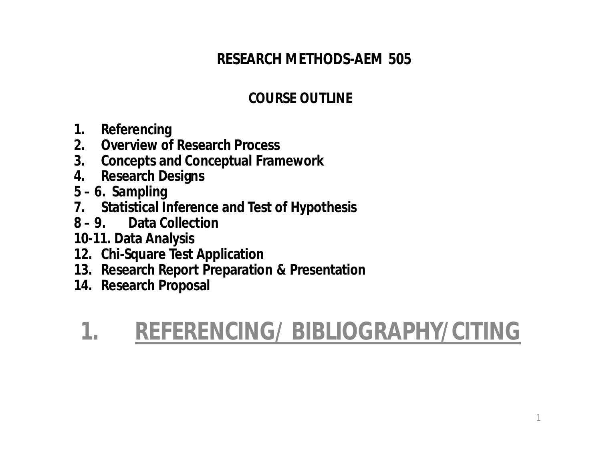#### **RESEARCH METHODS-AEM 505**

#### **COURSE OUTLINE**

- **1. Referencing**
- **2. Overview of Research Process**
- **3. Concepts and Conceptual Framework**
- **4. Research Designs**
- **5 – 6. Sampling**
- **7. Statistical Inference and Test of Hypothesis**
- **8 – 9. Data Collection**
- **10-11. Data Analysis**
- **12. Chi-Square Test Application**
- **13. Research Report Preparation & Presentation**
- **14. Research Proposal**

#### **1. REFERENCING/ BIBLIOGRAPHY/CITING**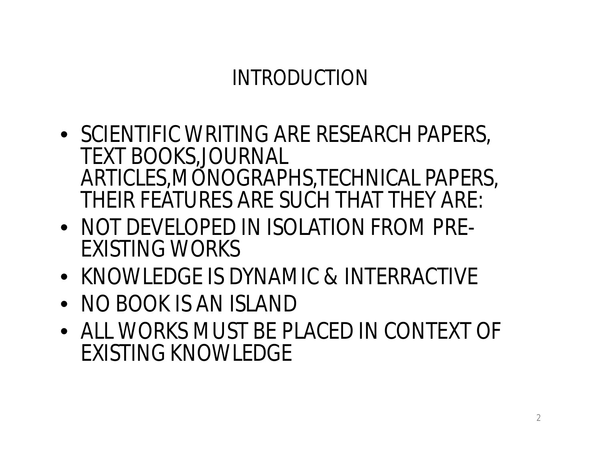#### INTRODUCTION

- SCIENTIFIC WRITING ARE RESEARCH PAPERS, TEXT BOOKS,JOURNAL ARTICLES,MONOGRAPHS,TECHNICAL PAPERS, THEIR FEATURES ARE SUCH THAT THEY ARE:
- NOT DEVELOPED IN ISOLATION FROM PRE-EXISTING WORKS
- KNOWLEDGE IS DYNAMIC & INTERRACTIVE
- NO BOOK IS AN ISLAND
- ALL WORKS MUST BE PLACED IN CONTEXT OF EXISTING KNOWLEDGE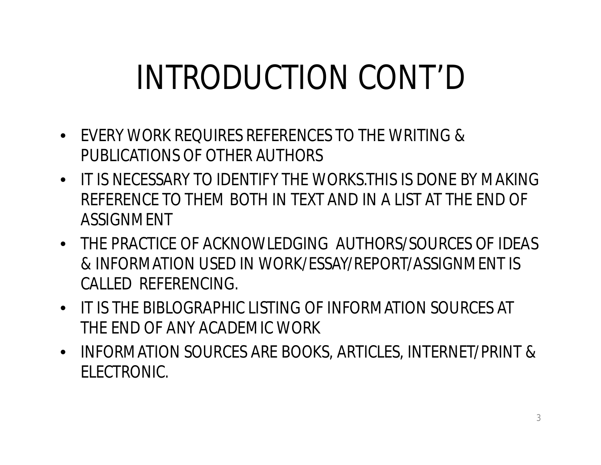# INTRODUCTION CONT'D

- EVERY WORK REQUIRES REFERENCES TO THE WRITING & PUBLICATIONS OF OTHER AUTHORS
- IT IS NECESSARY TO IDENTIFY THE WORKS.THIS IS DONE BY MAKING REFERENCE TO THEM BOTH IN TEXT AND IN A LIST AT THE END OF ASSIGNMENT
- THE PRACTICE OF ACKNOWLEDGING AUTHORS/SOURCES OF IDEAS & INFORMATION USED IN WORK/ESSAY/REPORT/ASSIGNMENT IS CALLED REFERENCING.
- IT IS THE BIBLOGRAPHIC LISTING OF INFORMATION SOURCES AT THE END OF ANY ACADEMIC WORK
- INFORMATION SOURCES ARE BOOKS, ARTICLES, INTERNET/PRINT & ELECTRONIC.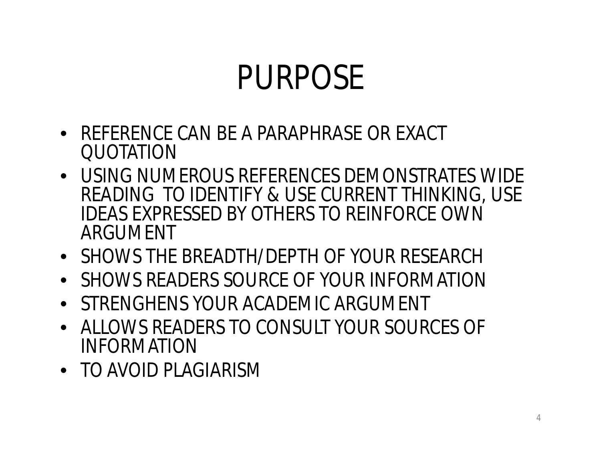# PURPOSE

- REFERENCE CAN BE A PARAPHRASE OR EXACT QUOTATION
- USING NUMEROUS REFERENCES DEMONSTRATES WIDE READING TO IDENTIFY & USE CURRENT THINKING, USE IDEAS EXPRESSED BY OTHERS TO REINFORCE OWN ARGUMENT
- SHOWS THE BREADTH/DEPTH OF YOUR RESEARCH
- SHOWS READERS SOURCE OF YOUR INFORMATION
- STRENGHENS YOUR ACADEMIC ARGUMENT
- ALLOWS READERS TO CONSULT YOUR SOURCES OF INFORMATION
- TO AVOID PLAGIARISM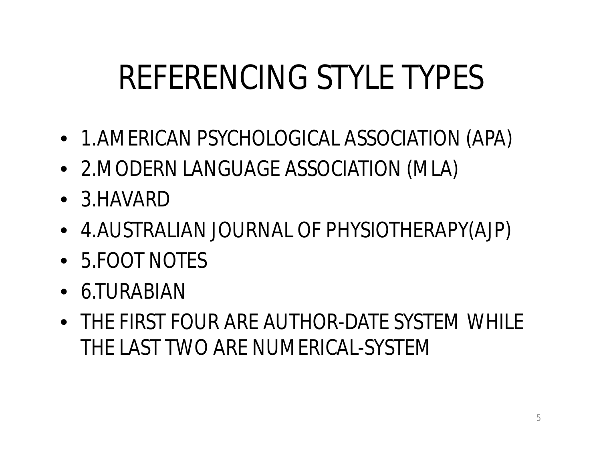# REFERENCING STYLE TYPES

- 1.AMERICAN PSYCHOLOGICAL ASSOCIATION (APA)
- 2.MODERN LANGUAGE ASSOCIATION (MLA)
- 3.HAVARD
- 4.AUSTRALIAN JOURNAL OF PHYSIOTHERAPY(AJP)
- 5.FOOT NOTES
- 6.TURABIAN
- THE FIRST FOUR ARE AUTHOR-DATE SYSTEM WHILE THE LAST TWO ARE NUMERICAL-SYSTEM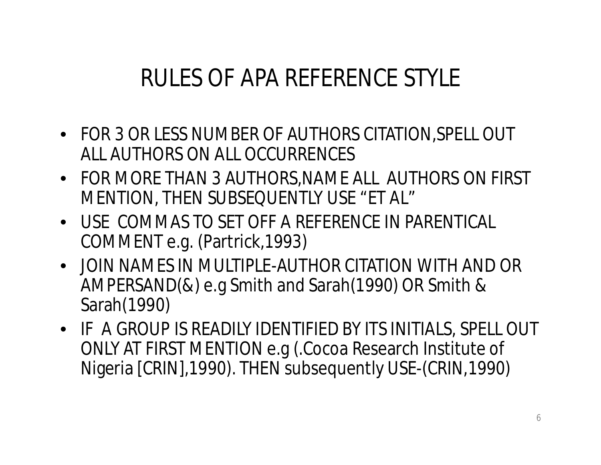#### RULES OF APA REFERENCE STYLE

- FOR 3 OR LESS NUMBER OF AUTHORS CITATION,SPELL OUT ALL AUTHORS ON ALL OCCURRENCES
- FOR MORE THAN 3 AUTHORS,NAME ALL AUTHORS ON FIRST MENTION, THEN SUBSEQUENTLY USE "*ET AL*"
- USE COMMAS TO SET OFF A REFERENCE IN PARENTICAL COMMENT e.g. (Partrick,1993)
- JOIN NAMES IN MULTIPLE-AUTHOR CITATION WITH AND OR AMPERSAND(&) e.g Smith and Sarah(1990) OR Smith & Sarah(1990)
- IF A GROUP IS READILY IDENTIFIED BY ITS INITIALS, SPELL OUT ONLY AT FIRST MENTION e.g (.Cocoa Research Institute of Nigeria [CRIN],1990). THEN subsequently USE-(CRIN,1990)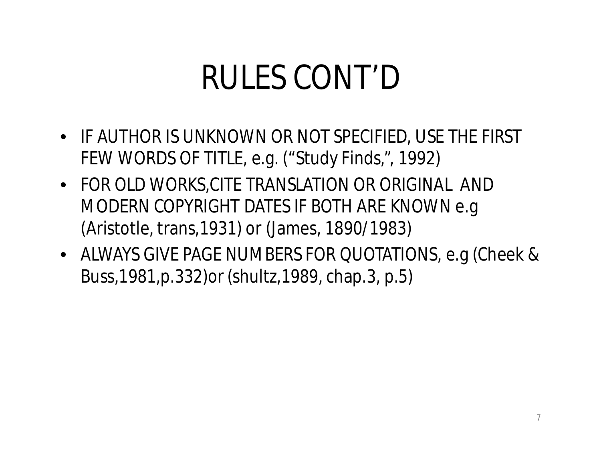# RULES CONT'D

- IF AUTHOR IS UNKNOWN OR NOT SPECIFIED, USE THE FIRST FEW WORDS OF TITLE, e.g. ("Study Finds,", 1992)
- FOR OLD WORKS,CITE TRANSLATION OR ORIGINAL AND MODERN COPYRIGHT DATES IF BOTH ARE KNOWN e.g (Aristotle, trans,1931) or (James, 1890/1983)
- ALWAYS GIVE PAGE NUMBERS FOR QUOTATIONS, e.g (Cheek & Buss,1981,p.332)or (shultz,1989, chap.3, p.5)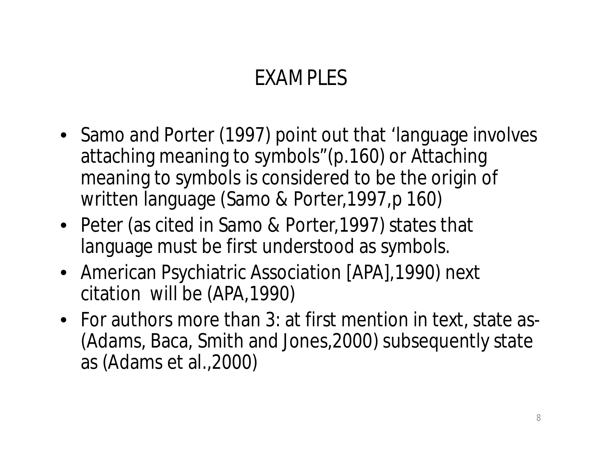#### EXAMPLES

- Samo and Porter (1997) point out that 'language involves attaching meaning to symbols"(p.160) or Attaching meaning to symbols is considered to be the origin of written language (Samo & Porter,1997,p 160)
- Peter (as cited in Samo & Porter,1997) states that language must be first understood as symbols.
- American Psychiatric Association [APA], 1990) next citation will be (APA,1990)
- For authors more than 3: at first mention in text, state as- (Adams, Baca, Smith and Jones,2000) subsequently state as (Adams et al.,2000)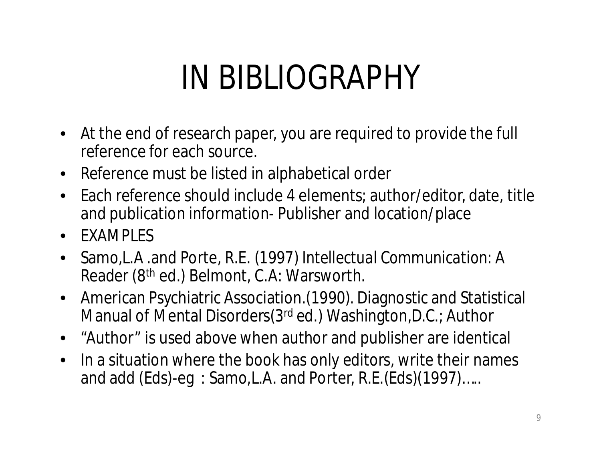# IN BIBLIOGRAPHY

- At the end of research paper, you are required to provide the full reference for each source.
- Reference must be listed in alphabetical order
- Each reference should include 4 elements; author/editor, date, title and publication information- Publisher and location/place
- **FXAMPLES**
- Samo,L.A .and Porte, R.E. (1997) *Intellectual Communication*: A Reader (8th ed.) Belmont, C.A: Warsworth.
- American Psychiatric Association.(1990). Diagnostic and Statistical Manual of Mental Disorders(3rd ed.) Washington,D.C.; Author
- "Author" is used above when author and publisher are identical
- In a situation where the book has only editors, write their names and add (Eds)-eg: Samo, L.A. and Porter, R.E.(Eds)(1997).....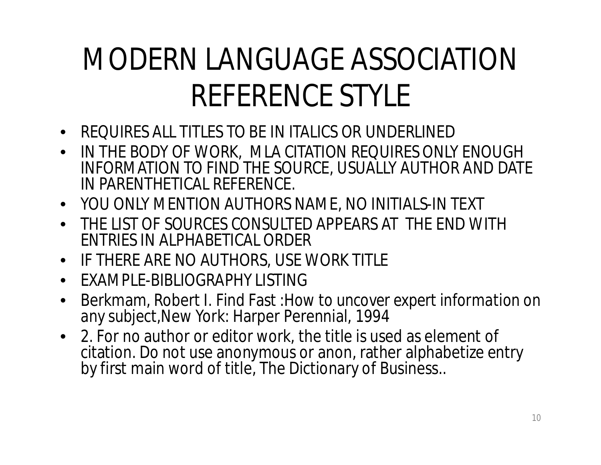### MODERN LANGUAGE ASSOCIATION REFERENCE STYLE

- REQUIRES ALL TITLES TO BE IN ITALICS OR UNDERLINED
- IN THE BODY OF WORK, MLA CITATION REQUIRES ONLY ENOUGH INFORMATION TO FIND THE SOURCE, USUALLY AUTHOR AND DATE IN PARENTHETICAL REFERENCE.
- YOU ONLY MENTION AUTHORS NAME, NO INITIALS-IN TEXT
- THE LIST OF SOURCES CONSULTED APPEARS AT THE END WITH ENTRIES IN ALPHABETICAL ORDER
- IF THERE ARE NO AUTHORS, USE WORK TITLE
- EXAMPLE-BIBLIOGRAPHY LISTING
- Berkmam, Robert I. Find Fast :*How to uncover expert information on any subject,*New York: Harper Perennial, 1994
- *2.* For no author or editor work, the title is used as element of citation. Do not use anonymous or anon, rather alphabetize entry by first main word of title, The Dictionary of Business..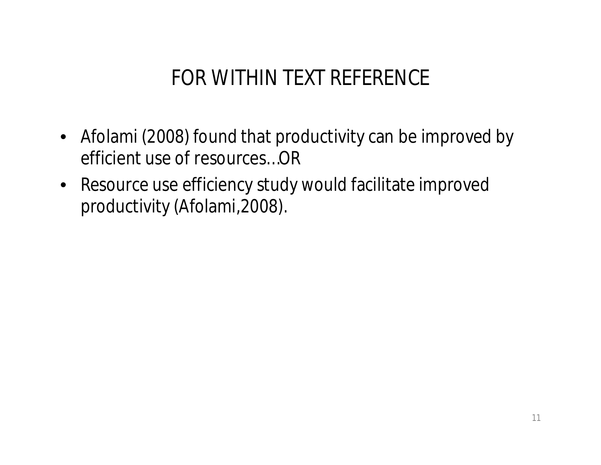#### FOR WITHIN TEXT REFERENCE

- Afolami (2008) found that productivity can be improved by efficient use of resources…OR
- Resource use efficiency study would facilitate improved productivity (Afolami,2008).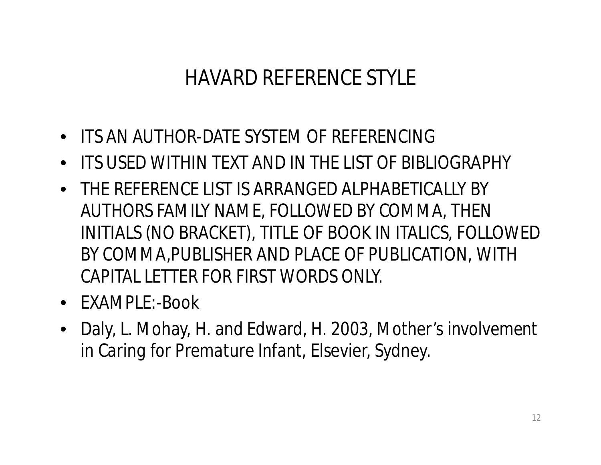#### HAVARD REFERENCE STYLE

- ITS AN AUTHOR-DATE SYSTEM OF REFERENCING
- ITS USED WITHIN TEXT AND IN THE LIST OF BIBLIOGRAPHY
- THE REFERENCE LIST IS ARRANGED ALPHABETICALLY BY AUTHORS FAMILY NAME, FOLLOWED BY COMMA, THEN INITIALS (NO BRACKET), TITLE OF BOOK IN ITALICS, FOLLOWED BY COMMA,PUBLISHER AND PLACE OF PUBLICATION, WITH CAPITAL LETTER FOR FIRST WORDS ONLY.
- EXAMPLE:-Book
- Daly, L. Mohay, H. and Edward, H. 2003, *Mother's involvement in Caring for Premature Infant,* Elsevier, Sydney.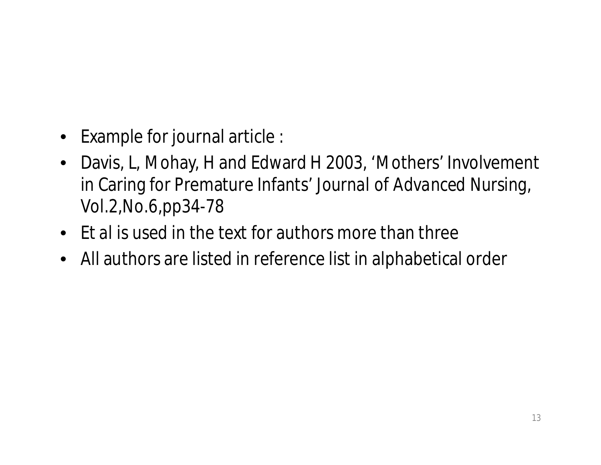- Example for journal article :
- Davis, L, Mohay, H and Edward H 2003, 'Mothers' Involvement in Caring for Premature Infants' *Journal of Advanced Nursing*, Vol.2,No.6,pp34-78
- *Et al* is used in the text for authors more than three
- All authors are listed in reference list in alphabetical order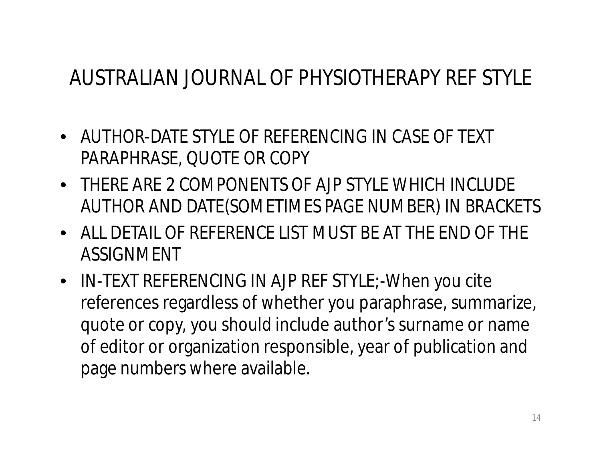#### AUSTRALIAN JOURNAL OF PHYSIOTHERAPY REF STYLE

- AUTHOR-DATE STYLE OF REFERENCING IN CASE OF TEXT PARAPHRASE, QUOTE OR COPY
- THERE ARE 2 COMPONENTS OF AJP STYLE WHICH INCLUDE AUTHOR AND DATE(SOMETIMES PAGE NUMBER) IN BRACKETS
- ALL DETAIL OF REFERENCE LIST MUST BE AT THE END OF THE ASSIGNMENT
- IN-TEXT REFERENCING IN AJP REF STYLE;-When you cite references regardless of whether you paraphrase, summarize, quote or copy, you should include author's surname or name of editor or organization responsible, year of publication and page numbers where available.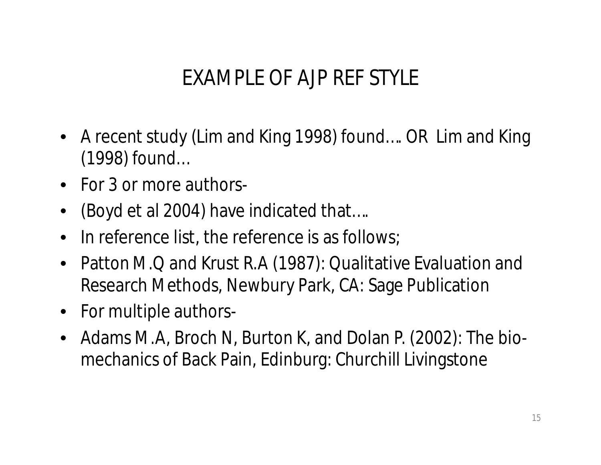#### EXAMPLE OF AJP REF STYLE

- A recent study (Lim and King 1998) found…. OR Lim and King (1998) found…
- For 3 or more authors-
- (Boyd et al 2004) have indicated that....
- In reference list, the reference is as follows;
- Patton M.Q and Krust R.A (1987): Qualitative Evaluation and Research Methods, Newbury Park, CA: Sage Publication
- For multiple authors-
- Adams M.A, Broch N, Burton K, and Dolan P. (2002): The biomechanics of Back Pain, Edinburg: Churchill Livingstone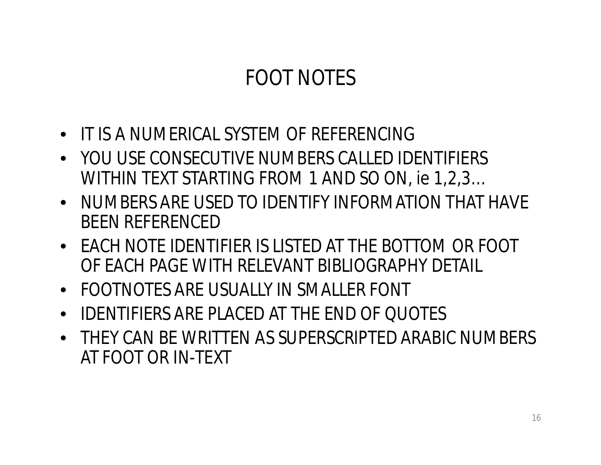#### FOOT NOTES

- IT IS A NUMERICAL SYSTEM OF REFERENCING
- YOU USE CONSECUTIVE NUMBERS CALLED IDENTIFIERS WITHIN TEXT STARTING FROM 1 AND SO ON, ie 1,2,3…
- NUMBERS ARE USED TO IDENTIFY INFORMATION THAT HAVE BEEN REFERENCED
- EACH NOTE IDENTIFIER IS LISTED AT THE BOTTOM OR FOOT OF EACH PAGE WITH RELEVANT BIBLIOGRAPHY DETAIL
- FOOTNOTES ARE USUALLY IN SMALLER FONT
- IDENTIFIERS ARE PLACED AT THE END OF QUOTES
- THEY CAN BE WRITTEN AS SUPERSCRIPTED ARABIC NUMBERS AT FOOT OR IN-TEXT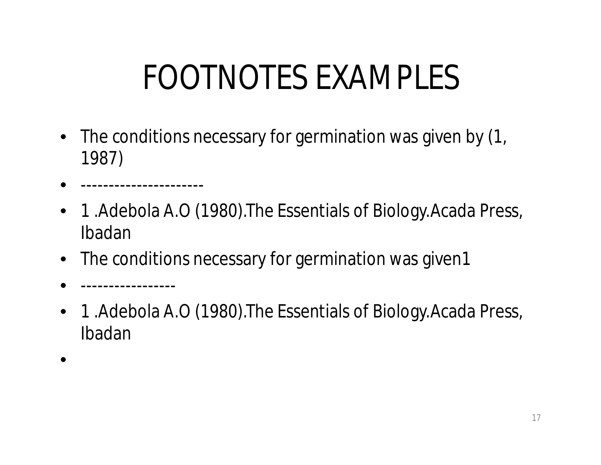# FOOTNOTES EXAMPLES

- The conditions necessary for germination was given by  $(1, 1)$ 1987)
- ----------------------
- 1. Adebola A.O (1980). The Essentials of Biology. Acada Press, Ibadan
- The conditions necessary for germination was given1
- -----------------
- 1. Adebola A.O (1980). The Essentials of Biology. Acada Press, Ibadan
- •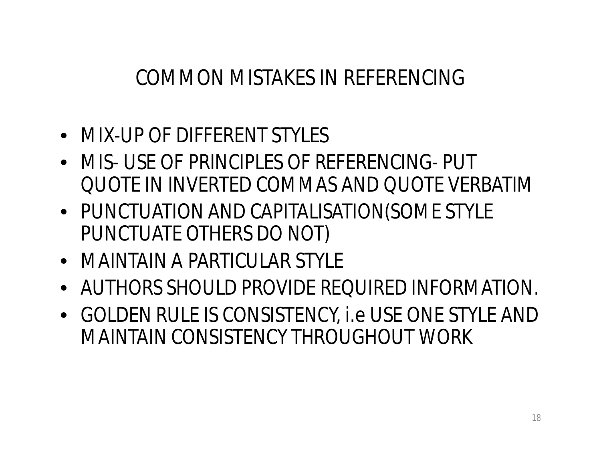#### COMMON MISTAKES IN REFERENCING

- MIX-UP OF DIFFERENT STYLES
- MIS- USE OF PRINCIPLES OF REFERENCING- PUT QUOTE IN INVERTED COMMAS AND QUOTE VERBATIM
- PUNCTUATION AND CAPITALISATION(SOME STYLE PUNCTUATE OTHERS DO NOT)
- MAINTAIN A PARTICULAR STYLE
- AUTHORS SHOULD PROVIDE REQUIRED INFORMATION.
- GOLDEN RULE IS CONSISTENCY, i.e USE ONE STYLE AND MAINTAIN CONSISTENCY THROUGHOUT WORK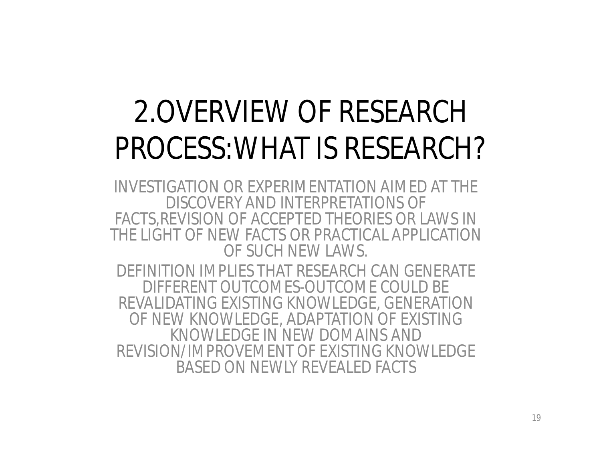### 2.OVERVIEW OF RESEARCH PROCESS:WHAT IS RESEARCH?

INVESTIGATION OR EXPERIMENTATION AIMED AT THE DISCOVERY AND INTERPRETATIONS OF FACTS,REVISION OF ACCEPTED THEORIES OR LAWS IN THE LIGHT OF NEW FACTS OR PRACTICAL APPLICATION OF SUCH NEW LAWS.

DEFINITION IMPLIES THAT RESEARCH CAN GENERATE DIFFERENT OUTCOMES-OUTCOME COULD BE REVALIDATING EXISTING KNOWLEDGE, GENERATION OF NEW KNOWLEDGE, ADAPTATION OF EXISTING KNOWLEDGE IN NEW DOMAINS AND REVISION/IMPROVEMENT OF EXISTING KNOWLEDGE BASED ON NEWLY REVEALED FACTS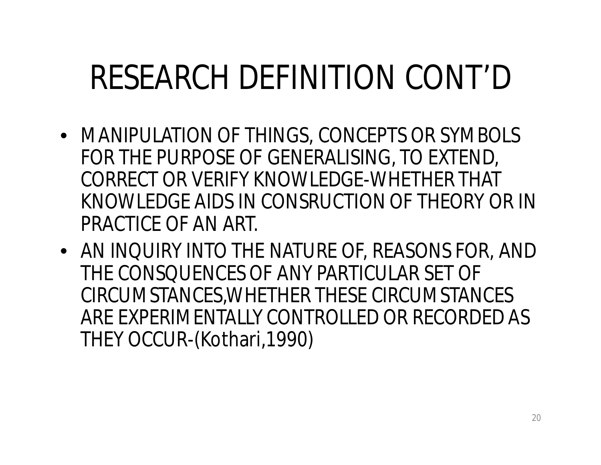# RESEARCH DEFINITION CONT'D

- MANIPULATION OF THINGS, CONCEPTS OR SYMBOLS FOR THE PURPOSE OF GENERALISING, TO EXTEND, CORRECT OR VERIFY KNOWLEDGE-WHETHER THAT KNOWLEDGE AIDS IN CONSRUCTION OF THEORY OR IN PRACTICE OF AN ART.
- AN INQUIRY INTO THE NATURE OF, REASONS FOR, AND THE CONSQUENCES OF ANY PARTICULAR SET OF CIRCUMSTANCES,WHETHER THESE CIRCUMSTANCES ARE EXPERIMENTALLY CONTROLLED OR RECORDED AS THEY OCCUR-(Kothari,1990)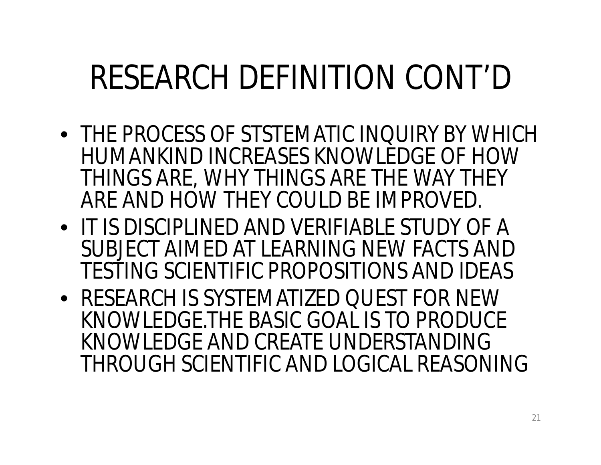# RESEARCH DEFINITION CONT'D

- THE PROCESS OF STSTEMATIC INQUIRY BY WHICH HUMANKIND INCREASES KNOWLEDGE OF HOW THINGS ARE, WHY THINGS ARE THE WAY THEY ARE AND HOW THEY COULD BE IMPROVED.
- IT IS DISCIPLINED AND VERIFIABLE STUDY OF A SUBJECT AIMED AT LEARNING NEW FACTS AND TESTING SCIENTIFIC PROPOSITIONS AND IDEAS
- RESEARCH IS SYSTEMATIZED QUEST FOR NEW KNOWLEDGE.THE BASIC GOAL IS TO PRODUCE KNOWLEDGE AND CREATE UNDERSTANDING THROUGH SCIENTIFIC AND LOGICAL REASONING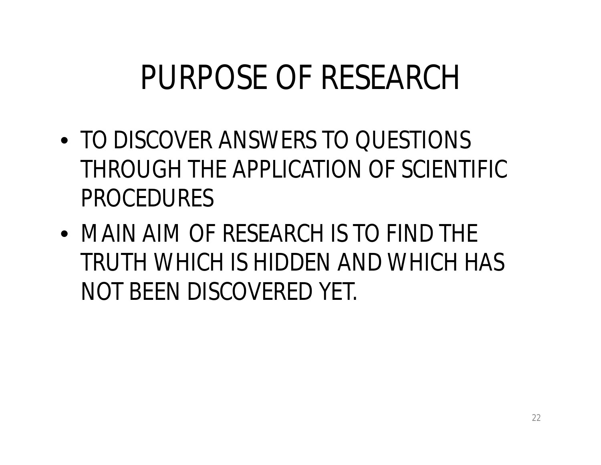# PURPOSE OF RESEARCH

- TO DISCOVER ANSWERS TO QUESTIONS THROUGH THE APPLICATION OF SCIENTIFIC PROCEDURES
- MAIN AIM OF RESEARCH IS TO FIND THE TRUTH WHICH IS HIDDEN AND WHICH HAS NOT BEEN DISCOVERED YET.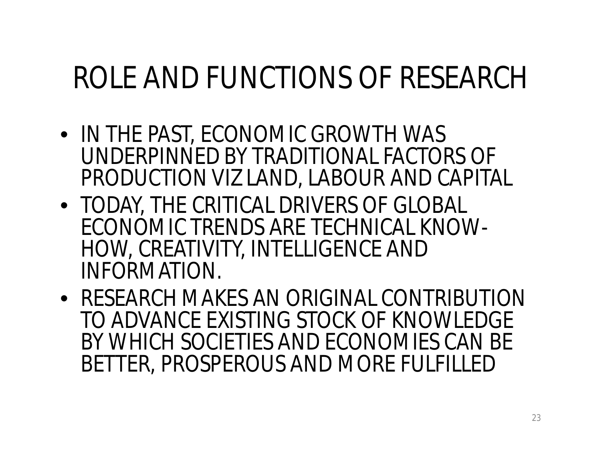### ROLE AND FUNCTIONS OF RESEARCH

- IN THE PAST, ECONOMIC GROWTH WAS UNDERPINNED BY TRADITIONAL FACTORS OF PRODUCTION VIZ LAND, LABOUR AND CAPITAL
- TODAY, THE CRITICAL DRIVERS OF GLOBAL ECONOMIC TRENDS ARE TECHNICAL KNOW-HOW, CREATIVITY, INTELLIGENCE AND INFORMATION.
- RESEARCH MAKES AN ORIGINAL CONTRIBUTION TO ADVANCE EXISTING STOCK OF KNOWLEDGE BY WHICH SOCIETIES AND ECONOMIES CAN BE BETTER, PROSPEROUS AND MORE FULFILLED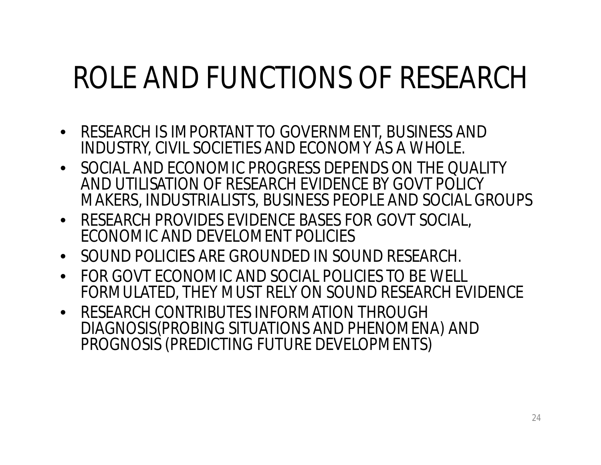### ROLE AND FUNCTIONS OF RESEARCH

- RESEARCH IS IMPORTANT TO GOVERNMENT, BUSINESS AND INDUSTRY, CIVIL SOCIETIES AND ECONOMY AS A WHOLE.
- SOCIAL AND ECONOMIC PROGRESS DEPENDS ON THE QUALITY AND UTILISATION OF RESEARCH EVIDENCE BY GOVT POLICY MAKERS, INDUSTRIALISTS, BUSINESS PEOPLE AND SOCIAL GROUPS
- RESEARCH PROVIDES EVIDENCE BASES FOR GOVT SOCIAL, ECONOMIC AND DEVELOMENT POLICIES
- SOUND POLICIES ARE GROUNDED IN SOUND RESEARCH.
- FOR GOVT ECONOMIC AND SOCIAL POLICIES TO BE WELL FORMULATED, THEY MUST RELY ON SOUND RESEARCH EVIDENCE
- RESEARCH CONTRIBUTES INFORMATION THROUGH DIAGNOSIS(PROBING SITUATIONS AND PHENOMENA) AND PROGNOSIS (PREDICTING FUTURE DEVELOPMENTS)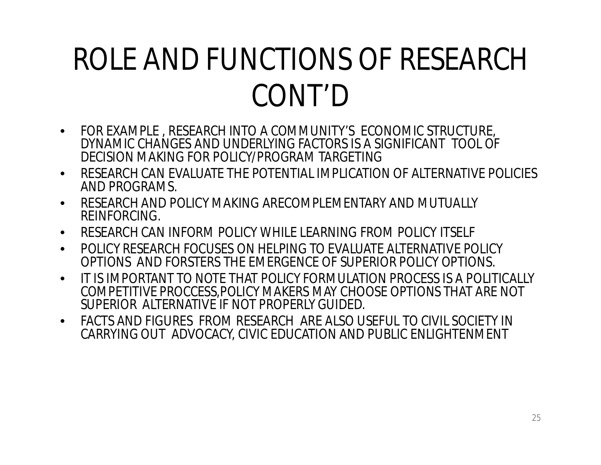### ROLE AND FUNCTIONS OF RESEARCH CONT'D

- FOR EXAMPLE , RESEARCH INTO A COMMUNITY'S ECONOMIC STRUCTURE, DYNAMIC CHANGES AND UNDERLYING FACTORS IS A SIGNIFICANT TOOL OF DECISION MAKING FOR POLICY/PROGRAM TARGETING
- RESEARCH CAN EVALUATE THE POTENTIAL IMPLICATION OF ALTERNATIVE POLICIES AND PROGRAMS.
- RESEARCH AND POLICY MAKING ARECOMPLEMENTARY AND MUTUALLY REINFORCING.
- RESEARCH CAN INFORM POLICY WHILE LEARNING FROM POLICY ITSELF
- POLICY RESEARCH FOCUSES ON HELPING TO EVALUATE ALTERNATIVE POLICY OPTIONS AND FORSTERS THE EMERGENCE OF SUPERIOR POLICY OPTIONS.
- IT IS IMPORTANT TO NOTE THAT POLICY FORMULATION PROCESS IS A POLITICALLY COMPETITIVE PROCCESS,POLICY MAKERS MAY CHOOSE OPTIONS THAT ARE NOT SUPERIOR ALTERNATIVE IF NOT PROPERLY GUIDED.
- FACTS AND FIGURES FROM RESEARCH ARE ALSO USEFUL TO CIVIL SOCIETY IN CARRYING OUT ADVOCACY, CIVIC EDUCATION AND PUBLIC ENLIGHTENMENT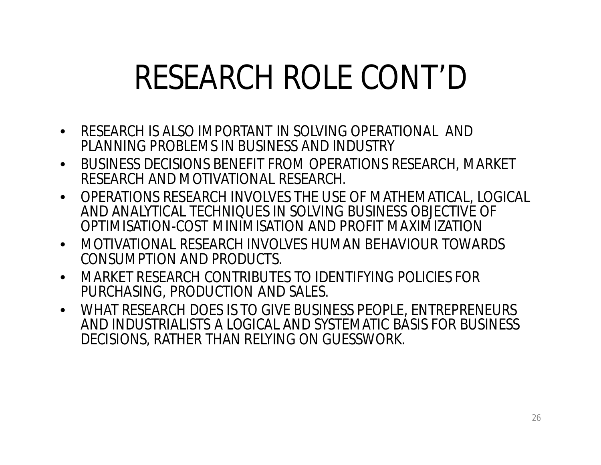# RESEARCH ROLE CONT'D

- RESEARCH IS ALSO IMPORTANT IN SOLVING OPERATIONAL AND PLANNING PROBLEMS IN BUSINESS AND INDUSTRY
- BUSINESS DECISIONS BENEFIT FROM OPERATIONS RESEARCH, MARKET RESEARCH AND MOTIVATIONAL RESEARCH.
- OPERATIONS RESEARCH INVOLVES THE USE OF MATHEMATICAL, LOGICAL AND ANALYTICAL TECHNIQUES IN SOLVING BUSINESS OBJECTIVE OF OPTIMISATION-COST MINIMISATION AND PROFIT MAXIMIZATION
- MOTIVATIONAL RESEARCH INVOLVES HUMAN BEHAVIOUR TOWARDS CONSUMPTION AND PRODUCTS.
- MARKET RESEARCH CONTRIBUTES TO IDENTIFYING POLICIES FOR PURCHASING, PRODUCTION AND SALES.
- WHAT RESEARCH DOES IS TO GIVE BUSINESS PEOPLE, ENTREPRENEURS AND INDUSTRIALISTS A LOGICAL AND SYSTEMATIC BASIS FOR BUSINESS DECISIONS, RATHER THAN RELYING ON GUESSWORK.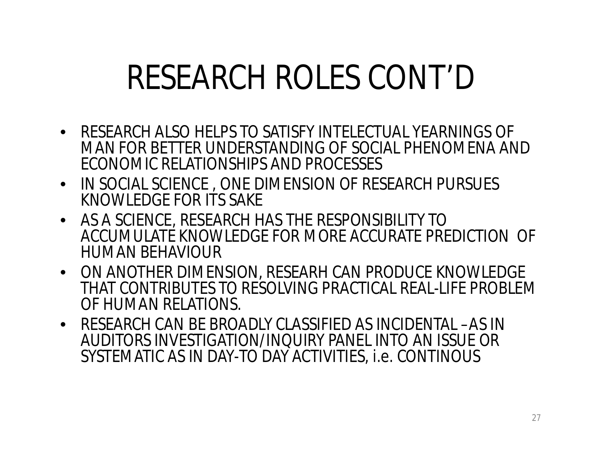# RESEARCH ROLES CONT'D

- RESEARCH ALSO HELPS TO SATISFY INTELECTUAL YEARNINGS OF MAN FOR BETTER UNDERSTANDING OF SOCIAL PHENOMENA AND ECONOMIC RELATIONSHIPS AND PROCESSES
- IN SOCIAL SCIENCE , ONE DIMENSION OF RESEARCH PURSUES KNOWLEDGE FOR ITS SAKE
- AS A SCIENCE, RESEARCH HAS THE RESPONSIBILITY TO ACCUMULATE KNOWLEDGE FOR MORE ACCURATE PREDICTION OF HUMAN BEHAVIOUR
- ON ANOTHER DIMENSION, RESEARH CAN PRODUCE KNOWLEDGE THAT CONTRIBUTES TO RESOLVING PRACTICAL REAL-LIFE PROBLEM OF HUMAN RELATIONS.
- RESEARCH CAN BE BROADLY CLASSIFIED AS INCIDENTAL –AS IN AUDITORS INVESTIGATION/INQUIRY PANEL INTO AN ISSUE OR SYSTEMATIC AS IN DAY-TO DAY ACTIVITIES, i.e. CONTINOUS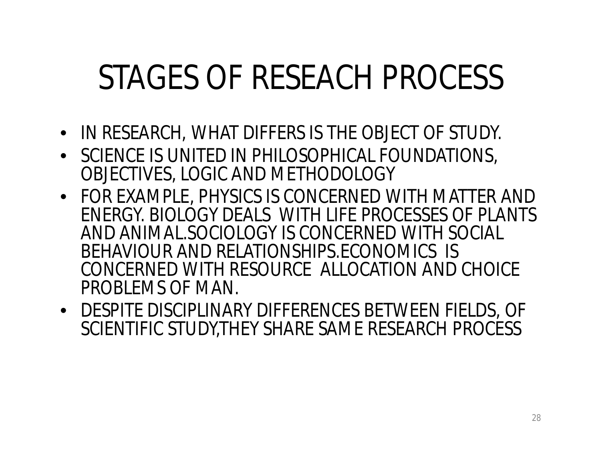# STAGES OF RESEACH PROCESS

- IN RESEARCH, WHAT DIFFERS IS THE OBJECT OF STUDY.
- SCIENCE IS UNITED IN PHILOSOPHICAL FOUNDATIONS, OBJECTIVES, LOGIC AND METHODOLOGY
- FOR EXAMPLE, PHYSICS IS CONCERNED WITH MATTER AND ENERGY. BIOLOGY DEALS WITH LIFE PROCESSES OF PLANTS AND ANIMAL.SOCIOLOGY IS CONCERNED WITH SOCIAL BEHAVIOUR AND RELATIONSHIPS.ECONOMICS IS CONCERNED WITH RESOURCE ALLOCATION AND CHOICE PROBLEMS OF MAN.
- DESPITE DISCIPLINARY DIFFERENCES BETWEEN FIELDS, OF SCIENTIFIC STUDY,THEY SHARE SAME RESEARCH PROCESS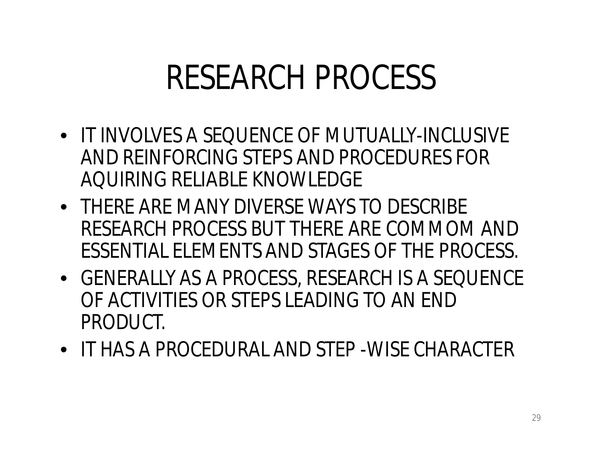### RESEARCH PROCESS

- IT INVOLVES A SEQUENCE OF MUTUALLY-INCLUSIVE AND REINFORCING STEPS AND PROCEDURES FOR AQUIRING RELIABLE KNOWLEDGE
- THERE ARE MANY DIVERSE WAYS TO DESCRIBE RESEARCH PROCESS BUT THERE ARE COMMOM AND ESSENTIAL ELEMENTS AND STAGES OF THE PROCESS.
- GENERALLY AS A PROCESS, RESEARCH IS A SEQUENCE OF ACTIVITIES OR STEPS LEADING TO AN END PRODUCT.
- IT HAS A PROCEDURAL AND STEP -WISE CHARACTER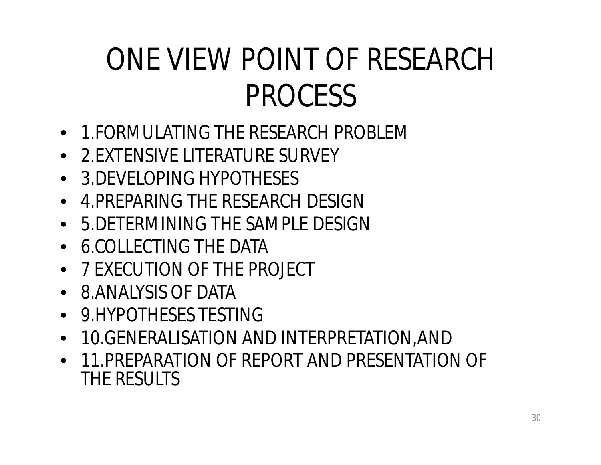### ONE VIEW POINT OF RESEARCH PROCESS

- 1.FORMULATING THE RESEARCH PROBLEM
- 2.EXTENSIVE LITERATURE SURVEY
- 3.DEVELOPING HYPOTHESES
- 4.PREPARING THE RESEARCH DESIGN
- 5.DETERMINING THE SAMPLE DESIGN
- 6.COLLECTING THE DATA
- 7 EXECUTION OF THE PROJECT
- 8.ANALYSIS OF DATA
- 9.HYPOTHESES TESTING
- 10.GENERALISATION AND INTERPRETATION,AND
- 11.PREPARATION OF REPORT AND PRESENTATION OF THE RESULTS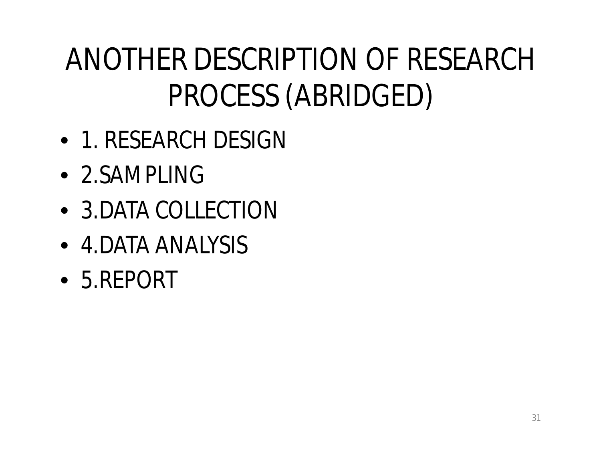### ANOTHER DESCRIPTION OF RESEARCH PROCESS (ABRIDGED)

- 1. RESEARCH DESIGN
- 2.SAMPLING
- 3. DATA COLLECTION
- 4. DATA ANALYSIS
- 5.REPORT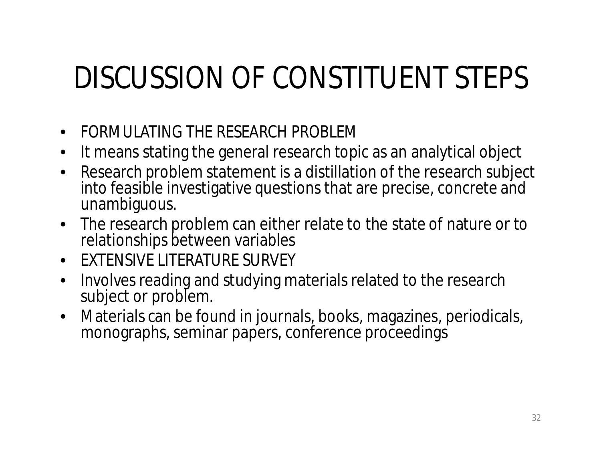### DISCUSSION OF CONSTITUENT STEPS

- FORMULATING THE RESEARCH PROBLEM
- It means stating the general research topic as an analytical object
- Research problem statement is a distillation of the research subject into feasible investigative questions that are precise, concrete and unambiguous.
- The research problem can either relate to the state of nature or to relationships between variables
- EXTENSIVE LITERATURE SURVEY
- Involves reading and studying materials related to the research subject or problem.
- Materials can be found in journals, books, magazines, periodicals, monographs, seminar papers, conference proceedings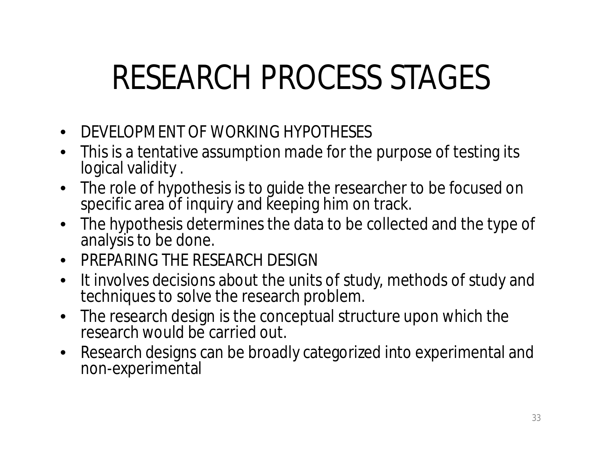# RESEARCH PROCESS STAGES

- DEVELOPMENT OF WORKING HYPOTHESES
- This is a tentative assumption made for the purpose of testing its logical validity .
- The role of hypothesis is to guide the researcher to be focused on specific area of inquiry and keeping him on track.
- The hypothesis determines the data to be collected and the type of analysis to be done.
- PREPARING THE RESEARCH DESIGN
- It involves decisions about the units of study, methods of study and techniques to solve the research problem.
- The research design is the conceptual structure upon which the research would be carried out.
- Research designs can be broadly categorized into experimental and non-experimental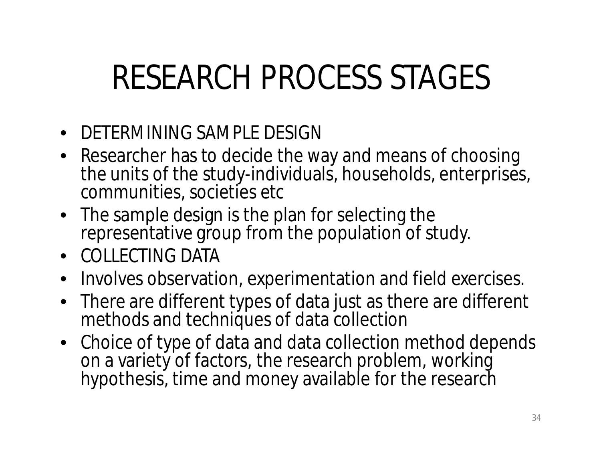# RESEARCH PROCESS STAGES

- DETERMINING SAMPLE DESIGN
- Researcher has to decide the way and means of choosing the units of the study-individuals, households, enterprises, communities, societies etc
- The sample design is the plan for selecting the representative group from the population of study.
- COLLECTING DATA
- Involves observation, experimentation and field exercises.
- There are different types of data just as there are different methods and techniques of data collection
- Choice of type of data and data collection method depends on a variety of factors, the research problem, working hypothesis, time and money available for the research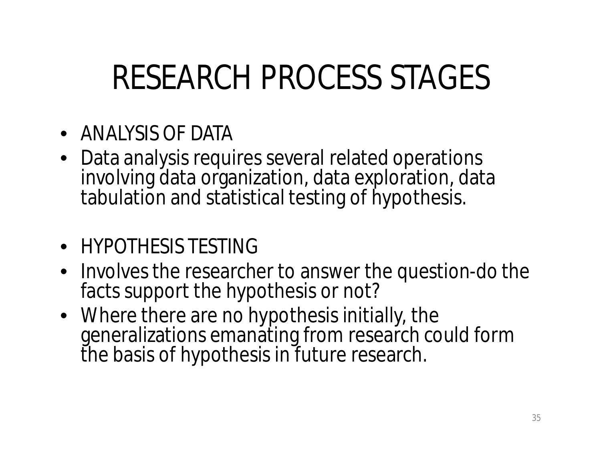# RESEARCH PROCESS STAGES

- ANALYSIS OF DATA
- Data analysis requires several related operations involving data organization, data exploration, data tabulation and statistical testing of hypothesis.
- HYPOTHESIS TESTING
- Involves the researcher to answer the question-do the facts support the hypothesis or not?
- Where there are no hypothesis initially, the generalizations emanating from research could form the basis of hypothesis in future research.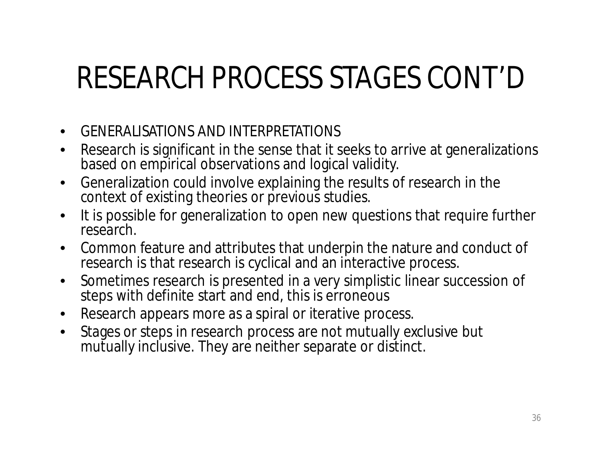#### RESEARCH PROCESS STAGES CONT'D

- GENERALISATIONS AND INTERPRETATIONS
- Research is significant in the sense that it seeks to arrive at generalizations based on empirical observations and logical validity.
- Generalization could involve explaining the results of research in the context of existing theories or previous studies.
- It is possible for generalization to open new questions that require further research.
- Common feature and attributes that underpin the nature and conduct of research is that research is cyclical and an interactive process.
- Sometimes research is presented in a very simplistic linear succession of steps with definite start and end, this is erroneous
- Research appears more as a spiral or iterative process.
- Stages or steps in research process are not mutually exclusive but mutually inclusive. They are neither separate or distinct.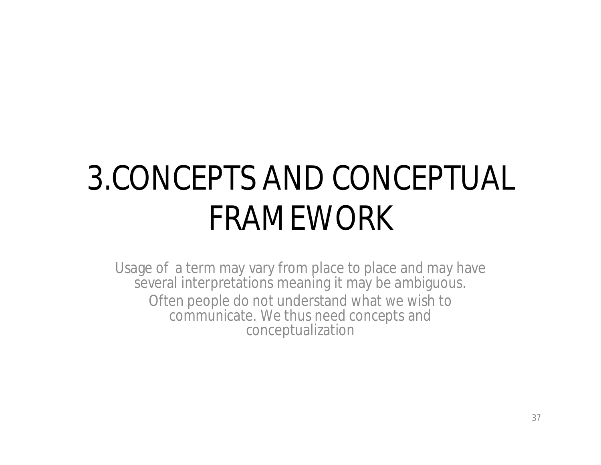### 3.CONCEPTS AND CONCEPTUAL FRAMEWORK

Usage of a term may vary from place to place and may have several interpretations meaning it may be ambiguous. Often people do not understand what we wish to communicate. We thus need concepts and conceptualization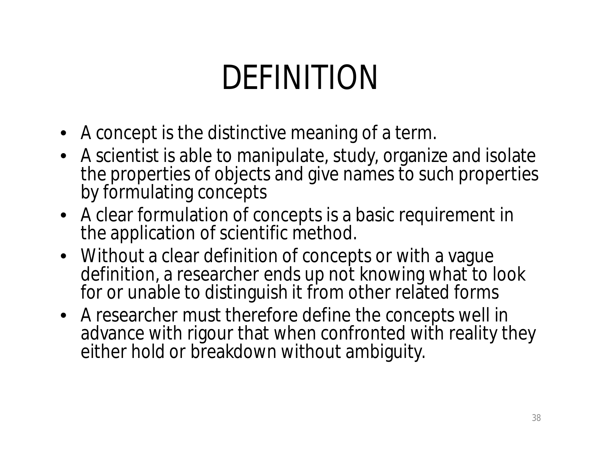## DEFINITION

- A concept is the distinctive meaning of a term.
- A scientist is able to manipulate, study, organize and isolate the properties of objects and give names to such properties by formulating concepts
- A clear formulation of concepts is a basic requirement in the application of scientific method.
- Without a clear definition of concepts or with a vague definition, a researcher ends up not knowing what to look for or unable to distinguish it from other related forms
- A researcher must therefore define the concepts well in advance with rigour that when confronted with reality they either hold or breakdown without ambiguity.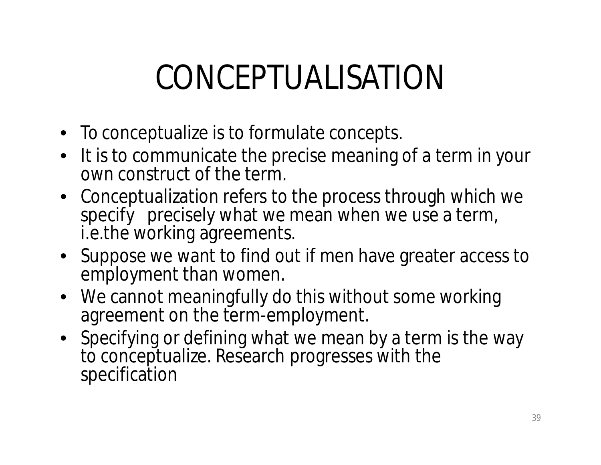### CONCEPTUALISATION

- To conceptualize is to formulate concepts.
- It is to communicate the precise meaning of a term in your own construct of the term.
- Conceptualization refers to the process through which we specify precisely what we mean when we use a term, i.e.the working agreements.
- Suppose we want to find out if men have greater access to employment than women.
- We cannot meaningfully do this without some working agreement on the term-employment.
- Specifying or defining what we mean by a term is the way to conceptualize. Research progresses with the specification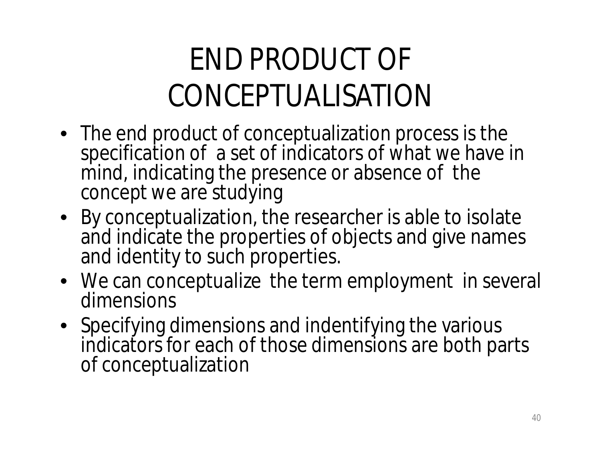#### END PRODUCT OF CONCEPTUALISATION

- The end product of conceptualization process is the specification of a set of indicators of what we have in mind, indicating the presence or absence of the concept we are studying
- By conceptualization, the researcher is able to isolate and indicate the properties of objects and give names and identity to such properties.
- We can conceptualize the term employment in several dimensions
- Specifying dimensions and indentifying the various indicators for each of those dimensions are both parts of conceptualization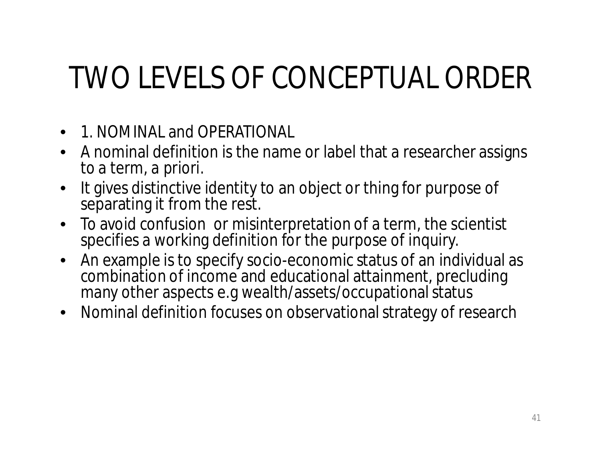#### TWO LEVELS OF CONCEPTUAL ORDER

- 1. NOMINAL and OPERATIONAL
- A nominal definition is the name or label that a researcher assigns to a term, *a priori*.
- It gives distinctive identity to an object or thing for purpose of separating it from the rest.
- To avoid confusion or misinterpretation of a term, the scientist specifies a working definition for the purpose of inquiry.
- An example is to specify socio-economic status of an individual as combination of income and educational attainment, precluding many other aspects e.g wealth/assets/occupational status
- Nominal definition focuses on observational strategy of research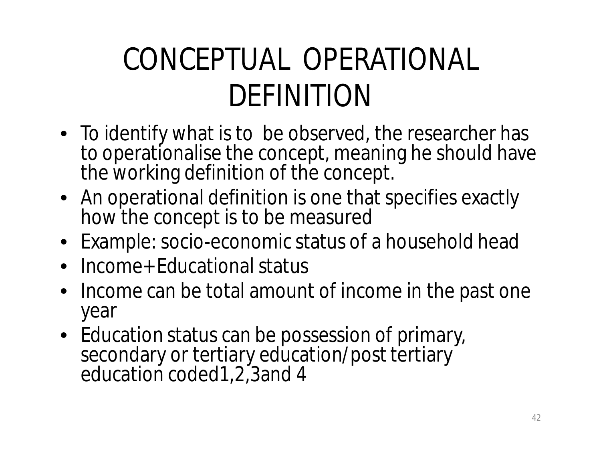#### CONCEPTUAL OPERATIONAL DEFINITION

- To identify what is to be observed, the researcher has to operationalise the concept, meaning he should have the working definition of the concept.
- An operational definition is one that specifies exactly how the concept is to be measured
- Example: socio-economic status of a household head
- Income+ Educational status
- Income can be total amount of income in the past one year
- Education status can be possession of primary, secondary or tertiary education/post tertiary education coded1,2,3and 4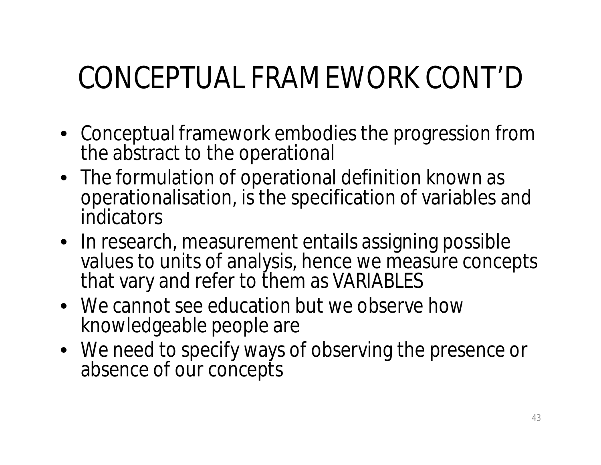#### CONCEPTUAL FRAMEWORK CONT'D

- Conceptual framework embodies the progression from the abstract to the operational
- The formulation of operational definition known as operationalisation, is the specification of variables and indicators
- In research, measurement entails assigning possible values to units of analysis, hence we measure concepts that vary and refer to them as VARIABLES
- We cannot see education but we observe how knowledgeable people are
- We need to specify ways of observing the presence or absence of our concepts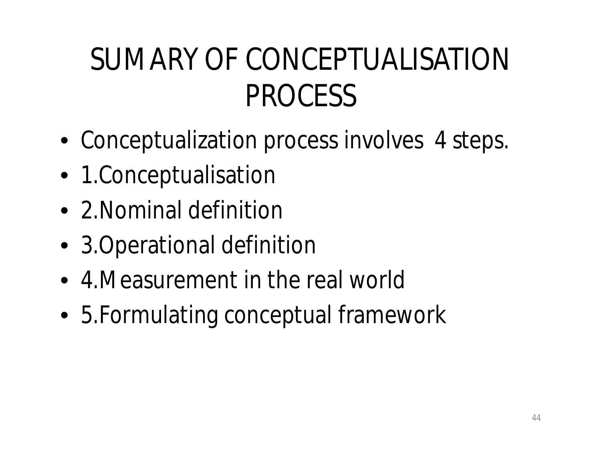#### SUMARY OF CONCEPTUALISATION PROCESS

- Conceptualization process involves 4 steps.
- 1.Conceptualisation
- 2. Nominal definition
- 3. Operational definition
- 4.Measurement in the real world
- 5.Formulating conceptual framework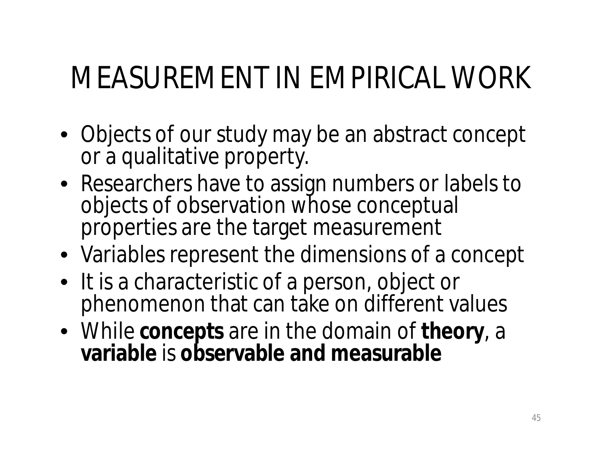#### MEASUREMENT IN EMPIRICAL WORK

- Objects of our study may be an abstract concept or a qualitative property.
- Researchers have to assign numbers or labels to objects of observation whose conceptual properties are the target measurement
- Variables represent the dimensions of a concept
- It is a characteristic of a person, object or phenomenon that can take on different values
- While **concepts** are in the domain of **theory**, a **variable** is **observable and measurable**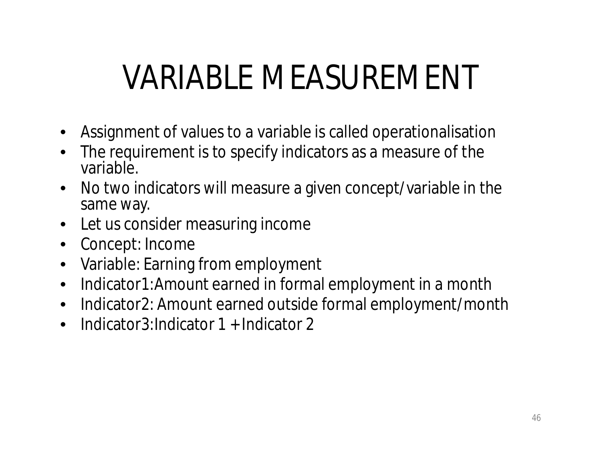## VARIABLE MEASUREMENT

- Assignment of values to a variable is called operationalisation
- The requirement is to specify indicators as a measure of the variable.
- No two indicators will measure a given concept/variable in the same way.
- Let us consider measuring income
- Concept: Income
- Variable: Earning from employment
- Indicator1:Amount earned in formal employment in a month
- Indicator2: Amount earned outside formal employment/month
- Indicator3: Indicator 1 + Indicator 2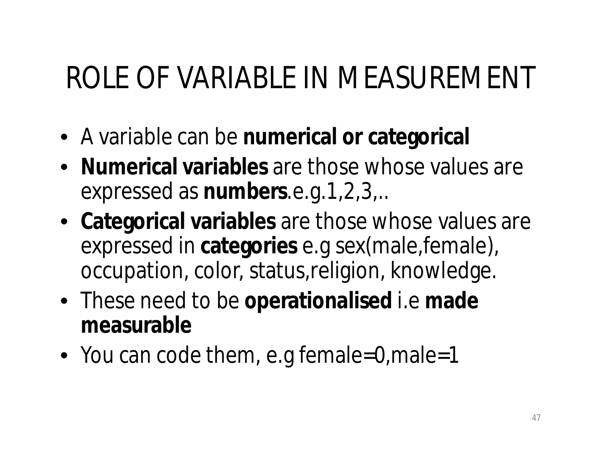#### ROLE OF VARIABLE IN MEASUREMENT

- A variable can be **numerical or categorical**
- **Numerical variables** are those whose values are expressed as **numbers**.e.g.1,2,3,..
- **Categorical variables** are those whose values are expressed in **categories** e.g sex(male,female), occupation, color, status,religion, knowledge.
- These need to be **operationalised** i.e **made measurable**
- You can code them, e.g female=0, male=1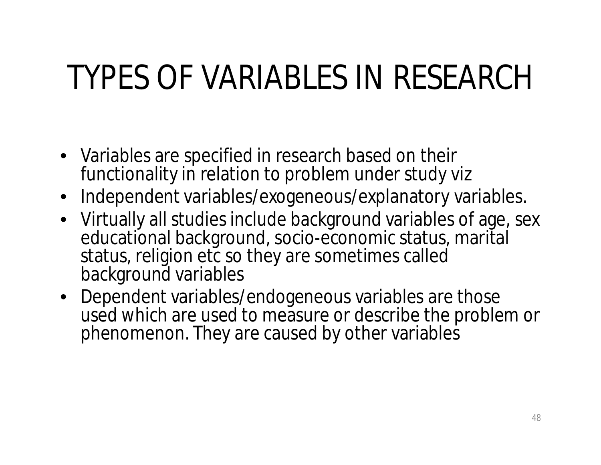## TYPES OF VARIABLES IN RESEARCH

- Variables are specified in research based on their functionality in relation to problem under study viz
- Independent variables/exogeneous/explanatory variables.
- Virtually all studies include background variables of age, sex educational background, socio-economic status, marital status, religion etc so they are sometimes called background variables
- Dependent variables/endogeneous variables are those used which are used to measure or describe the problem or phenomenon. They are caused by other variables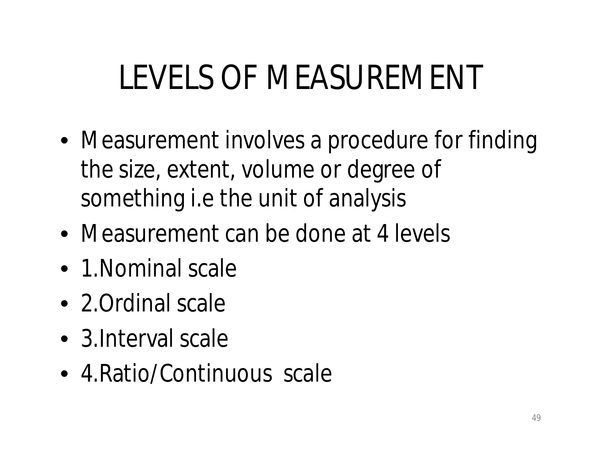# LEVELS OF MEASUREMENT

- Measurement involves a procedure for finding the size, extent, volume or degree of something i.e the unit of analysis
- Measurement can be done at 4 levels
- 1. Nominal scale
- 2. Ordinal scale
- 3. Interval scale
- 4. Ratio/Continuous scale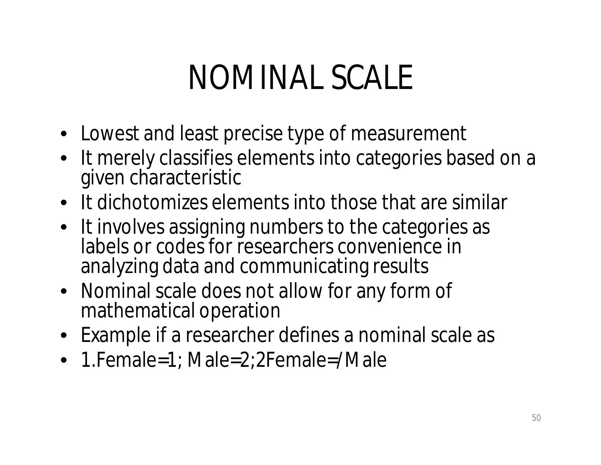### NOMINAL SCALE

- Lowest and least precise type of measurement
- It merely classifies elements into categories based on a given characteristic
- It dichotomizes elements into those that are similar
- It involves assigning numbers to the categories as labels or codes for researchers convenience in analyzing data and communicating results
- Nominal scale does not allow for any form of mathematical operation
- Example if a researcher defines a nominal scale as
- 1. Female=1; Male=2; 2 Female=/Male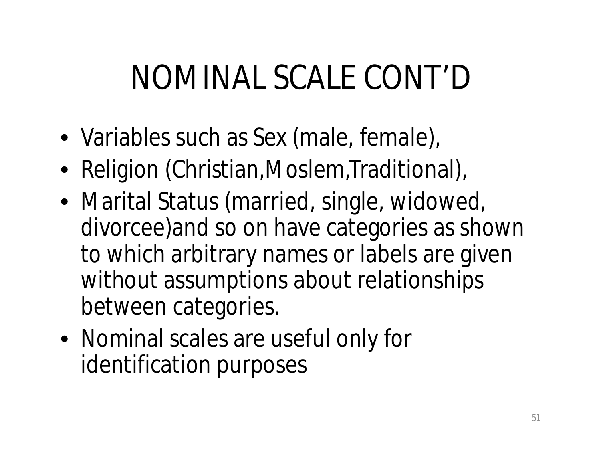## NOMINAL SCALE CONT'D

- Variables such as Sex (male, female),
- Religion (Christian, Moslem, Traditional),
- Marital Status (married, single, widowed, divorcee)and so on have categories as shown to which arbitrary names or labels are given without assumptions about relationships between categories.
- Nominal scales are useful only for identification purposes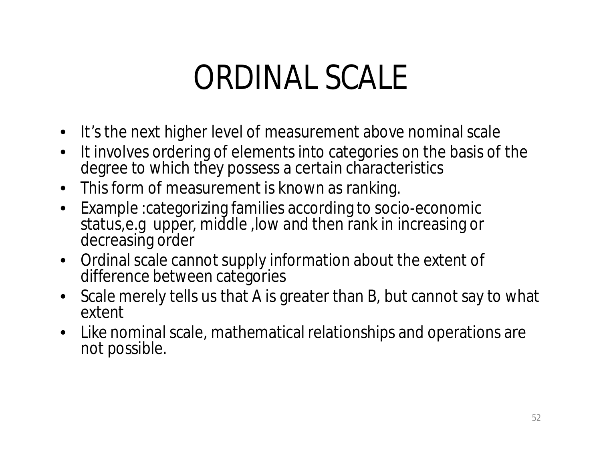#### ORDINAL SCALE

- It's the next higher level of measurement above nominal scale
- It involves ordering of elements into categories on the basis of the degree to which they possess a certain characteristics
- This form of measurement is known as ranking.
- Example :categorizing families according to socio-economic status,e.g upper, middle ,low and then rank in increasing or decreasing order
- Ordinal scale cannot supply information about the extent of difference between categories
- Scale merely tells us that A is greater than B, but cannot say to what extent
- Like nominal scale, mathematical relationships and operations are not possible.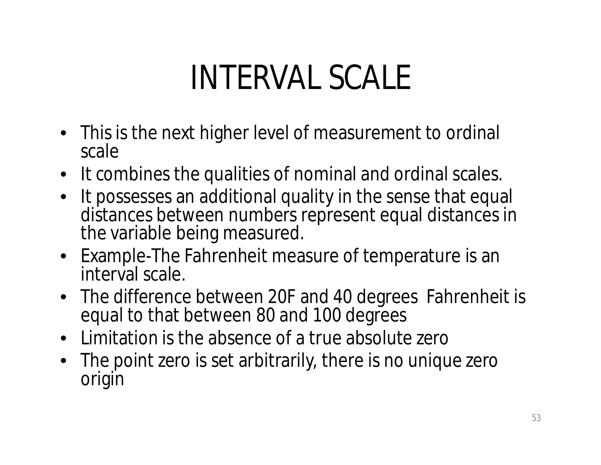## INTERVAL SCALE

- This is the next higher level of measurement to ordinal scale
- It combines the qualities of nominal and ordinal scales.
- It possesses an additional quality in the sense that equal distances between numbers represent equal distances in the variable being measured.
- Example-The Fahrenheit measure of temperature is an interval scale.
- The difference between 20F and 40 degrees Fahrenheit is equal to that between 80 and 100 degrees
- Limitation is the absence of a true absolute zero
- The point zero is set arbitrarily, there is no unique zero origin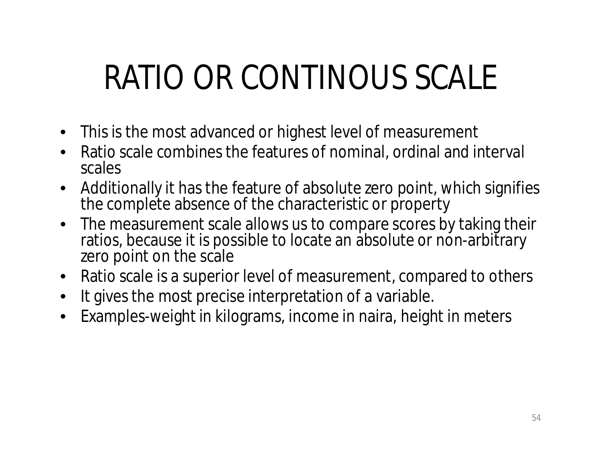# RATIO OR CONTINOUS SCALE

- This is the most advanced or highest level of measurement
- Ratio scale combines the features of nominal, ordinal and interval scales
- Additionally it has the feature of absolute zero point, which signifies the complete absence of the characteristic or property
- The measurement scale allows us to compare scores by taking their ratios, because it is possible to locate an absolute or non-arbitrary zero point on the scale
- Ratio scale is a superior level of measurement, compared to others
- It gives the most precise interpretation of a variable.
- Examples-weight in kilograms, income in naira, height in meters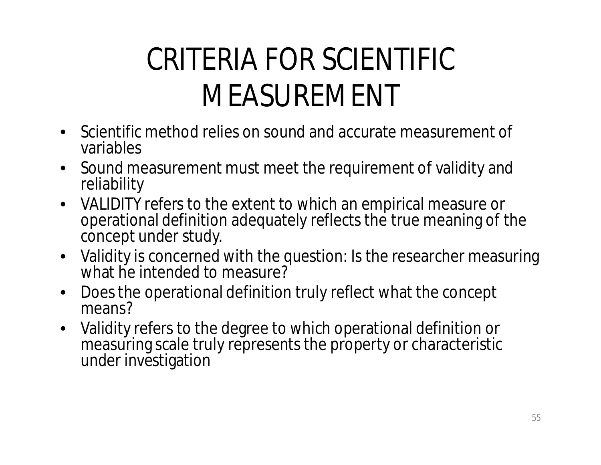#### CRITERIA FOR SCIENTIFIC MEASUREMENT

- Scientific method relies on sound and accurate measurement of variables
- Sound measurement must meet the requirement of validity and reliability
- VALIDITY refers to the extent to which an empirical measure or operational definition adequately reflects the true meaning of the concept under study.
- Validity is concerned with the question: Is the researcher measuring what he intended to measure?
- Does the operational definition truly reflect what the concept means?
- Validity refers to the degree to which operational definition or measuring scale truly represents the property or characteristic under investigation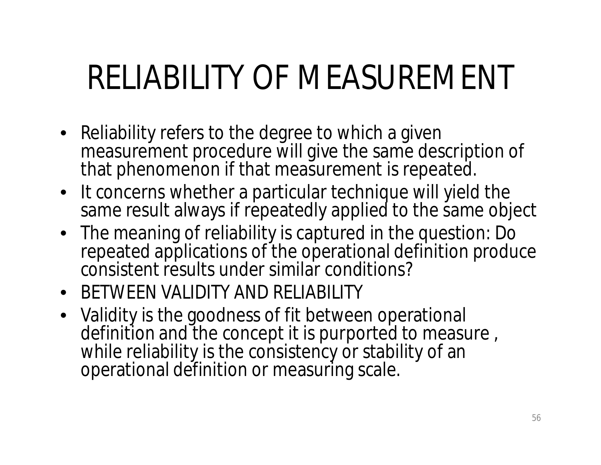# RELIABILITY OF MEASUREMENT

- Reliability refers to the degree to which a given measurement procedure will give the same description of that phenomenon if that measurement is repeated.
- It concerns whether a particular technique will yield the same result always if repeatedly applied to the same object
- The meaning of reliability is captured in the question: Do repeated applications of the operational definition produce consistent results under similar conditions?
- BETWEEN VALIDITY AND RELIABILITY
- Validity is the goodness of fit between operational definition and the concept it is purported to measure , while reliability is the consistency or stability of an operational definition or measuring scale.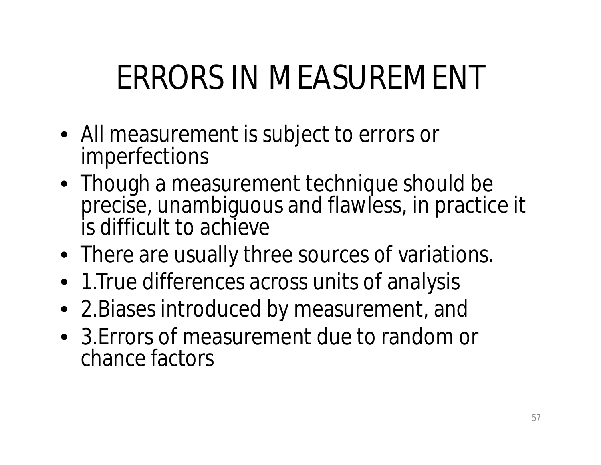# ERRORS IN MEASUREMENT

- All measurement is subject to errors or imperfections
- Though a measurement technique should be precise, unambiguous and flawless, in practice it is difficult to achieve
- There are usually three sources of variations.
- 1.True differences across units of analysis
- 2.Biases introduced by measurement, and
- 3.Errors of measurement due to random or chance factors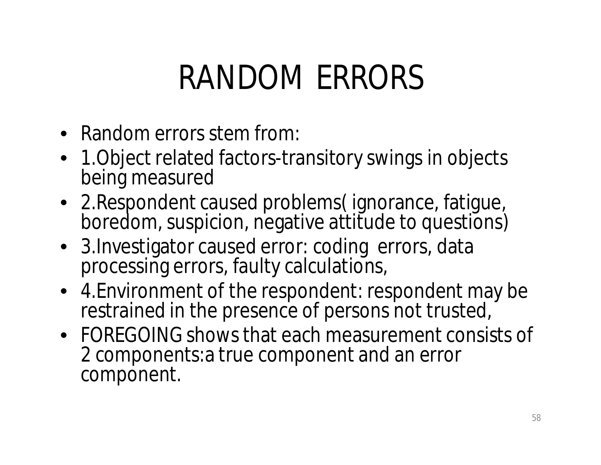### RANDOM ERRORS

- Random errors stem from:
- 1. Object related factors-transitory swings in objects being measured
- 2.Respondent caused problems( ignorance, fatigue, boredom, suspicion, negative attitude to questions)
- 3. Investigator caused error: coding errors, data processing errors, faulty calculations,
- 4.Environment of the respondent: respondent may be restrained in the presence of persons not trusted,
- FOREGOING shows that each measurement consists of 2 components:a true component and an error component.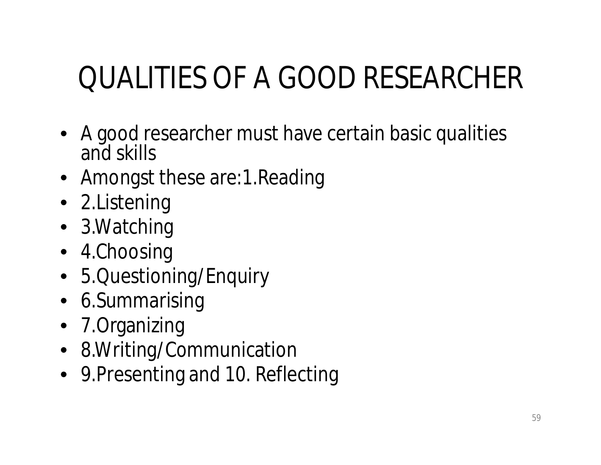#### QUALITIES OF A GOOD RESEARCHER

- A good researcher must have certain basic qualities and skills
- Amongst these are: 1. Reading
- 2.Listening
- 3.Watching
- 4.Choosing
- 5.Questioning/Enquiry
- 6.Summarising
- 7.Organizing
- 8.Writing/Communication
- 9.Presenting and 10. Reflecting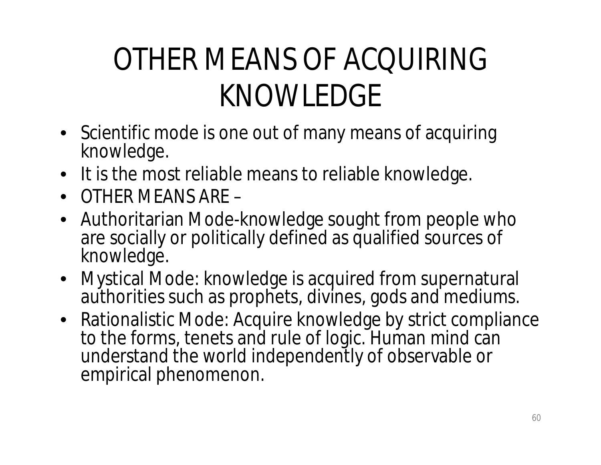#### OTHER MEANS OF ACQUIRING KNOWLEDGE

- Scientific mode is one out of many means of acquiring knowledge.
- It is the most reliable means to reliable knowledge.
- OTHER MEANS ARE –
- Authoritarian Mode-knowledge sought from people who are socially or politically defined as qualified sources of knowledge.
- Mystical Mode: knowledge is acquired from supernatural authorities such as prophets, divines, gods and mediums.
- Rationalistic Mode: Acquire knowledge by strict compliance to the forms, tenets and rule of logic. Human mind can understand the world independently of observable or empirical phenomenon.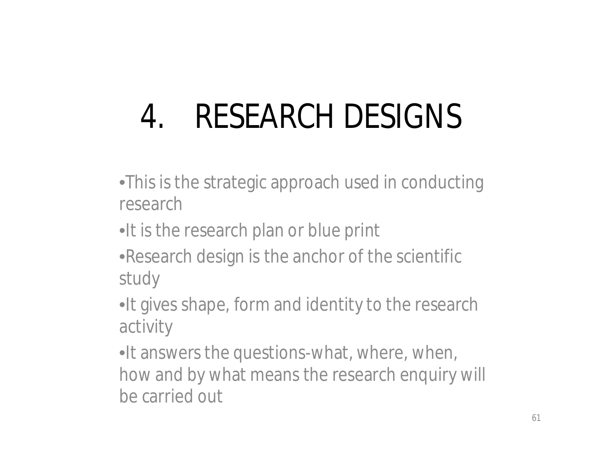# 4. RESEARCH DESIGNS

- •This is the strategic approach used in conducting research
- •It is the research plan or blue print
- •Research design is the anchor of the scientific study
- •It gives shape, form and identity to the research activity
- •It answers the questions-what, where, when, how and by what means the research enquiry will be carried out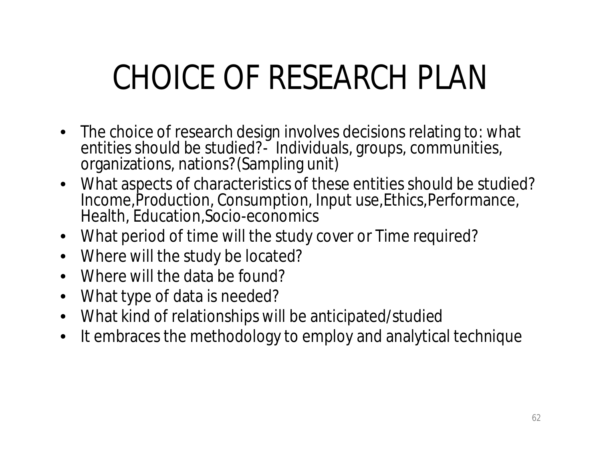# CHOICE OF RESEARCH PLAN

- The choice of research design involves decisions relating to: what entities should be studied?<sup>2</sup> Individuals, groups, communities, organizations, nations?(Sampling unit)
- What aspects of characteristics of these entities should be studied? Income,Production, Consumption, Input use,Ethics,Performance, Health, Education,Socio-economics
- What period of time will the study cover or Time required?
- Where will the study be located?
- Where will the data be found?
- What type of data is needed?
- What kind of relationships will be anticipated/studied
- It embraces the methodology to employ and analytical technique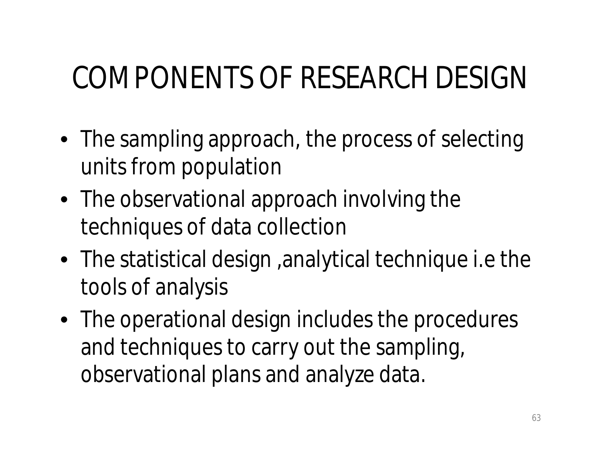#### COMPONENTS OF RESEARCH DESIGN

- The sampling approach, the process of selecting units from population
- The observational approach involving the techniques of data collection
- The statistical design ,analytical technique i.e the tools of analysis
- The operational design includes the procedures and techniques to carry out the sampling, observational plans and analyze data.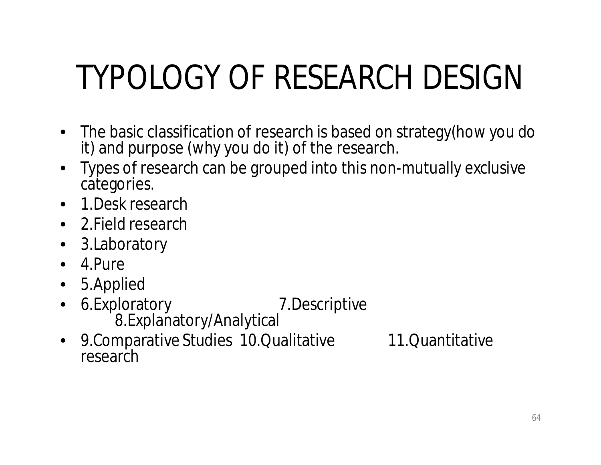# TYPOLOGY OF RESEARCH DESIGN

- The basic classification of research is based on strategy(how you do it) and purpose (why you do it) of the research.
- Types of research can be grouped into this non-mutually exclusive categories.
- 1. Desk research
- 2. Field research
- 3.Laboratory
- $\bullet$  4. Pure
- 5.Applied
- 6. Exploratory 7. Descriptive 8.Explanatory/Analytical
- 9.Comparative Studies 10.Qualitative 11.Quantitative research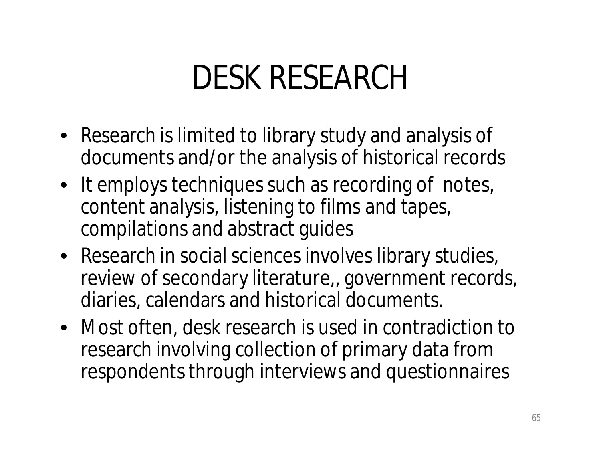### DESK RESEARCH

- Research is limited to library study and analysis of documents and/or the analysis of historical records
- It employs techniques such as recording of notes, content analysis, listening to films and tapes, compilations and abstract guides
- Research in social sciences involves library studies, review of secondary literature,, government records, diaries, calendars and historical documents.
- Most often, desk research is used in contradiction to research involving collection of primary data from respondents through interviews and questionnaires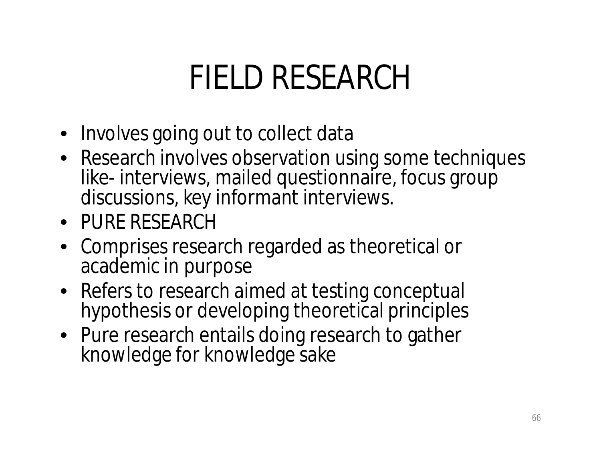### FIELD RESEARCH

- Involves going out to collect data
- Research involves observation using some techniques like- interviews, mailed questionnaire, focus group discussions, key informant interviews.
- PURE RESEARCH
- Comprises research regarded as theoretical or academic in purpose
- Refers to research aimed at testing conceptual hypothesis or developing theoretical principles
- Pure research entails doing research to gather knowledge for knowledge sake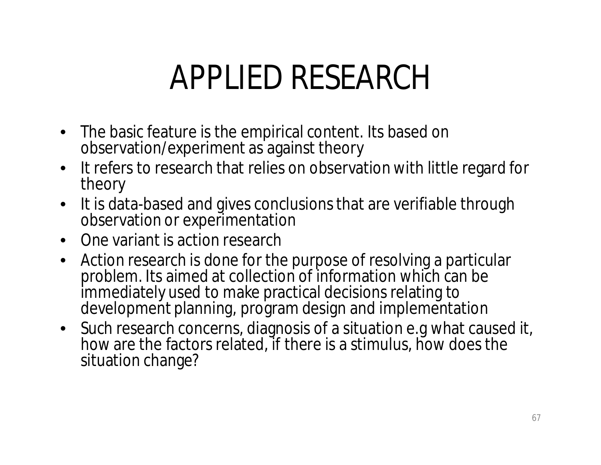### APPLIED RESEARCH

- The basic feature is the empirical content. Its based on observation/experiment as against theory
- It refers to research that relies on observation with little regard for theory
- It is data-based and gives conclusions that are verifiable through observation or experimentation
- One variant is action research
- Action research is done for the purpose of resolving a particular problem. Its aimed at collection of information which can be immediately used to make practical decisions relating to development planning, program design and implementation
- Such research concerns, diagnosis of a situation e.g what caused it, how are the factors related, if there is a stimulus, how does the situation change?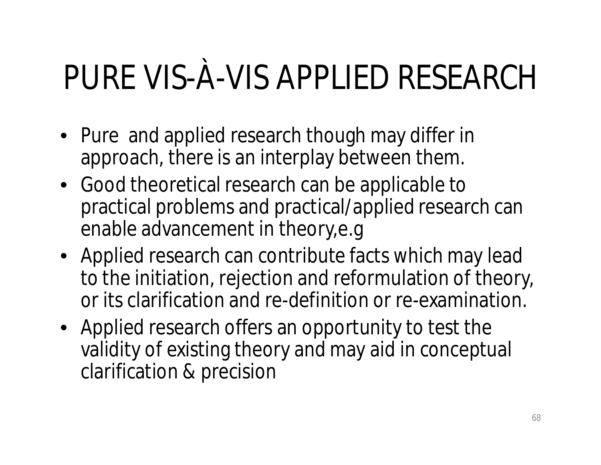# PURE VIS-À-VIS APPLIED RESEARCH

- Pure and applied research though may differ in approach, there is an interplay between them.
- Good theoretical research can be applicable to practical problems and practical/applied research can enable advancement in theory,e.g
- Applied research can contribute facts which may lead to the initiation, rejection and reformulation of theory, or its clarification and re-definition or re-examination.
- Applied research offers an opportunity to test the validity of existing theory and may aid in conceptual clarification & precision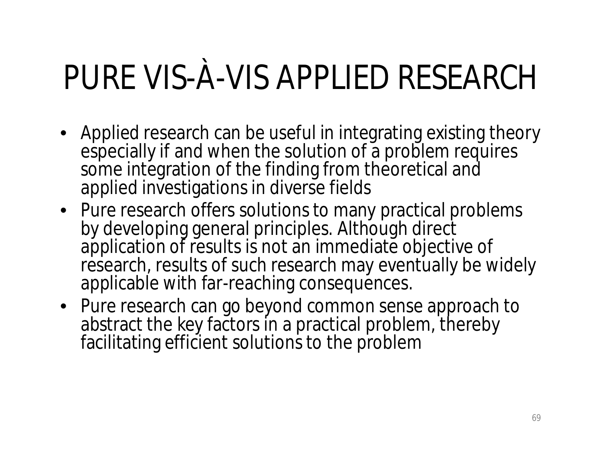# PURE VIS-À-VIS APPLIED RESEARCH

- Applied research can be useful in integrating existing theory especially if and when the solution of a problem requires some integration of the finding from theoretical and applied investigations in diverse fields
- Pure research offers solutions to many practical problems by developing general principles. Although direct application of results is not an immediate objective of research, results of such research may eventually be widely applicable with far-reaching consequences.
- Pure research can go beyond common sense approach to abstract the key factors in a practical problem, thereby facilitating efficient solutions to the problem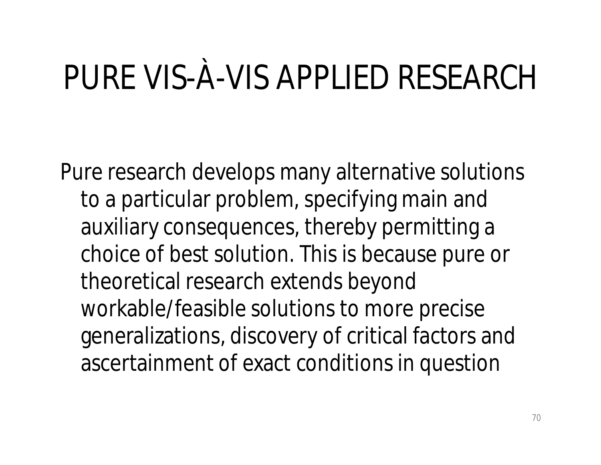# PURE VIS-À-VIS APPLIED RESEARCH

Pure research develops many alternative solutions to a particular problem, specifying main and auxiliary consequences, thereby permitting a choice of best solution. This is because pure or theoretical research extends beyond workable/feasible solutions to more precise generalizations, discovery of critical factors and ascertainment of exact conditions in question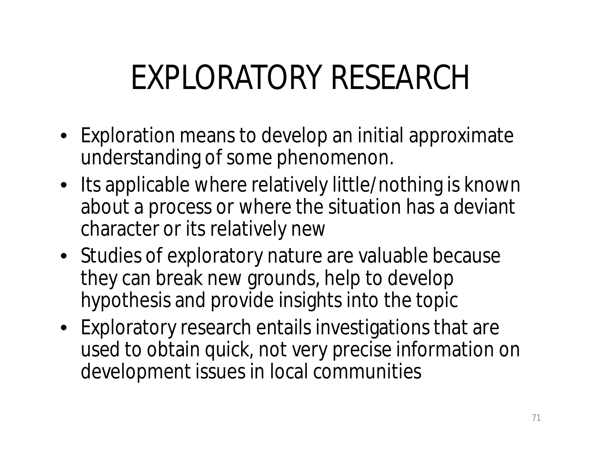## EXPLORATORY RESEARCH

- Exploration means to develop an initial approximate understanding of some phenomenon.
- Its applicable where relatively little/nothing is known about a process or where the situation has a deviant character or its relatively new
- Studies of exploratory nature are valuable because they can break new grounds, help to develop hypothesis and provide insights into the topic
- Exploratory research entails investigations that are used to obtain quick, not very precise information on development issues in local communities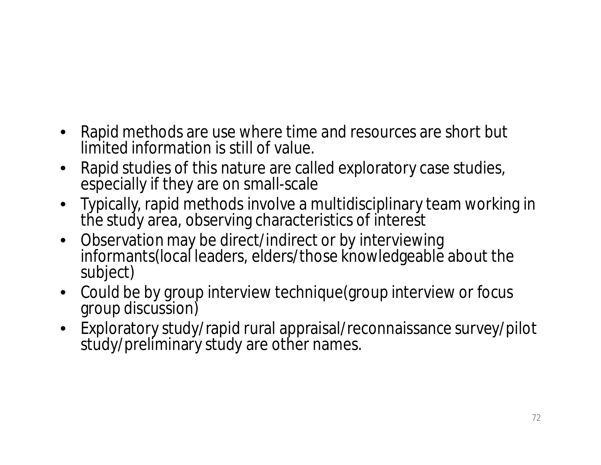- Rapid methods are use where time and resources are short but limited information is still of value.
- Rapid studies of this nature are called exploratory case studies, especially if they are on small-scale
- Typically, rapid methods involve a multidisciplinary team working in the study area, observing characteristics of interest
- Observation may be direct/indirect or by interviewing informants(local leaders, elders/those knowledgeable about the subject)
- Could be by group interview technique(group interview or focus group discussion)
- Exploratory study/rapid rural appraisal/reconnaissance survey/pilot study/preliminary study are other names.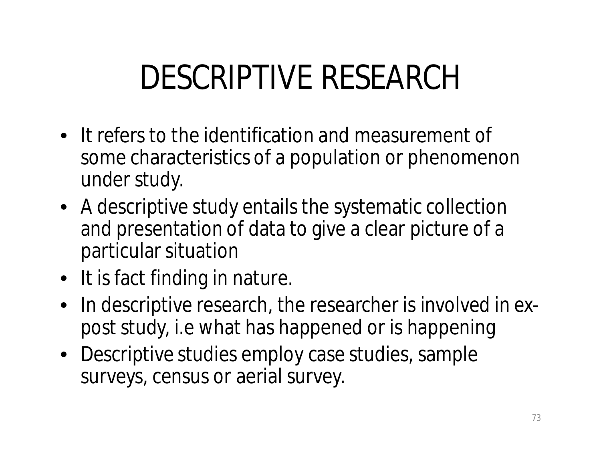# DESCRIPTIVE RESEARCH

- It refers to the identification and measurement of some characteristics of a population or phenomenon under study.
- A descriptive study entails the systematic collection and presentation of data to give a clear picture of a particular situation
- It is fact finding in nature.
- In descriptive research, the researcher is involved in *expost* study, i.e what has happened or is happening
- Descriptive studies employ case studies, sample surveys, census or aerial survey.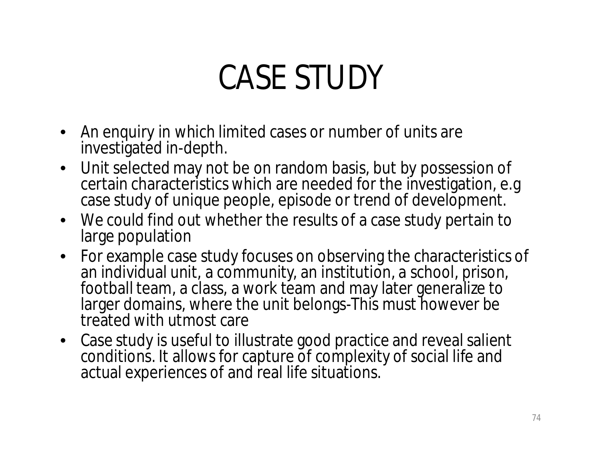# CASE STUDY

- An enquiry in which limited cases or number of units are investigated in-depth.
- Unit selected may not be on random basis, but by possession of certain characteristics which are needed for the investigation, e.g case study of unique people, episode or trend of development.
- We could find out whether the results of a case study pertain to large population
- For example case study focuses on observing the characteristics of an individual unit, a community, an institution, a school, prison, football team, a class, a work team and may later generalize to larger domains, where the unit belongs-This must however be treated with utmost care
- Case study is useful to illustrate good practice and reveal salient conditions. It allows for capture of complexity of social life and actual experiences of and real life situations.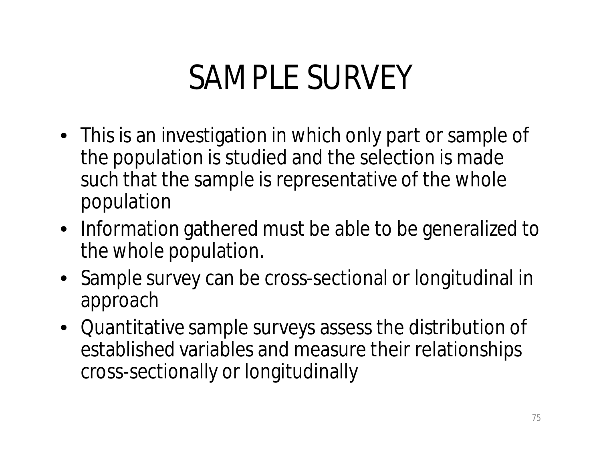## SAMPLE SURVEY

- This is an investigation in which only part or sample of the population is studied and the selection is made such that the sample is representative of the whole population
- Information gathered must be able to be generalized to the whole population.
- Sample survey can be cross-sectional or longitudinal in approach
- Quantitative sample surveys assess the distribution of established variables and measure their relationships cross-sectionally or longitudinally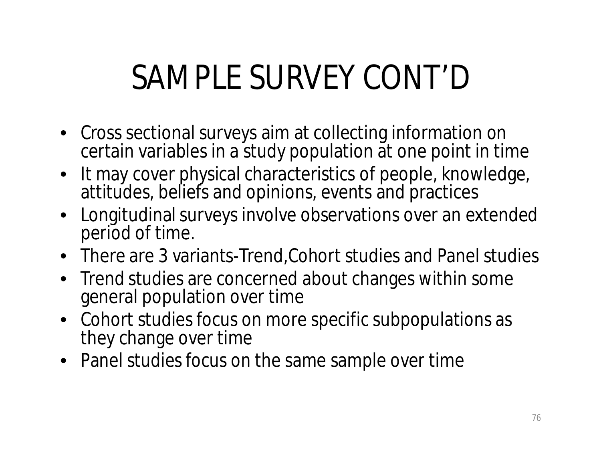# SAMPLE SURVEY CONT'D

- Cross sectional surveys aim at collecting information on certain variables in a study population at one point in time
- It may cover physical characteristics of people, knowledge, attitudes, beliefs and opinions, events and practices
- Longitudinal surveys involve observations over an extended period of time.
- There are 3 variants-Trend, Cohort studies and Panel studies
- Trend studies are concerned about changes within some general population over time
- Cohort studies focus on more specific subpopulations as they change over time
- Panel studies focus on the same sample over time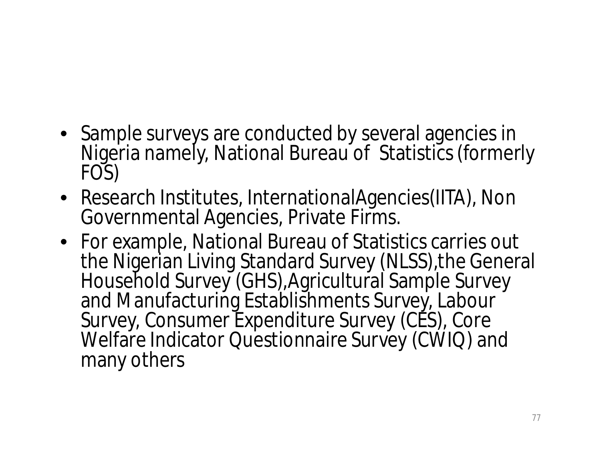- Sample surveys are conducted by several agencies in Nigeria namely, National Bureau of Statistics (formerly FOS)
- Research Institutes, InternationalAgencies(IITA), Non Governmental Agencies, Private Firms.
- For example, National Bureau of Statistics carries out the Nigerian Living Standard Survey (NLSS),the General Household Survey (GHS),Agricultural Sample Survey and Manufacturing Establishments Survey, Labour Survey, Consumer Expenditure Survey (CES), Core Welfare Indicator Questionnaire Survey (CWIQ) and many others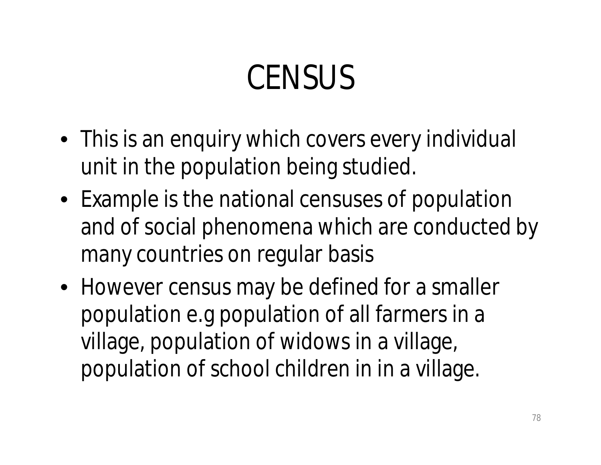# **CENSUS**

- This is an enquiry which covers every individual unit in the population being studied.
- Example is the national censuses of population and of social phenomena which are conducted by many countries on regular basis
- However census may be defined for a smaller population e.g population of all farmers in a village, population of widows in a village, population of school children in in a village.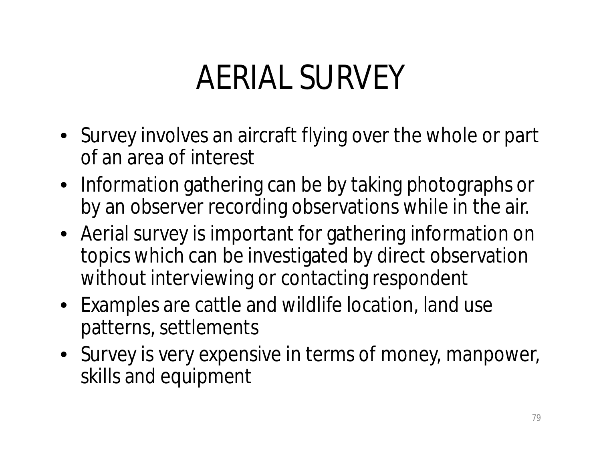## AERIAL SURVEY

- Survey involves an aircraft flying over the whole or part of an area of interest
- Information gathering can be by taking photographs or by an observer recording observations while in the air.
- Aerial survey is important for gathering information on topics which can be investigated by direct observation without interviewing or contacting respondent
- Examples are cattle and wildlife location, land use patterns, settlements
- Survey is very expensive in terms of money, manpower, skills and equipment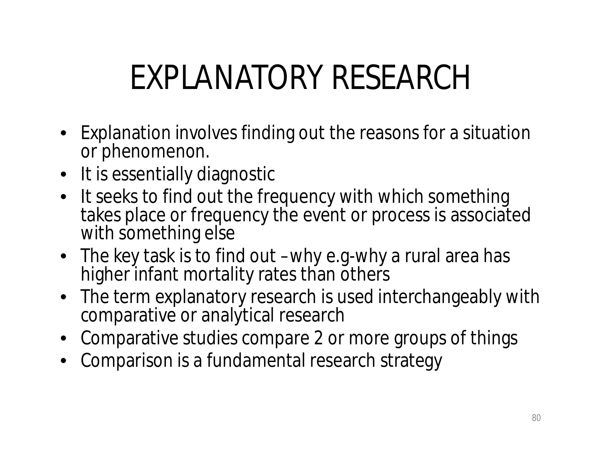# EXPLANATORY RESEARCH

- Explanation involves finding out the reasons for a situation or phenomenon.
- It is essentially diagnostic
- It seeks to find out the frequency with which something takes place or frequency the event or process is associated with something else
- The key task is to find out –why e.g-why a rural area has higher infant mortality rates than others
- The term explanatory research is used interchangeably with comparative or analytical research
- Comparative studies compare 2 or more groups of things
- Comparison is a fundamental research strategy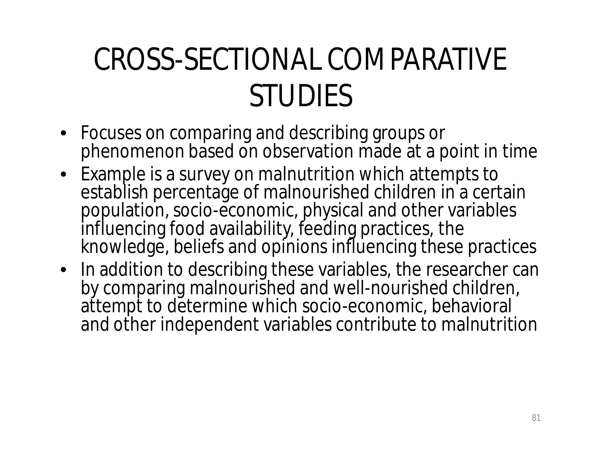### CROSS-SECTIONAL COMPARATIVE STUDIES

- Focuses on comparing and describing groups or phenomenon based on observation made at a point in time
- Example is a survey on malnutrition which attempts to establish percentage of malnourished children in a certain population, socio-economic, physical and other variables influencing food availability, feeding practices, the knowledge, beliefs and opinions influencing these practices
- In addition to describing these variables, the researcher can by comparing malnourished and well-nourished children, attempt to determine which socio-economic, behavioral and other independent variables contribute to malnutrition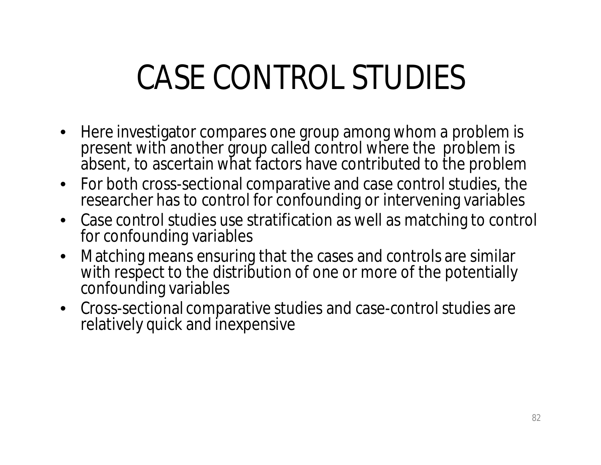# CASE CONTROL STUDIES

- Here investigator compares one group among whom a problem is present with another group called control where the problem is absent, to ascertain what factors have contributed to the problem
- For both cross-sectional comparative and case control studies, the researcher has to control for confounding or intervening variables
- Case control studies use stratification as well as matching to control for confounding variables
- Matching means ensuring that the cases and controls are similar with respect to the distribution of one or more of the potentially confounding variables
- Cross-sectional comparative studies and case-control studies are relatively quick and inexpensive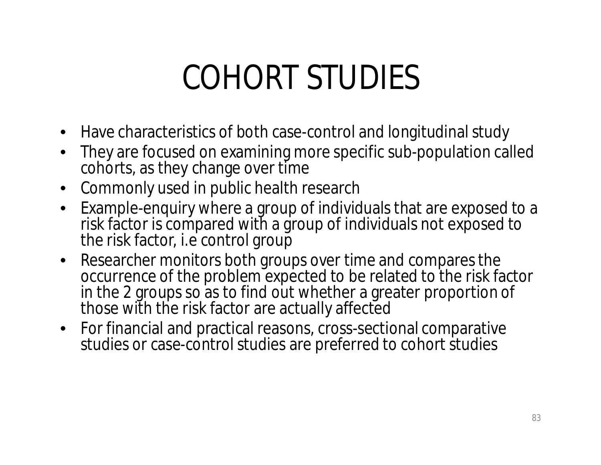### COHORT STUDIES

- Have characteristics of both case-control and longitudinal study
- They are focused on examining more specific sub-population called cohorts, as they change over time
- Commonly used in public health research
- Example-enquiry where a group of individuals that are exposed to a risk factor is compared with a group of individuals not exposed to the risk factor, i.e control group
- Researcher monitors both groups over time and compares the occurrence of the problem expected to be related to the risk factor in the 2 groups so as to find out whether a greater proportion of those with the risk factor are actually affected
- For financial and practical reasons, cross-sectional comparative studies or case-control studies are preferred to cohort studies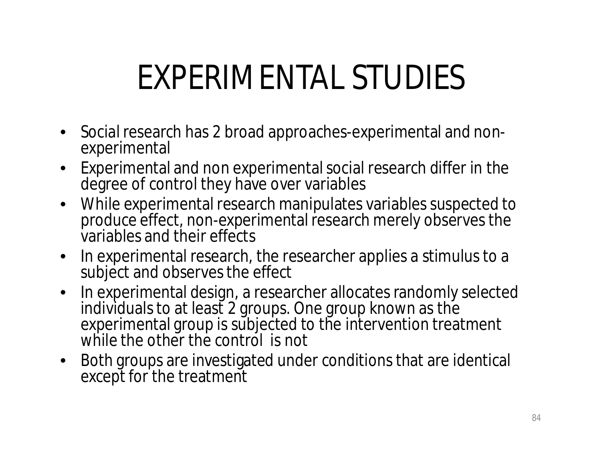# EXPERIMENTAL STUDIES

- Social research has 2 broad approaches-experimental and nonexperimental
- Experimental and non experimental social research differ in the degree of control they have over variables
- While experimental research manipulates variables suspected to produce effect, non-experimental research merely observes the variables and their effects
- In experimental research, the researcher applies a stimulus to a subject and observes the effect
- In experimental design, a researcher allocates randomly selected individuals to at least 2 groups. One group known as the experimental group is subjected to the intervention treatment while the other the control is not
- Both groups are investigated under conditions that are identical except for the treatment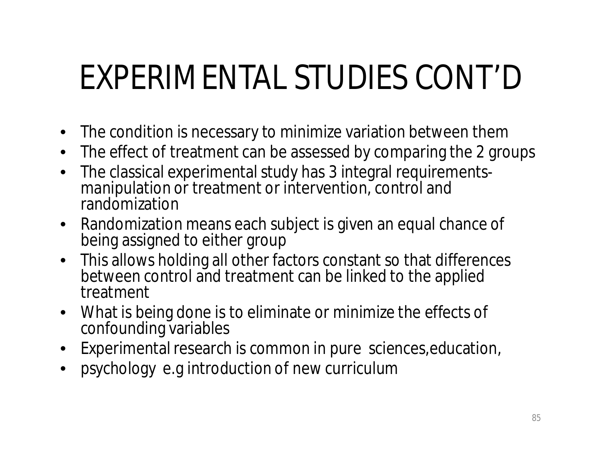# EXPERIMENTAL STUDIES CONT'D

- The condition is necessary to minimize variation between them
- The effect of treatment can be assessed by comparing the 2 groups
- The classical experimental study has 3 integral requirementsmanipulation or treatment or intervention, control and randomization
- Randomization means each subject is given an equal chance of being assigned to either group
- This allows holding all other factors constant so that differences between control and treatment can be linked to the applied treatment
- What is being done is to eliminate or minimize the effects of confounding variables
- Experimental research is common in pure sciences,education,
- psychology e.g introduction of new curriculum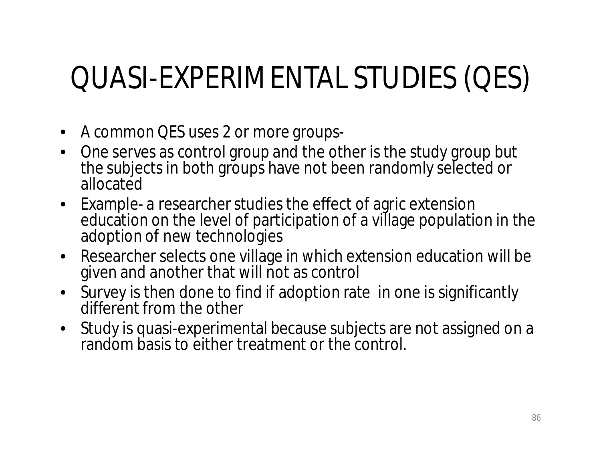### QUASI-EXPERIMENTAL STUDIES (QES)

- A common QES uses 2 or more groups-
- One serves as control group and the other is the study group but the subjects in both groups have not been randomly selected or allocated
- Example- a researcher studies the effect of agric extension education on the level of participation of a village population in the adoption of new technologies
- Researcher selects one village in which extension education will be given and another that will not as control
- Survey is then done to find if adoption rate in one is significantly different from the other
- Study is quasi-experimental because subjects are not assigned on a random basis to either treatment or the control.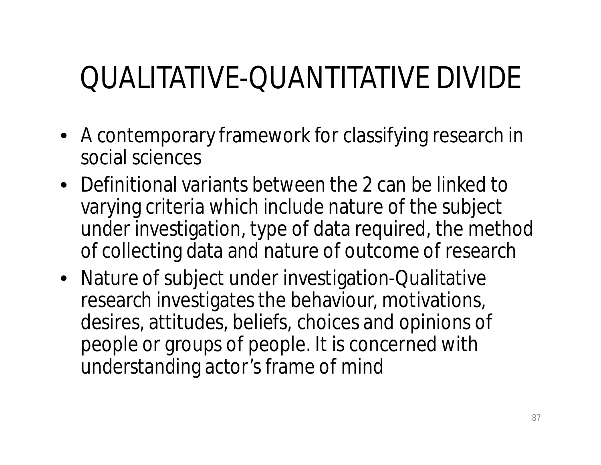### QUALITATIVE-QUANTITATIVE DIVIDE

- A contemporary framework for classifying research in social sciences
- Definitional variants between the 2 can be linked to varying criteria which include nature of the subject under investigation, type of data required, the method of collecting data and nature of outcome of research
- Nature of subject under investigation-Qualitative research investigates the behaviour, motivations, desires, attitudes, beliefs, choices and opinions of people or groups of people. It is concerned with understanding actor's frame of mind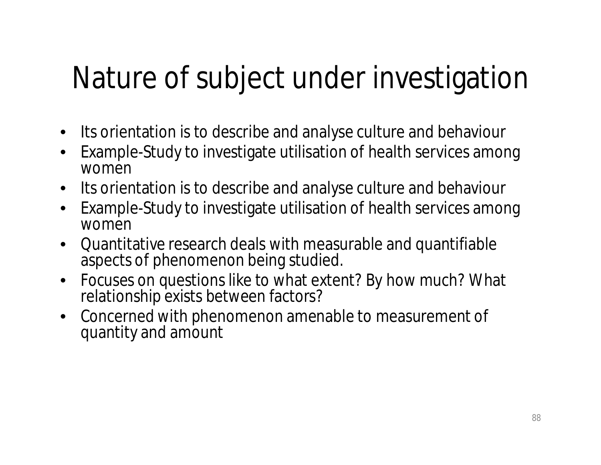#### Nature of subject under investigation

- Its orientation is to describe and analyse culture and behaviour
- Example-Study to investigate utilisation of health services among women
- Its orientation is to describe and analyse culture and behaviour
- Example-Study to investigate utilisation of health services among women
- Quantitative research deals with measurable and quantifiable aspects of phenomenon being studied.
- Focuses on questions like to what extent? By how much? What relationship exists between factors?
- Concerned with phenomenon amenable to measurement of quantity and amount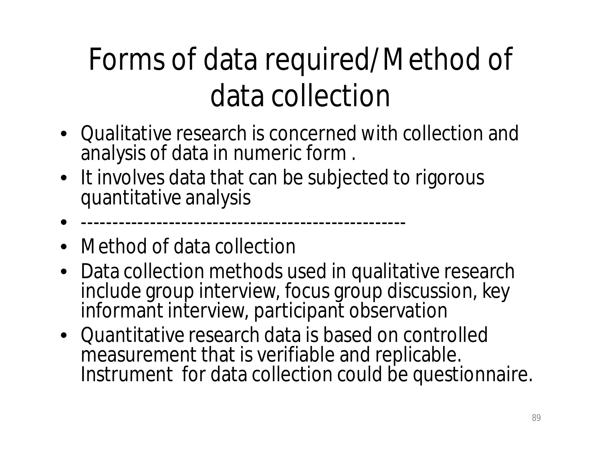### Forms of data required/Method of data collection

- Qualitative research is concerned with collection and analysis of data in numeric form .
- It involves data that can be subjected to rigorous quantitative analysis
- ----------------------------------------------------
- Method of data collection
- Data collection methods used in qualitative research include group interview, focus group discussion, key informant interview, participant observation
- Quantitative research data is based on controlled measurement that is verifiable and replicable. Instrument for data collection could be questionnaire.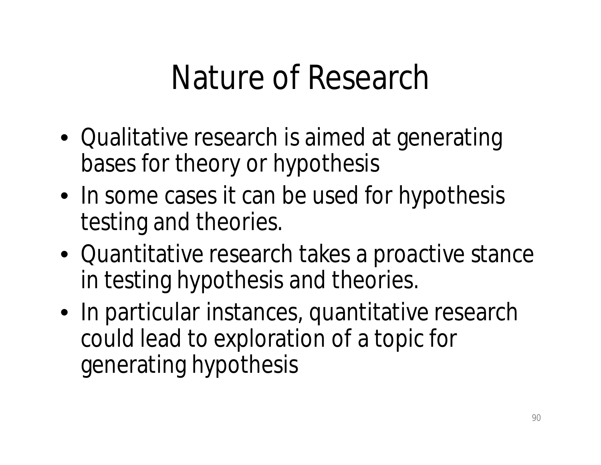### Nature of Research

- Qualitative research is aimed at generating bases for theory or hypothesis
- In some cases it can be used for hypothesis testing and theories.
- Quantitative research takes a proactive stance in testing hypothesis and theories.
- In particular instances, quantitative research could lead to exploration of a topic for generating hypothesis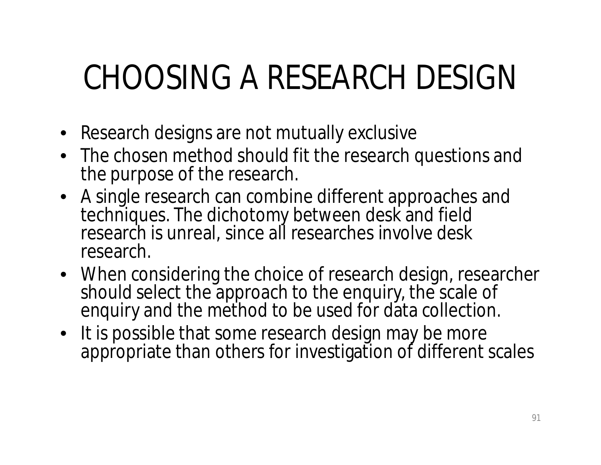# CHOOSING A RESEARCH DESIGN

- Research designs are not mutually exclusive
- The chosen method should fit the research questions and the purpose of the research.
- A single research can combine different approaches and techniques. The dichotomy between desk and field research is unreal, since all researches involve desk research.
- When considering the choice of research design, researcher should select the approach to the enquiry, the scale of enquiry and the method to be used for data collection.
- It is possible that some research design may be more appropriate than others for investigation of different scales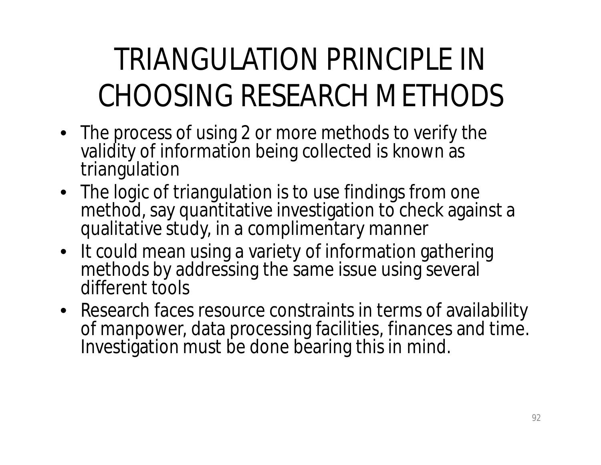### TRIANGULATION PRINCIPLE IN CHOOSING RESEARCH METHODS

- The process of using 2 or more methods to verify the validity of information being collected is known as triangulation
- The logic of triangulation is to use findings from one method, say quantitative investigation to check against a qualitative study, in a complimentary manner
- It could mean using a variety of information gathering methods by addressing the same issue using several different tools
- Research faces resource constraints in terms of availability of manpower, data processing facilities, finances and time. Investigation must be done bearing this in mind.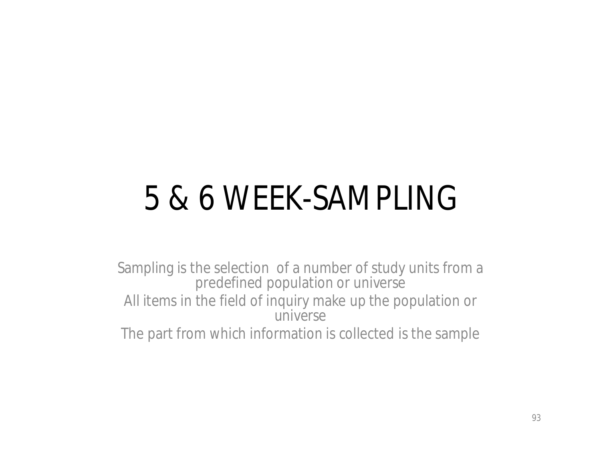# 5 & 6 WEEK-SAMPLING

Sampling is the selection of a number of study units from a predefined population or universe All items in the field of inquiry make up the population or universe The part from which information is collected is the sample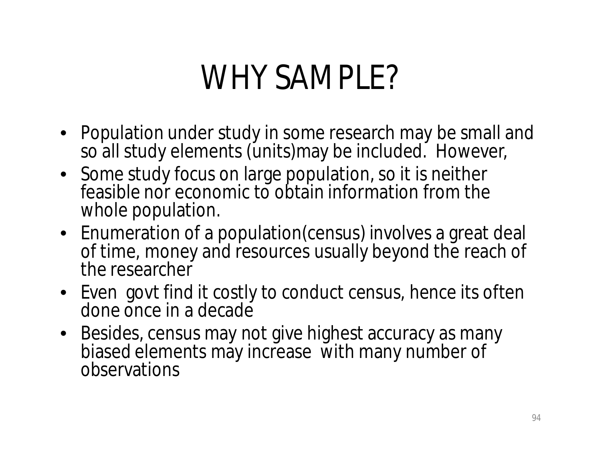### WHY SAMPLE?

- Population under study in some research may be small and so all study elements (units)may be included. However,
- Some study focus on large population, so it is neither feasible nor economic to obtain information from the whole population.
- Enumeration of a population(census) involves a great deal of time, money and resources usually beyond the reach of the researcher
- Even govt find it costly to conduct census, hence its often done once in a decade
- Besides, census may not give highest accuracy as many biased elements may increase with many number of observations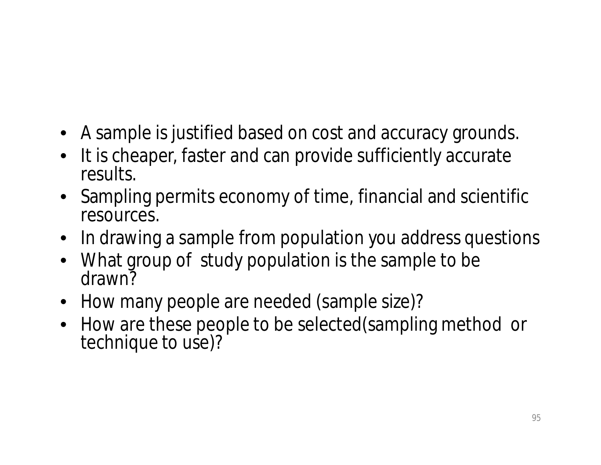- A sample is justified based on cost and accuracy grounds.
- It is cheaper, faster and can provide sufficiently accurate results.
- Sampling permits economy of time, financial and scientific resources.
- In drawing a sample from population you address questions
- What group of study population is the sample to be drawn?
- How many people are needed (sample size)?
- How are these people to be selected (sampling method or technique to use)?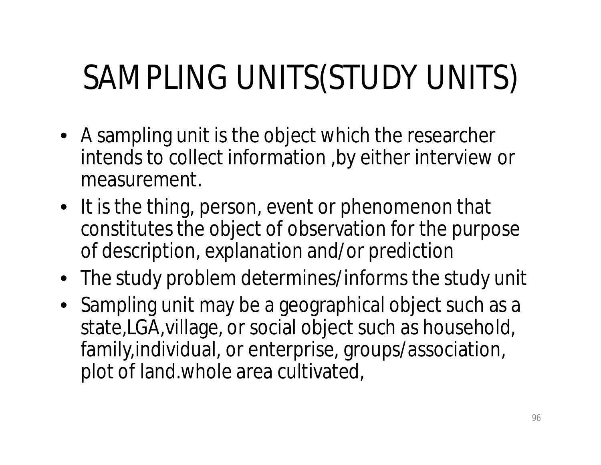# SAMPLING UNITS(STUDY UNITS)

- A sampling unit is the object which the researcher intends to collect information ,by either interview or measurement.
- It is the thing, person, event or phenomenon that constitutes the object of observation for the purpose of description, explanation and/or prediction
- The study problem determines/informs the study unit
- Sampling unit may be a geographical object such as a state,LGA,village, or social object such as household, family,individual, or enterprise, groups/association, plot of land.whole area cultivated,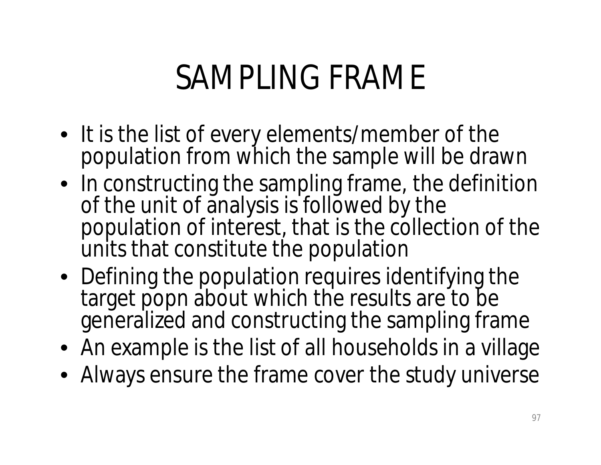## SAMPLING FRAME

- It is the list of every elements/member of the population from which the sample will be drawn
- In constructing the sampling frame, the definition of the unit of analysis is followed by the population of interest, that is the collection of the units that constitute the population
- Defining the population requires identifying the target popn about which the results are to be generalized and constructing the sampling frame
- An example is the list of all households in a village
- Always ensure the frame cover the study universe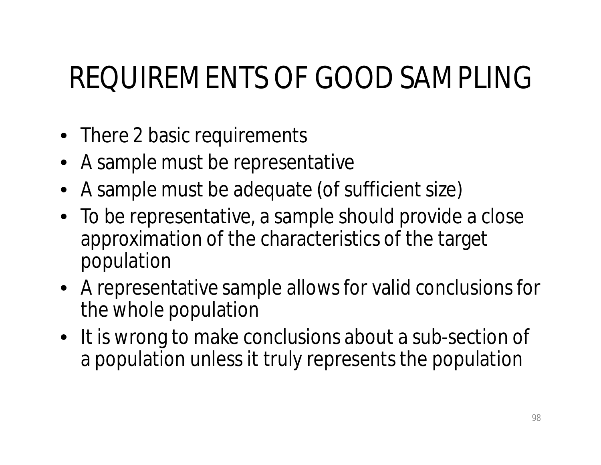#### REQUIREMENTS OF GOOD SAMPLING

- There 2 basic requirements
- A sample must be representative
- A sample must be adequate (of sufficient size)
- To be representative, a sample should provide a close approximation of the characteristics of the target population
- A representative sample allows for valid conclusions for the whole population
- It is wrong to make conclusions about a sub-section of a population unless it truly represents the population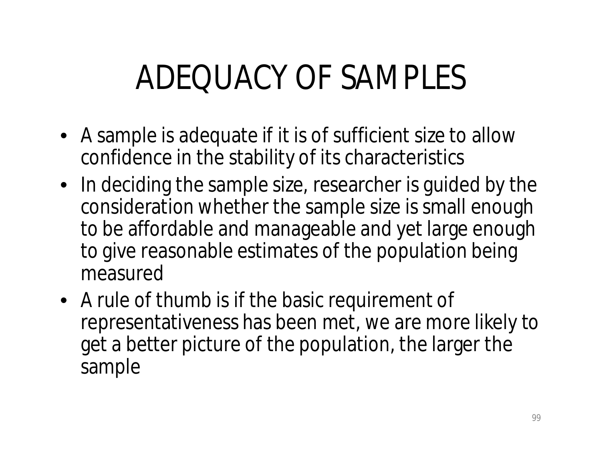# ADEQUACY OF SAMPLES

- A sample is adequate if it is of sufficient size to allow confidence in the stability of its characteristics
- In deciding the sample size, researcher is guided by the consideration whether the sample size is small enough to be affordable and manageable and yet large enough to give reasonable estimates of the population being measured
- A rule of thumb is if the basic requirement of representativeness has been met, we are more likely to get a better picture of the population, the larger the sample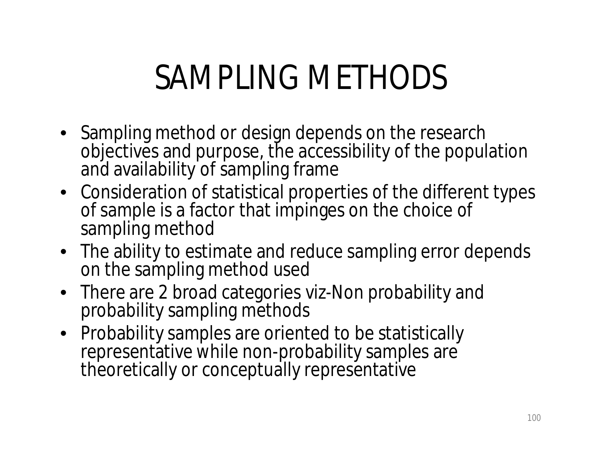## SAMPLING METHODS

- Sampling method or design depends on the research objectives and purpose, the accessibility of the population and availability of sampling frame
- Consideration of statistical properties of the different types of sample is a factor that impinges on the choice of sampling method
- The ability to estimate and reduce sampling error depends on the sampling method used
- There are 2 broad categories viz-Non probability and probability sampling methods
- Probability samples are oriented to be statistically representative while non-probability samples are theoretically or conceptually representative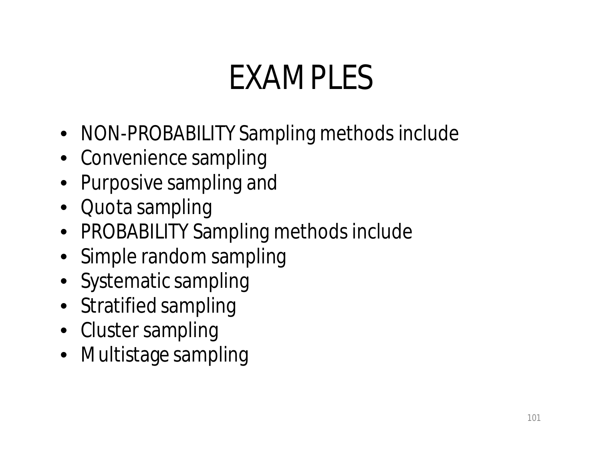# EXAMPLES

- NON-PROBABILITY Sampling methods include
- Convenience sampling
- Purposive sampling and
- Quota sampling
- PROBABILITY Sampling methods include
- Simple random sampling
- Systematic sampling
- Stratified sampling
- Cluster sampling
- Multistage sampling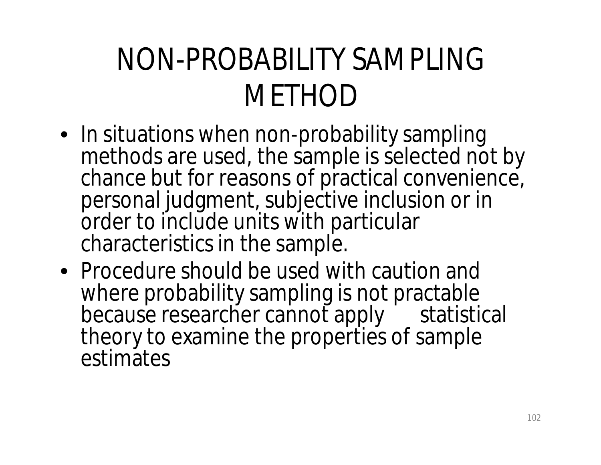### NON-PROBABILITY SAMPLING **METHOD**

- In situations when non-probability sampling methods are used, the sample is selected not by chance but for reasons of practical convenience, personal judgment, subjective inclusion or in order to include units with particular characteristics in the sample.
- Procedure should be used with caution and where probability sampling is not practable because researcher cannot apply statistical theory to examine the properties of sample estimates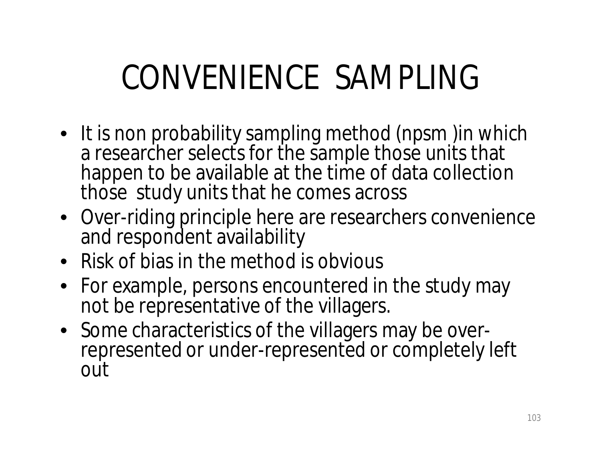# CONVENIENCE SAMPLING

- It is non probability sampling method (npsm )in which a researcher selects for the sample those units that happen to be available at the time of data collection those study units that he comes across
- Over-riding principle here are researchers convenience and respondent availability
- Risk of bias in the method is obvious
- For example, persons encountered in the study may not be representative of the villagers.
- Some characteristics of the villagers may be overrepresented or under-represented or completely left out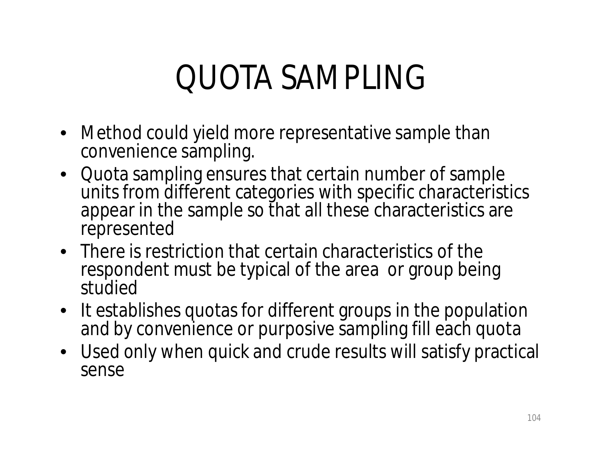## QUOTA SAMPLING

- Method could yield more representative sample than convenience sampling.
- Quota sampling ensures that certain number of sample units from different categories with specific characteristics appear in the sample so that all these characteristics are represented
- There is restriction that certain characteristics of the respondent must be typical of the area or group being studied
- It establishes quotas for different groups in the population and by convenience or purposive sampling fill each quota
- Used only when quick and crude results will satisfy practical sense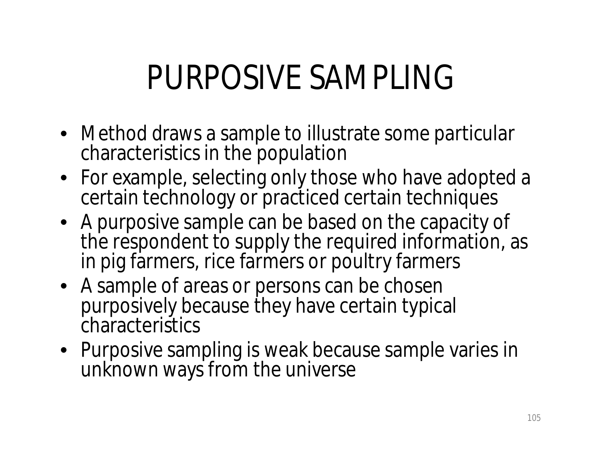### PURPOSIVE SAMPLING

- Method draws a sample to illustrate some particular characteristics in the population
- For example, selecting only those who have adopted a certain technology or practiced certain techniques
- A purposive sample can be based on the capacity of the respondent to supply the required information, as in pig farmers, rice farmers or poultry farmers
- A sample of areas or persons can be chosen purposively because they have certain typical characteristics
- Purposive sampling is weak because sample varies in unknown ways from the universe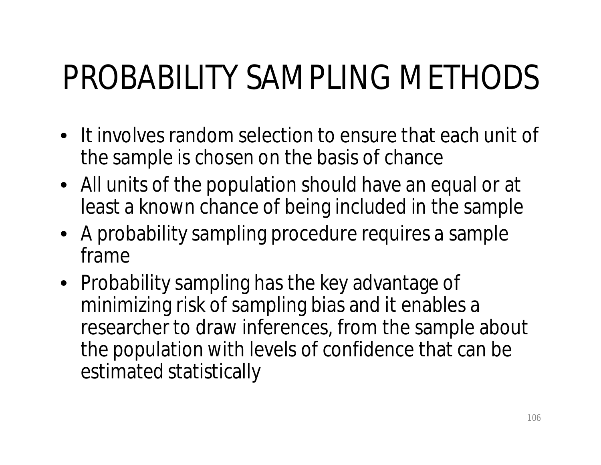# PROBABILITY SAMPLING METHODS

- It involves random selection to ensure that each unit of the sample is chosen on the basis of chance
- All units of the population should have an equal or at least a known chance of being included in the sample
- A probability sampling procedure requires a sample frame
- Probability sampling has the key advantage of minimizing risk of sampling bias and it enables a researcher to draw inferences, from the sample about the population with levels of confidence that can be estimated statistically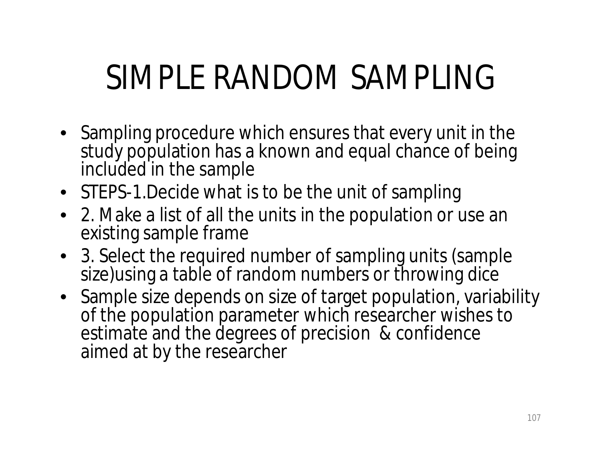# SIMPLE RANDOM SAMPLING

- Sampling procedure which ensures that every unit in the study population has a known and equal chance of being included in the sample
- STEPS-1.Decide what is to be the unit of sampling
- 2. Make a list of all the units in the population or use an existing sample frame
- 3. Select the required number of sampling units (sample size) using a table of random numbers or throwing dice
- Sample size depends on size of target population, variability of the population parameter which researcher wishes to estimate and the degrees of precision & confidence aimed at by the researcher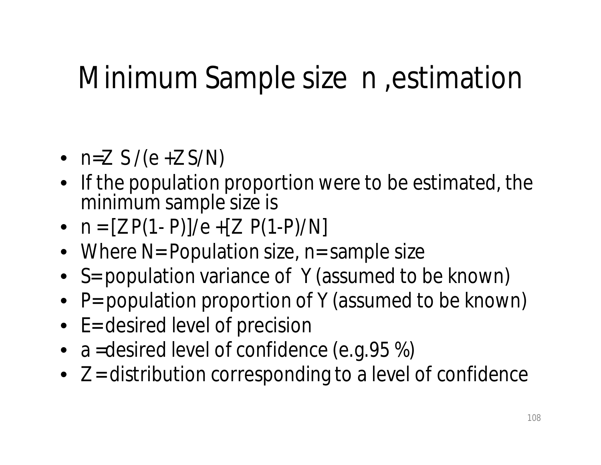#### Minimum Sample size n ,estimation

- $n=Z S/(e+Z S/N)$
- If the population proportion were to be estimated, the minimum sample size is
- $n = [Z P(1-P)]/e + [Z P(1-P)/N]$
- Where N= Population size, n= sample size
- S= population variance of Y (assumed to be known)
- P= population proportion of Y (assumed to be known)
- E= desired level of precision
- a = desired level of confidence (e.g. 95 %)
- $\bullet$  Z = distribution corresponding to a level of confidence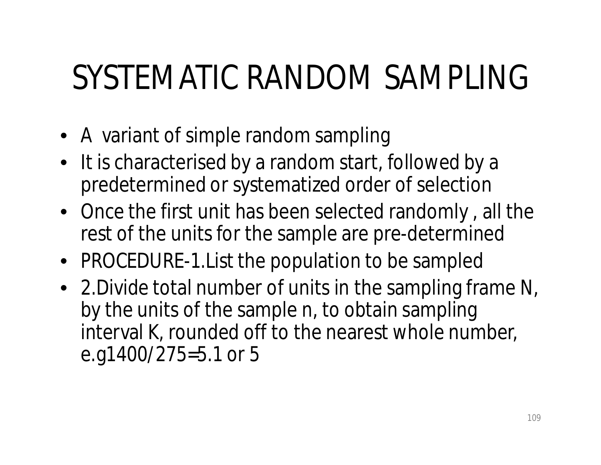# SYSTEMATIC RANDOM SAMPLING

- A variant of simple random sampling
- It is characterised by a random start, followed by a predetermined or systematized order of selection
- Once the first unit has been selected randomly , all the rest of the units for the sample are pre-determined
- PROCEDURE-1.List the population to be sampled
- 2.Divide total number of units in the sampling frame N, by the units of the sample n, to obtain sampling interval K, rounded off to the nearest whole number, e.g1400/275=5.1 or 5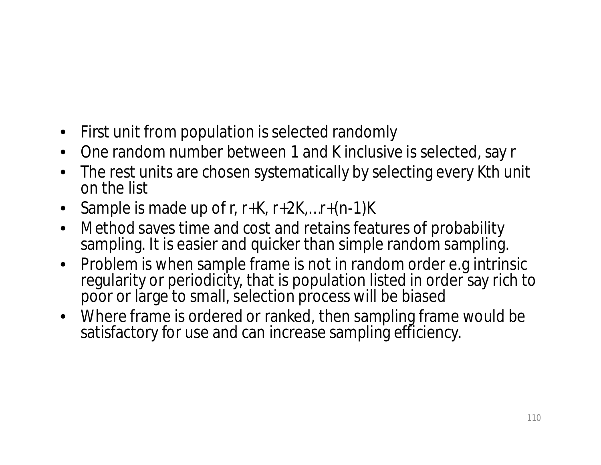- First unit from population is selected randomly
- One random number between 1 and K inclusive is selected, say r
- The rest units are chosen systematically by selecting every Kth unit on the list
- Sample is made up of r, r+K, r+2K,...r+(n-1)K
- Method saves time and cost and retains features of probability sampling. It is easier and quicker than simple random sampling.
- Problem is when sample frame is not in random order e.g intrinsic regularity or periodicity, that is population listed in order say rich to poor or large to small, selection process will be biased
- Where frame is ordered or ranked, then sampling frame would be satisfactory for use and can increase sampling efficiency.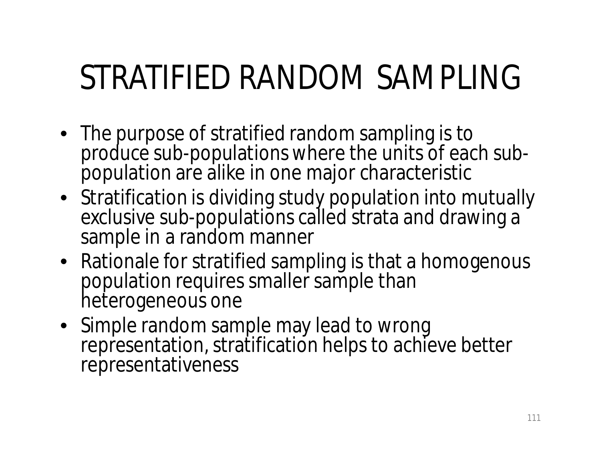# STRATIFIED RANDOM SAMPLING

- The purpose of stratified random sampling is to produce sub-populations where the units of each subpopulation are alike in one major characteristic
- Stratification is dividing study population into mutually exclusive sub-populations called strata and drawing a sample in a random manner
- Rationale for stratified sampling is that a homogenous population requires smaller sample than heterogeneous one
- Simple random sample may lead to wrong representation, stratification helps to achieve better representativeness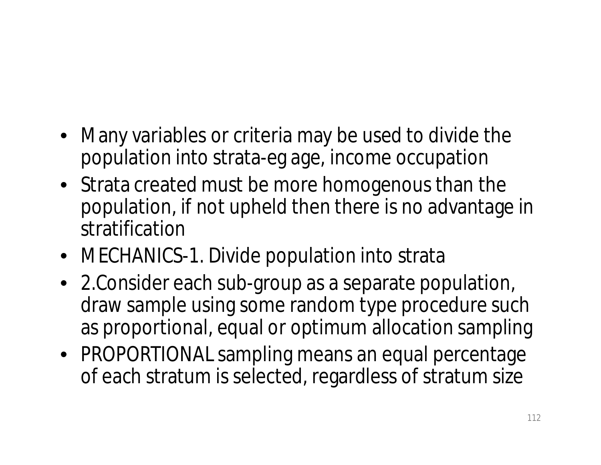- Many variables or criteria may be used to divide the population into strata-eg age, income occupation
- Strata created must be more homogenous than the population, if not upheld then there is no advantage in stratification
- MECHANICS-1. Divide population into strata
- 2.Consider each sub-group as a separate population, draw sample using some random type procedure such as proportional, equal or optimum allocation sampling
- PROPORTIONAL sampling means an equal percentage of each stratum is selected, regardless of stratum size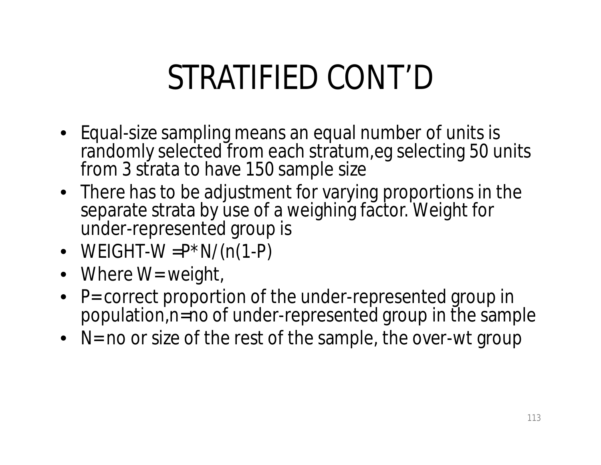# STRATIFIED CONT'D

- Equal-size sampling means an equal number of units is randomly selected from each stratum, eg selecting 50 units from 3 strata to have 150 sample size
- There has to be adjustment for varying proportions in the separate strata by use of a weighing factor. Weight for under-represented group is
- WEIGHT-W  $= P^*N/(n(1-P))$
- Where W= weight,
- P= correct proportion of the under-represented group in population,n=no of under-represented group in the sample
- N= no or size of the rest of the sample, the over-wt group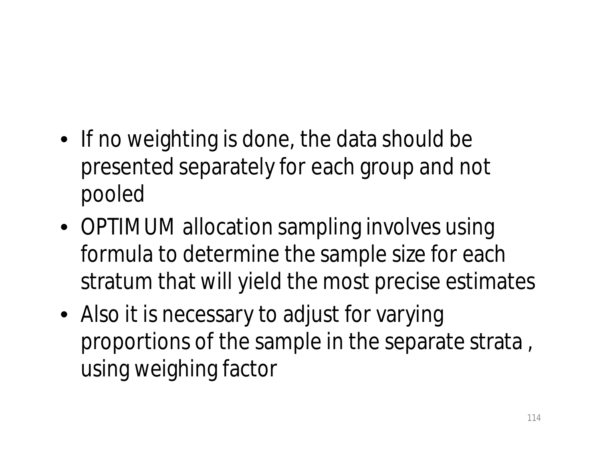- If no weighting is done, the data should be presented separately for each group and not pooled
- OPTIMUM allocation sampling involves using formula to determine the sample size for each stratum that will yield the most precise estimates
- Also it is necessary to adjust for varying proportions of the sample in the separate strata , using weighing factor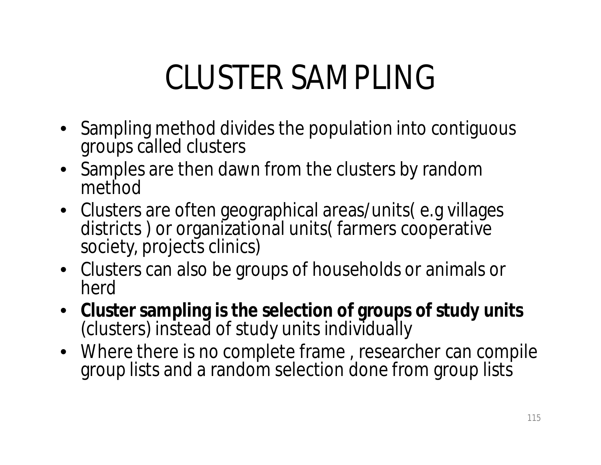# CLUSTER SAMPLING

- Sampling method divides the population into contiguous groups called clusters
- Samples are then dawn from the clusters by random method
- Clusters are often geographical areas/units( e.g villages districts ) or organizational units( farmers cooperative society, projects clinics)
- Clusters can also be groups of households or animals or herd
- **Cluster sampling is the selection of groups of study units**  (clusters) instead of study units individually
- Where there is no complete frame , researcher can compile group lists and a random selection done from group lists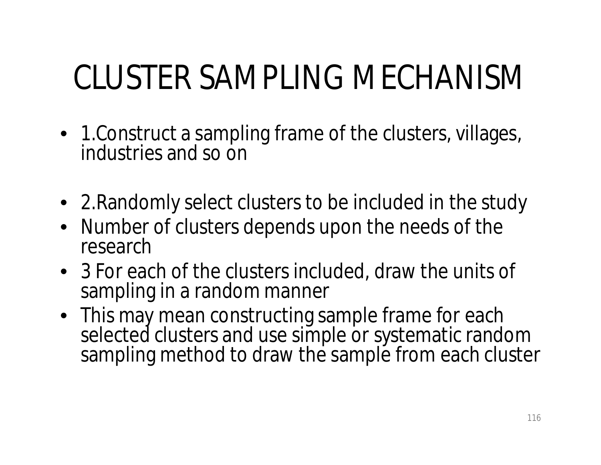# CLUSTER SAMPLING MECHANISM

- 1.Construct a sampling frame of the clusters, villages, industries and so on
- 2.Randomly select clusters to be included in the study
- Number of clusters depends upon the needs of the research
- 3 For each of the clusters included, draw the units of sampling in a random manner
- This may mean constructing sample frame for each selected clusters and use simple or systematic random sampling method to draw the sample from each cluster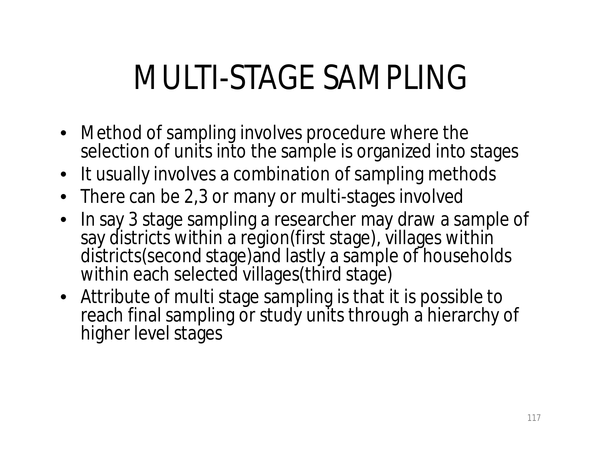## MULTI-STAGE SAMPLING

- Method of sampling involves procedure where the selection of units into the sample is organized into stages
- It usually involves a combination of sampling methods
- There can be 2,3 or many or multi-stages involved
- In say 3 stage sampling a researcher may draw a sample of say districts within a region(first stage), villages within districts(second stage)and lastly a sample of households within each selected villages (third stage)
- Attribute of multi stage sampling is that it is possible to reach final sampling or study units through a hierarchy of higher level stages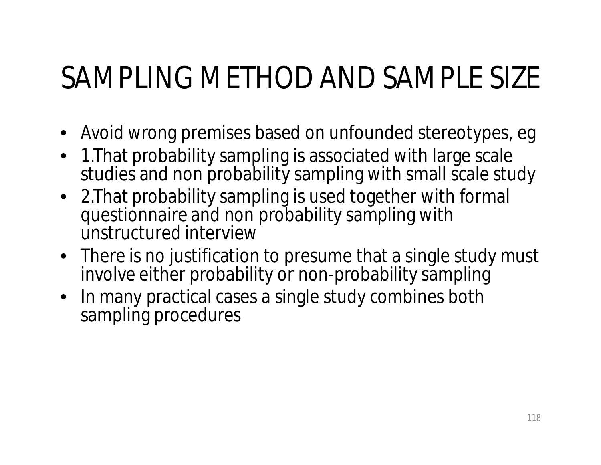#### SAMPLING METHOD AND SAMPLE SIZE

- Avoid wrong premises based on unfounded stereotypes, eg
- 1.That probability sampling is associated with large scale studies and non probability sampling with small scale study
- 2.That probability sampling is used together with formal questionnaire and non probability sampling with unstructured interview
- There is no justification to presume that a single study must involve either probability or non-probability sampling
- In many practical cases a single study combines both sampling procedures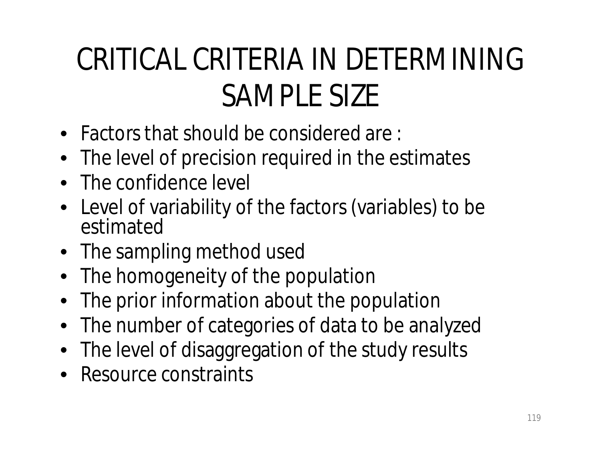### CRITICAL CRITERIA IN DETERMINING SAMPLE SIZE

- Factors that should be considered are :
- The level of precision required in the estimates
- The confidence level
- Level of variability of the factors (variables) to be estimated
- The sampling method used
- The homogeneity of the population
- The prior information about the population
- The number of categories of data to be analyzed
- The level of disaggregation of the study results
- Resource constraints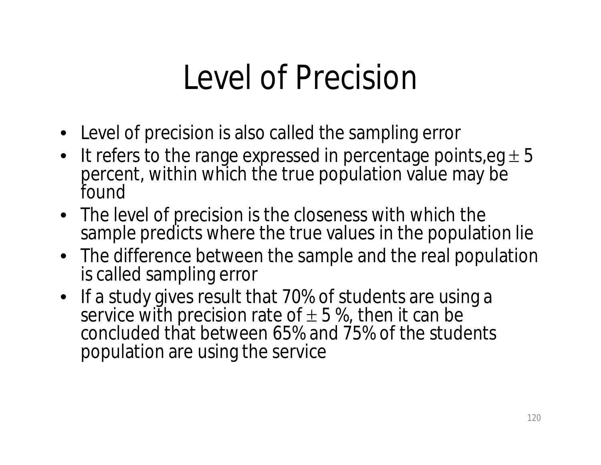### Level of Precision

- Level of precision is also called the sampling error
- It refers to the range expressed in percentage points,  $eg \pm 5$ percent, within which the true population value may be found
- The level of precision is the closeness with which the sample predicts where the true values in the population lie
- The difference between the sample and the real population is called sampling error
- If a study gives result that 70% of students are using a service with precision rate of  $\pm$  5 %, then it can be concluded that between 65% and 75% of the students population are using the service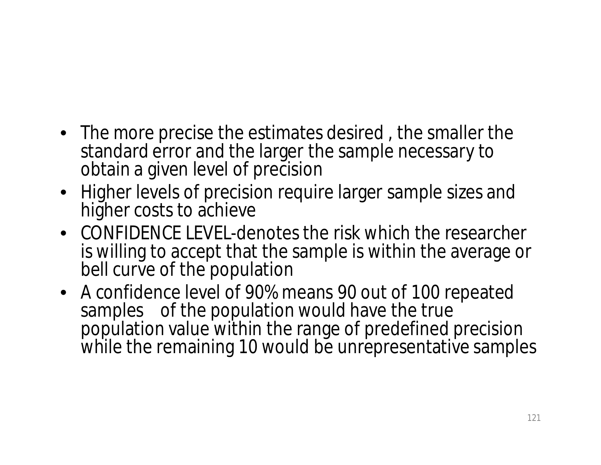- The more precise the estimates desired , the smaller the standard error and the larger the sample necessary to obtain a given level of precision
- Higher levels of precision require larger sample sizes and higher costs to achieve
- CONFIDENCE LEVEL-denotes the risk which the researcher is willing to accept that the sample is within the average or bell curve of the population
- A confidence level of 90% means 90 out of 100 repeated samples of the population would have the true population value within the range of predefined precision while the remaining 10 would be unrepresentative samples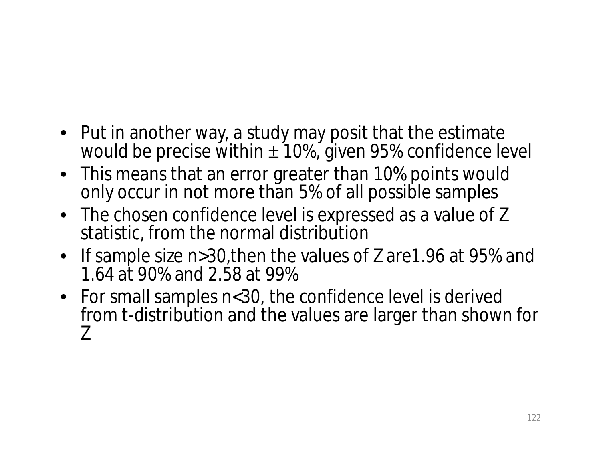- Put in another way, a study may posit that the estimate would be precise within  $\pm$  10%, given 95% confidence level
- This means that an error greater than 10% points would only occur in not more than 5% of all possible samples
- The chosen confidence level is expressed as a value of Z statistic, from the normal distribution
- If sample size n>30,then the values of Z are1.96 at 95% and 1.64 at 90% and 2.58 at 99%
- For small samples n<30, the confidence level is derived from t-distribution and the values are larger than shown for Z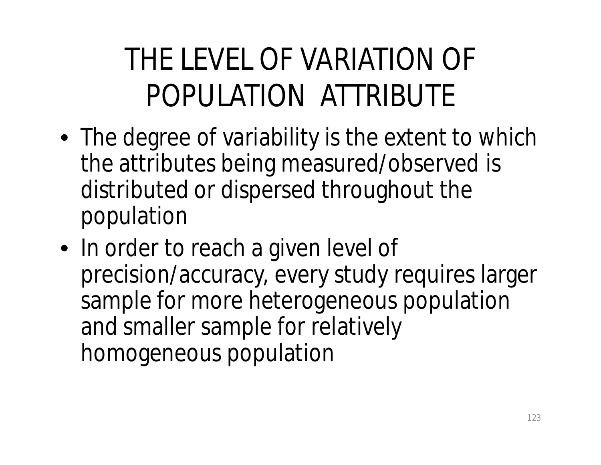### THE LEVEL OF VARIATION OF POPULATION ATTRIBUTE

- The degree of variability is the extent to which the attributes being measured/observed is distributed or dispersed throughout the population
- In order to reach a given level of precision/accuracy, every study requires larger sample for more heterogeneous population and smaller sample for relatively homogeneous population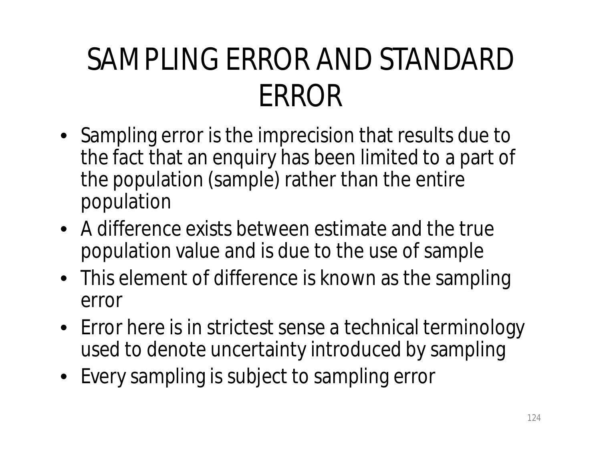### SAMPLING ERROR AND STANDARD ERROR

- Sampling error is the imprecision that results due to the fact that an enquiry has been limited to a part of the population (sample) rather than the entire population
- A difference exists between estimate and the true population value and is due to the use of sample
- This element of difference is known as the sampling error
- Error here is in strictest sense a technical terminology used to denote uncertainty introduced by sampling
- Every sampling is subject to sampling error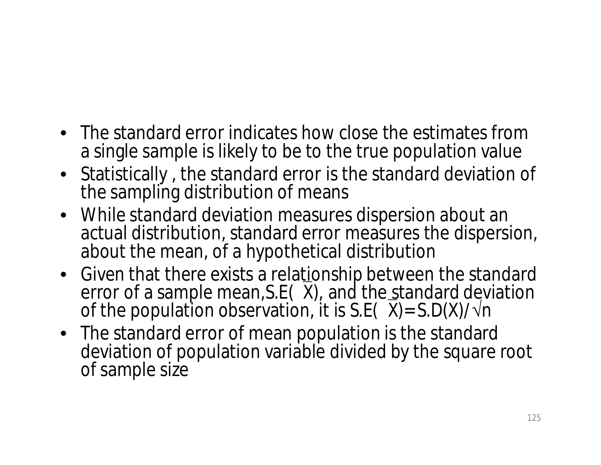- The standard error indicates how close the estimates from a single sample is likely to be to the true population value
- Statistically , the standard error is the standard deviation of the sampling distribution of means
- While standard deviation measures dispersion about an actual distribution, standard error measures the dispersion, about the mean, of a hypothetical distribution
- Given that there exists a relationship between the standard error of a sample mean, S.E(X), and the standard deviation of the population observation, it is S.E( $\overline{X}$ )= S.D(X)/ $\sqrt{n}$
- The standard error of mean population is the standard deviation of population variable divided by the square root of sample size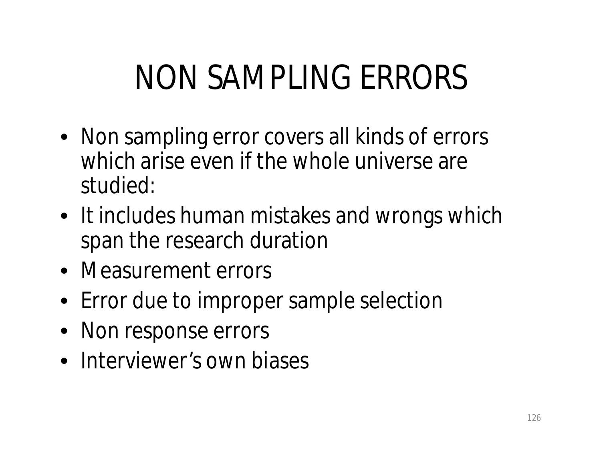# NON SAMPLING ERRORS

- Non sampling error covers all kinds of errors which arise even if the whole universe are studied:
- It includes human mistakes and wrongs which span the research duration
- Measurement errors
- Error due to improper sample selection
- Non response errors
- Interviewer's own biases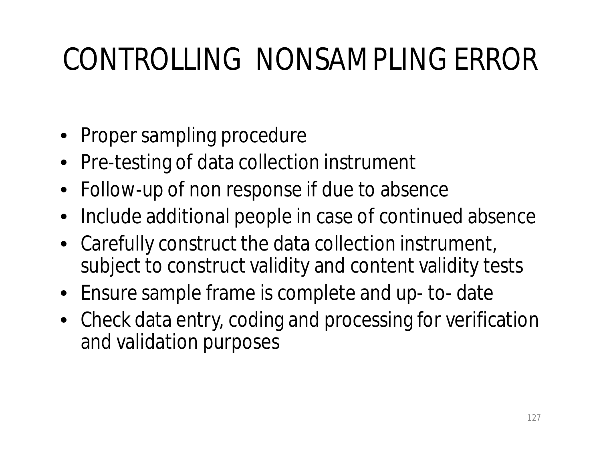### CONTROLLING NONSAMPLING ERROR

- Proper sampling procedure
- Pre-testing of data collection instrument
- Follow-up of non response if due to absence
- Include additional people in case of continued absence
- Carefully construct the data collection instrument, subject to construct validity and content validity tests
- Ensure sample frame is complete and up- to- date
- Check data entry, coding and processing for verification and validation purposes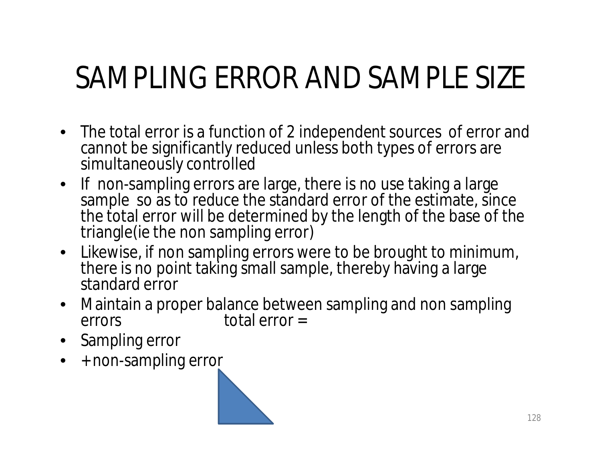#### SAMPLING ERROR AND SAMPLE SIZE

- The total error is a function of 2 independent sources of error and cannot be significantly reduced unless both types of errors are simultaneously controlled
- If non-sampling errors are large, there is no use taking a large sample so as to reduce the standard error of the estimate, since the total error will be determined by the length of the base of the triangle(ie the non sampling error)
- Likewise, if non sampling errors were to be brought to minimum, there is no point taking small sample, thereby having a large standard error
- Maintain a proper balance between sampling and non sampling errors total error =
- Sampling error
- + non-sampling error

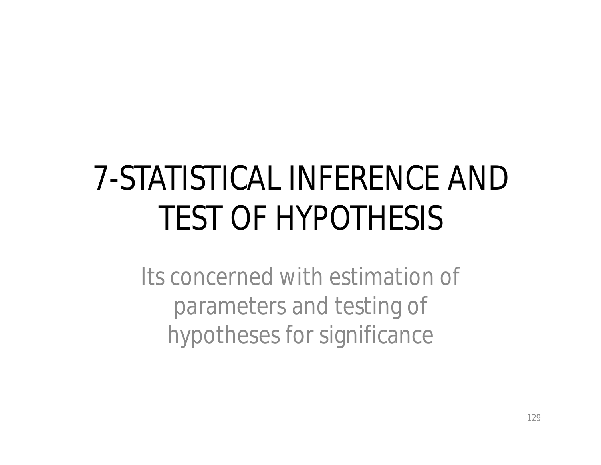# 7-STATISTICAL INFERENCE AND TEST OF HYPOTHESIS

Its concerned with estimation of parameters and testing of hypotheses for significance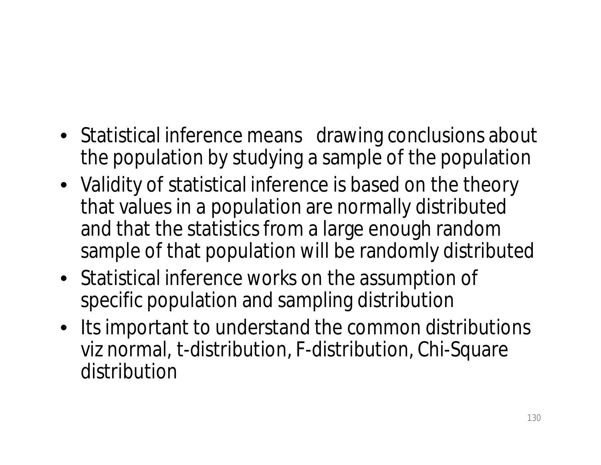- Statistical inference means drawing conclusions about the population by studying a sample of the population
- Validity of statistical inference is based on the theory that values in a population are normally distributed and that the statistics from a large enough random sample of that population will be randomly distributed
- Statistical inference works on the assumption of specific population and sampling distribution
- Its important to understand the common distributions viz normal, t-distribution, F-distribution, Chi-Square distribution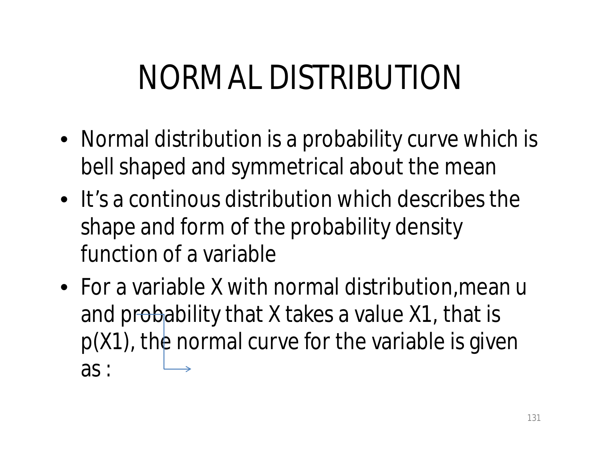# NORMAL DISTRIBUTION

- Normal distribution is a probability curve which is bell shaped and symmetrical about the mean
- It's a continous distribution which describes the shape and form of the probability density function of a variable
- For a variable X with normal distribution, mean u and probability that X takes a value X1, that is p(X1), the normal curve for the variable is given as :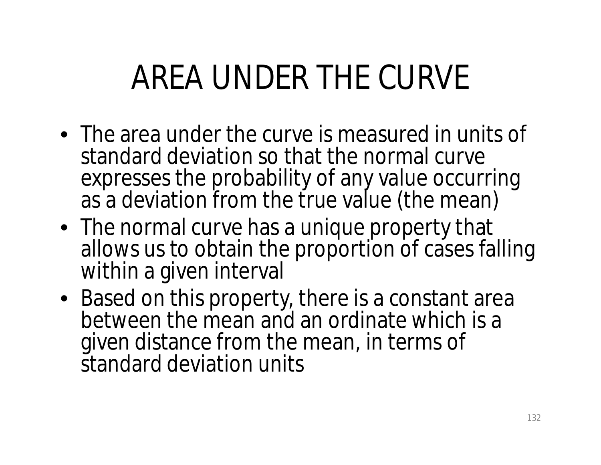# AREA UNDER THE CURVE

- The area under the curve is measured in units of standard deviation so that the normal curve expresses the probability of any value occurring as a deviation from the true value (the mean)
- The normal curve has a unique property that allows us to obtain the proportion of cases falling within a given interval
- Based on this property, there is a constant area between the mean and an ordinate which is a given distance from the mean, in terms of standard deviation units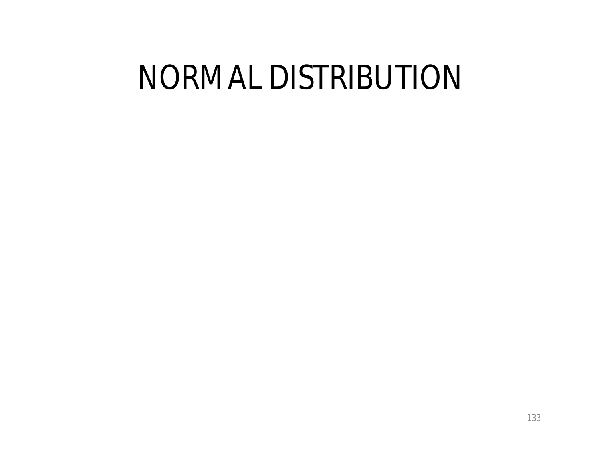### NORMAL DISTRIBUTION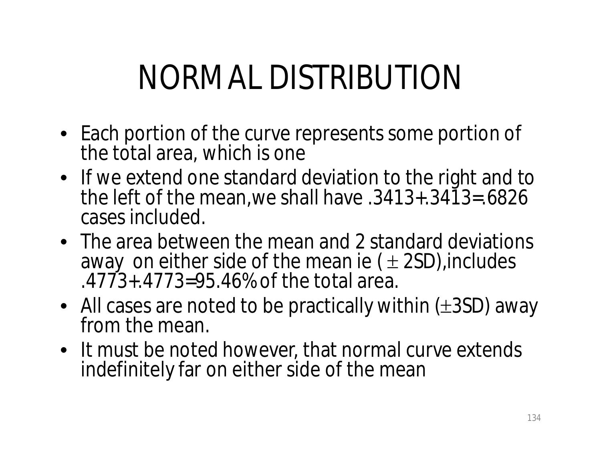# NORMAL DISTRIBUTION

- Each portion of the curve represents some portion of the total area, which is one
- If we extend one standard deviation to the right and to the left of the mean,we shall have .3413+.3413=.6826 cases included.
- The area between the mean and 2 standard deviations away on either side of the mean ie ( $\pm$  2SD), includes .4773+.4773=95.46% of the total area.
- All cases are noted to be practically within  $(\pm 3SD)$  away from the mean.
- It must be noted however, that normal curve extends indefinitely far on either side of the mean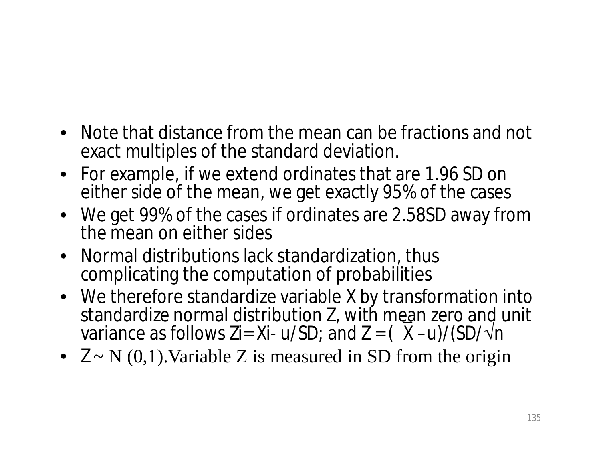- Note that distance from the mean can be fractions and not exact multiples of the standard deviation.
- For example, if we extend ordinates that are 1.96 SD on either side of the mean, we get exactly 95% of the cases
- We get 99% of the cases if ordinates are 2.58SD away from the mean on either sides
- Normal distributions lack standardization, thus complicating the computation of probabilities
- We therefore standardize variable X by transformation into standardize normal distribution Z, with mean zero and unit variance as follows Zi= Xi- u/SD; and  $Z = (X - u)/(SD/\sqrt{n})$
- $Z \sim N(0,1)$ . Variable Z is measured in SD from the origin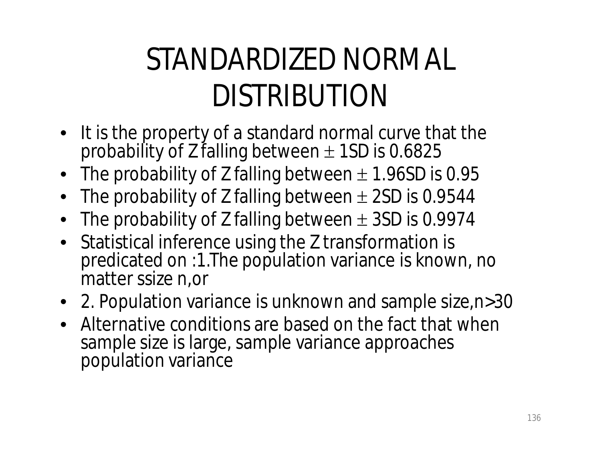### STANDARDIZED NORMAL DISTRIBUTION

- It is the property of a standard normal curve that the probability of Z falling between  $\pm$  1SD is 0.6825
- The probability of Z falling between  $\pm$  1.96SD is 0.95
- The probability of Z falling between  $\pm$  2SD is 0.9544
- The probability of Z falling between  $\pm$  3SD is 0.9974
- Statistical inference using the Z transformation is predicated on :1. The population variance is known, no matter ssize n,or
- 2. Population variance is unknown and sample size,n>30
- Alternative conditions are based on the fact that when sample size is large, sample variance approaches population variance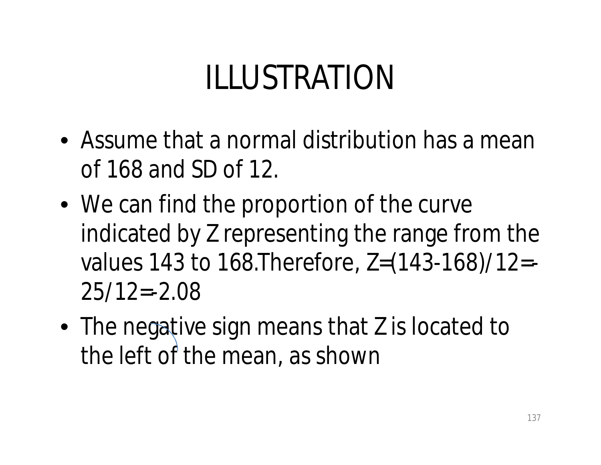## ILLUSTRATION

- Assume that a normal distribution has a mean of 168 and SD of 12.
- We can find the proportion of the curve indicated by Z representing the range from the values 143 to 168.Therefore, Z=(143-168)/12=-  $25/12=-2.08$
- The negative sign means that Z is located to the left of the mean, as shown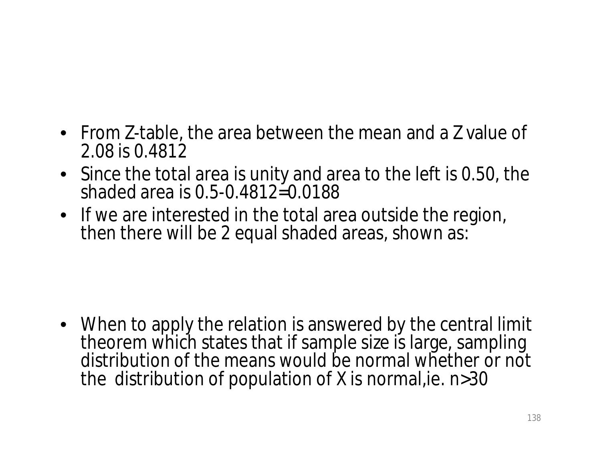- From Z-table, the area between the mean and a Z value of 2.08 is 0.4812
- Since the total area is unity and area to the left is 0.50, the shaded area is 0.5-0.4812=0.0188
- If we are interested in the total area outside the region, then there will be 2 equal shaded areas, shown as:

• When to apply the relation is answered by the central limit theorem which states that if sample size is large, sampling distribution of the means would be normal whether or not the distribution of population of X is normal,ie. n>30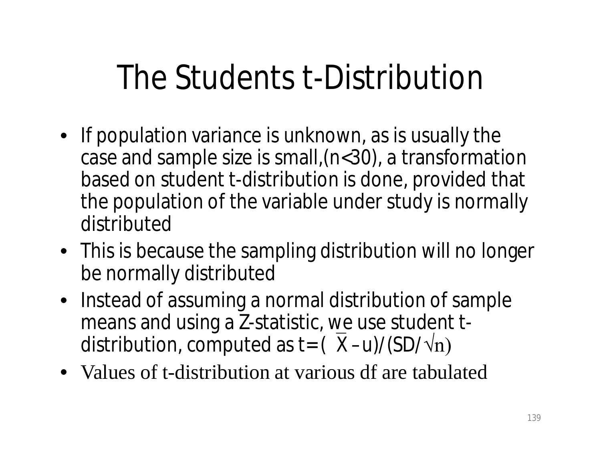## The Students t-Distribution

- If population variance is unknown, as is usually the case and sample size is small,(n<30), a transformation based on student t-distribution is done, provided that the population of the variable under study is normally distributed
- This is because the sampling distribution will no longer be normally distributed
- Instead of assuming a normal distribution of sample means and using a Z-statistic, we use student tdistribution, computed as t=  $(X – u)/(SD/vn)$
- Values of t-distribution at various df are tabulated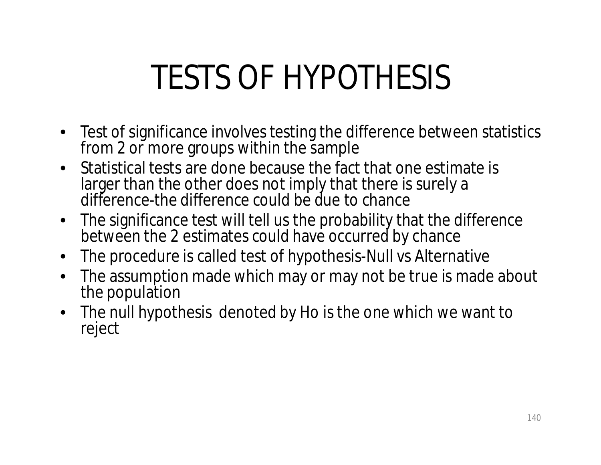# TESTS OF HYPOTHESIS

- Test of significance involves testing the difference between statistics from 2 or more groups within the sample
- Statistical tests are done because the fact that one estimate is larger than the other does not imply that there is surely a difference-the difference could be due to chance
- The significance test will tell us the probability that the difference between the 2 estimates could have occurred by chance
- The procedure is called test of hypothesis-Null vs Alternative
- The assumption made which may or may not be true is made about the population
- The null hypothesis denoted by Ho is the one which we want to reject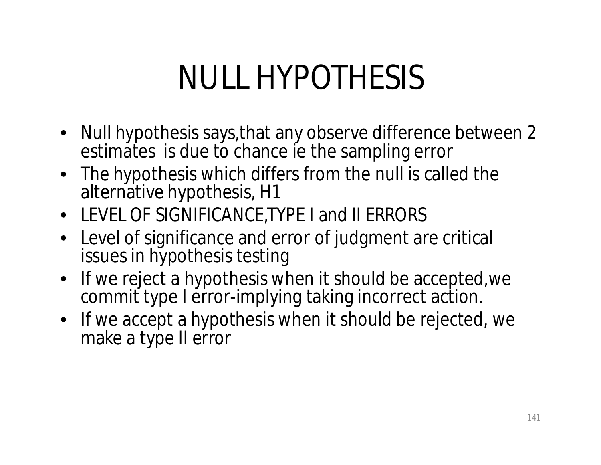# NULL HYPOTHESIS

- Null hypothesis says,that any observe difference between 2 estimates is due to chance ie the sampling error
- The hypothesis which differs from the null is called the alternative hypothesis, H1
- LEVEL OF SIGNIFICANCE,TYPE I and II ERRORS
- Level of significance and error of judgment are critical issues in hypothesis testing
- If we reject a hypothesis when it should be accepted,we commit type I error-implying taking incorrect action.
- If we accept a hypothesis when it should be rejected, we make a type II error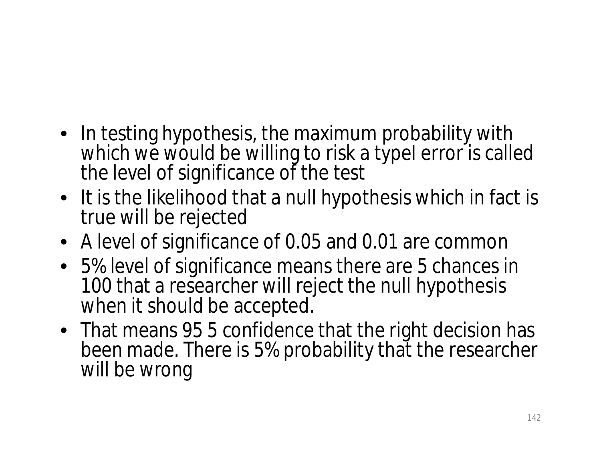- In testing hypothesis, the maximum probability with which we would be willing to risk a typel error is called the level of significance of the test
- It is the likelihood that a null hypothesis which in fact is true will be rejected
- A level of significance of 0.05 and 0.01 are common
- 5% level of significance means there are 5 chances in 100 that a researcher will reject the null hypothesis when it should be accepted.
- That means 95 5 confidence that the right decision has been made. There is 5% probability that the researcher will be wrong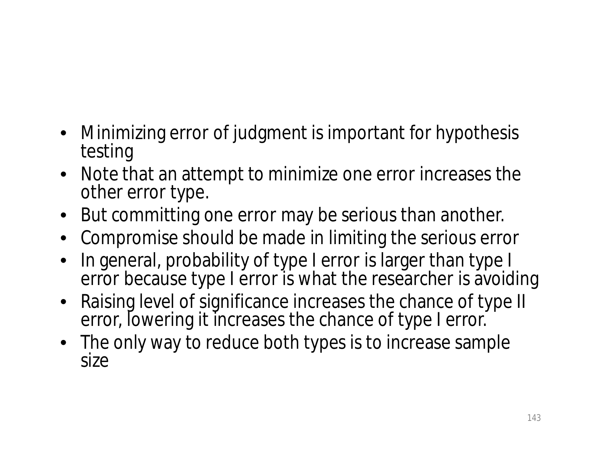- Minimizing error of judgment is important for hypothesis testing
- Note that an attempt to minimize one error increases the other error type.
- But committing one error may be serious than another.
- Compromise should be made in limiting the serious error
- In general, probability of type I error is larger than type I error because type I error is what the researcher is avoiding
- Raising level of significance increases the chance of type II error, lowering it increases the chance of type I error.
- The only way to reduce both types is to increase sample size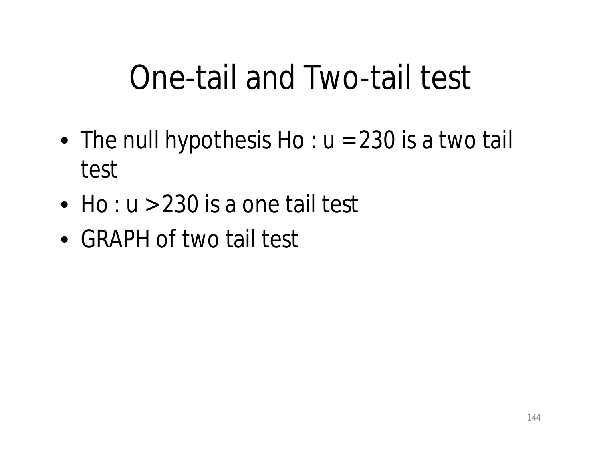### One-tail and Two-tail test

- The null hypothesis  $Ho: u = 230$  is a two tail test
- Ho :  $u > 230$  is a one tail test
- GRAPH of two tail test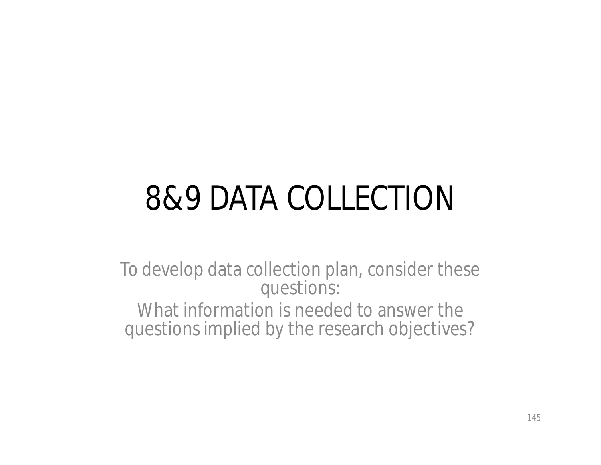# 8&9 DATA COLLECTION

To develop data collection plan, consider these questions: What information is needed to answer the questions implied by the research objectives?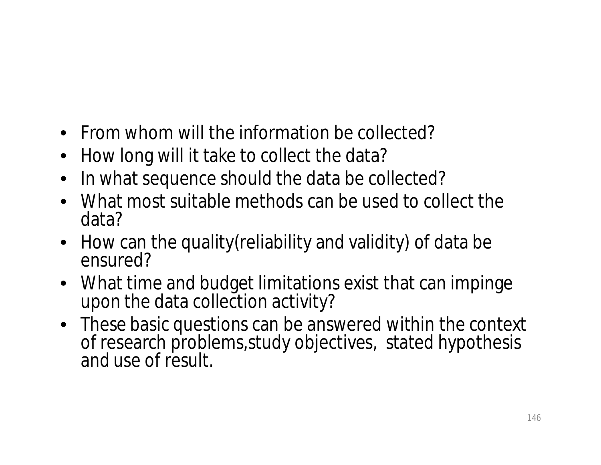- From whom will the information be collected?
- How long will it take to collect the data?
- In what sequence should the data be collected?
- What most suitable methods can be used to collect the data?
- How can the quality (reliability and validity) of data be ensured?
- What time and budget limitations exist that can impinge upon the data collection activity?
- These basic questions can be answered within the context of research problems,study objectives, stated hypothesis and use of result.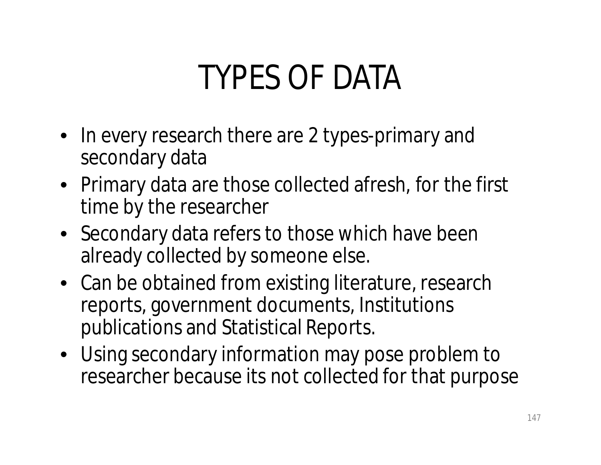## TYPES OF DATA

- In every research there are 2 types-primary and secondary data
- Primary data are those collected afresh, for the first time by the researcher
- Secondary data refers to those which have been already collected by someone else.
- Can be obtained from existing literature, research reports, government documents, Institutions publications and Statistical Reports.
- Using secondary information may pose problem to researcher because its not collected for that purpose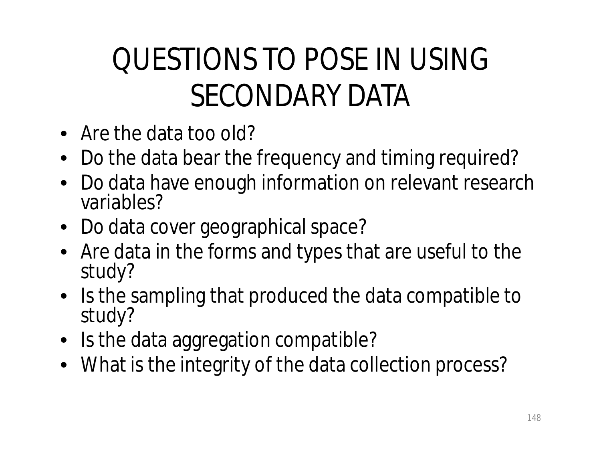#### QUESTIONS TO POSE IN USING SECONDARY DATA

- Are the data too old?
- Do the data bear the frequency and timing required?
- Do data have enough information on relevant research variables?
- Do data cover geographical space?
- Are data in the forms and types that are useful to the study?
- Is the sampling that produced the data compatible to study?
- Is the data aggregation compatible?
- What is the integrity of the data collection process?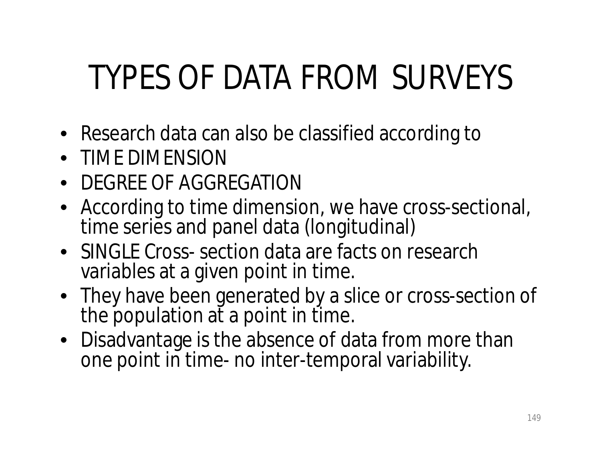# TYPES OF DATA FROM SURVEYS

- Research data can also be classified according to
- TIME DIMENSION
- DEGREE OF AGGREGATION
- According to time dimension, we have cross-sectional, time series and panel data (longitudinal)
- SINGLE Cross- section data are facts on research variables at a given point in time.
- They have been generated by a slice or cross-section of the population at a point in time.
- Disadvantage is the absence of data from more than one point in time- no inter-temporal variability.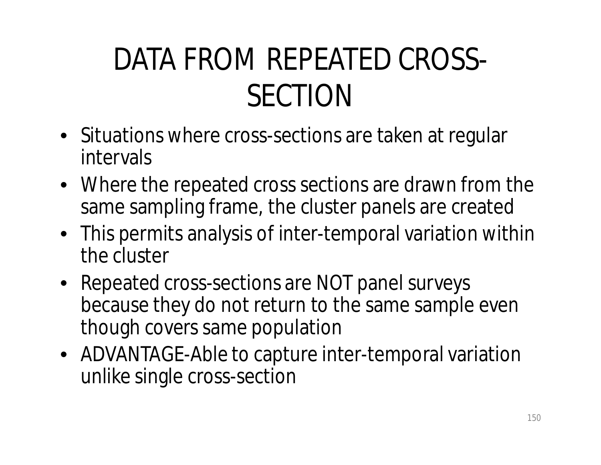#### DATA FROM REPEATED CROSS-SECTION

- Situations where cross-sections are taken at regular intervals
- Where the repeated cross sections are drawn from the same sampling frame, the cluster panels are created
- This permits analysis of inter-temporal variation within the cluster
- Repeated cross-sections are NOT panel surveys because they do not return to the same sample even though covers same population
- ADVANTAGE-Able to capture inter-temporal variation unlike single cross-section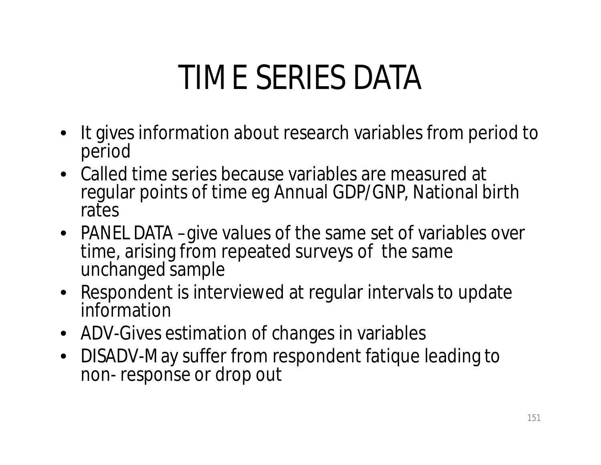## TIME SERIES DATA

- It gives information about research variables from period to period
- Called time series because variables are measured at regular points of time eg Annual GDP/GNP, National birth rates
- PANEL DATA –give values of the same set of variables over time, arising from repeated surveys of the same unchanged sample
- Respondent is interviewed at regular intervals to update information
- ADV-Gives estimation of changes in variables
- DISADV-May suffer from respondent fatique leading to non- response or drop out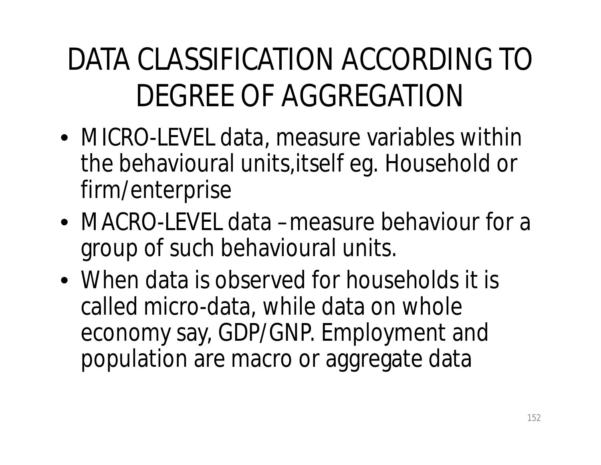### DATA CLASSIFICATION ACCORDING TO DEGREE OF AGGREGATION

- MICRO-LEVEL data, measure variables within the behavioural units,itself eg. Household or firm/enterprise
- MACRO-LEVEL data –measure behaviour for a group of such behavioural units.
- When data is observed for households it is called micro-data, while data on whole economy say, GDP/GNP. Employment and population are macro or aggregate data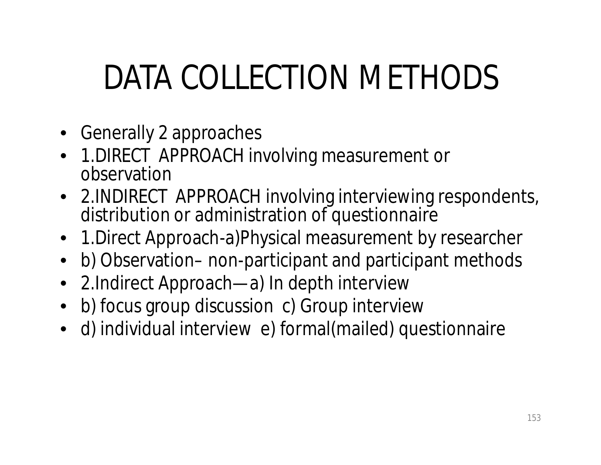# DATA COLLECTION METHODS

- Generally 2 approaches
- 1.DIRECT APPROACH involving measurement or observation
- 2.INDIRECT APPROACH involving interviewing respondents, distribution or administration of questionnaire
- 1.Direct Approach-a)Physical measurement by researcher
- b) Observation– non-participant and participant methods
- 2. Indirect Approach—a) In depth interview
- b) focus group discussion c) Group interview
- d) individual interview e) formal(mailed) questionnaire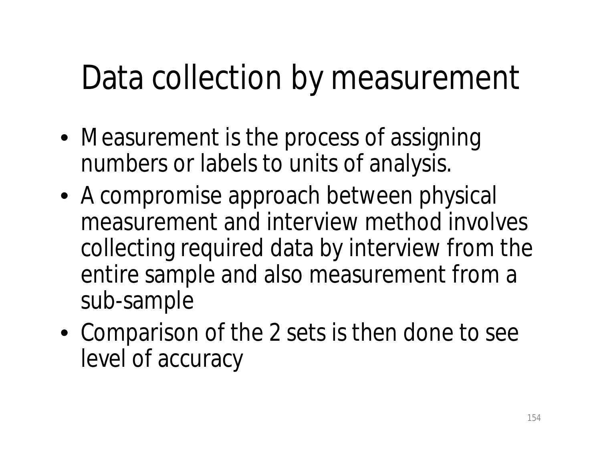### Data collection by measurement

- Measurement is the process of assigning numbers or labels to units of analysis.
- A compromise approach between physical measurement and interview method involves collecting required data by interview from the entire sample and also measurement from a sub-sample
- Comparison of the 2 sets is then done to see level of accuracy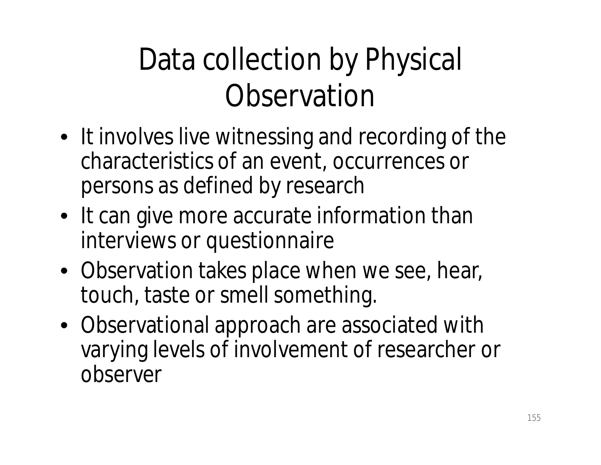#### Data collection by Physical **Observation**

- It involves live witnessing and recording of the characteristics of an event, occurrences or persons as defined by research
- It can give more accurate information than interviews or questionnaire
- Observation takes place when we see, hear, touch, taste or smell something.
- Observational approach are associated with varying levels of involvement of researcher or observer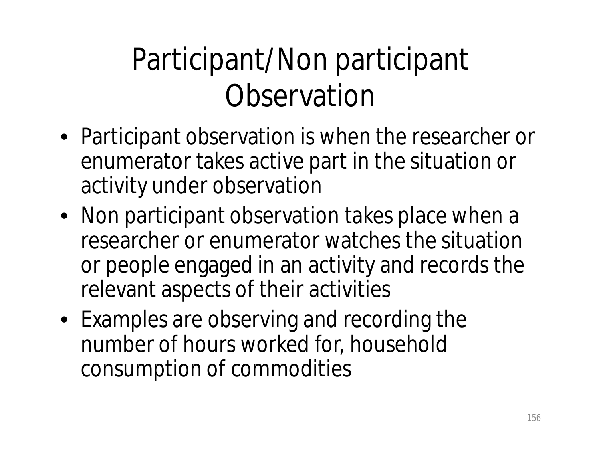#### Participant/Non participant **Observation**

- Participant observation is when the researcher or enumerator takes active part in the situation or activity under observation
- Non participant observation takes place when a researcher or enumerator watches the situation or people engaged in an activity and records the relevant aspects of their activities
- Examples are observing and recording the number of hours worked for, household consumption of commodities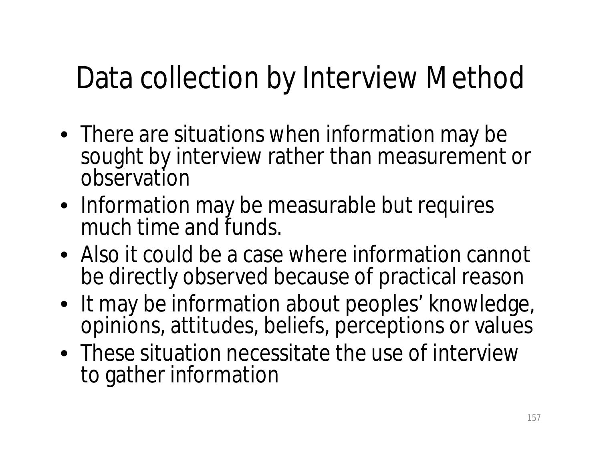#### Data collection by Interview Method

- There are situations when information may be sought by interview rather than measurement or observation
- Information may be measurable but requires much time and funds.
- Also it could be a case where information cannot be directly observed because of practical reason
- It may be information about peoples' knowledge, opinions, attitudes, beliefs, perceptions or values
- These situation necessitate the use of interview to gather information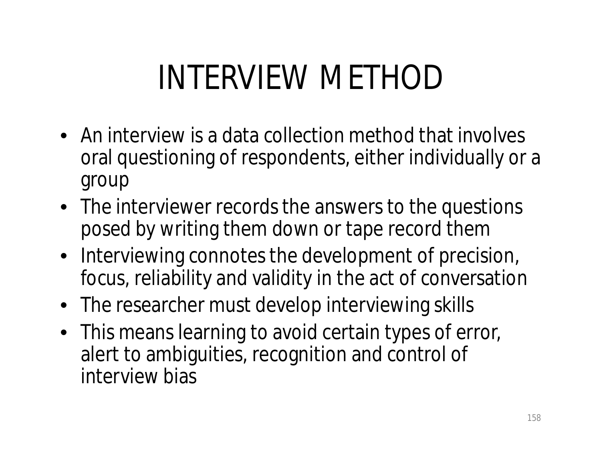## INTERVIEW METHOD

- An interview is a data collection method that involves oral questioning of respondents, either individually or a group
- The interviewer records the answers to the questions posed by writing them down or tape record them
- Interviewing connotes the development of precision, focus, reliability and validity in the act of conversation
- The researcher must develop interviewing skills
- This means learning to avoid certain types of error, alert to ambiguities, recognition and control of interview bias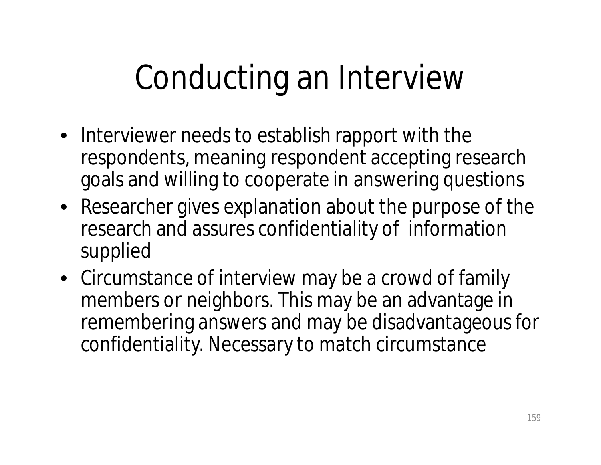# Conducting an Interview

- Interviewer needs to establish rapport with the respondents, meaning respondent accepting research goals and willing to cooperate in answering questions
- Researcher gives explanation about the purpose of the research and assures confidentiality of information supplied
- Circumstance of interview may be a crowd of family members or neighbors. This may be an advantage in remembering answers and may be disadvantageous for confidentiality. Necessary to match circumstance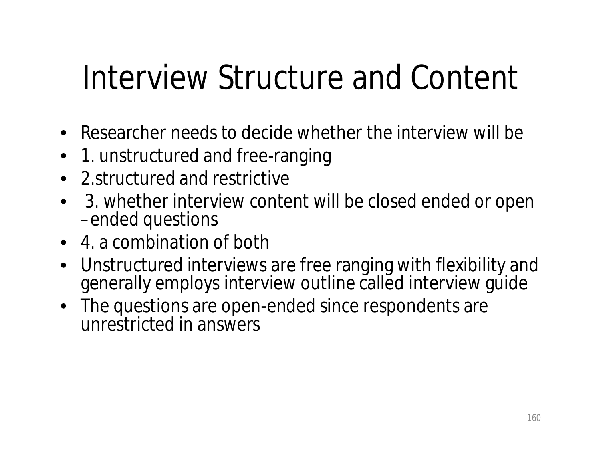## Interview Structure and Content

- Researcher needs to decide whether the interview will be
- 1. unstructured and free-ranging
- 2.structured and restrictive
- 3. whether interview content will be closed ended or open –ended questions
- 4. a combination of both
- Unstructured interviews are free ranging with flexibility and generally employs interview outline called interview guide
- The questions are open-ended since respondents are unrestricted in answers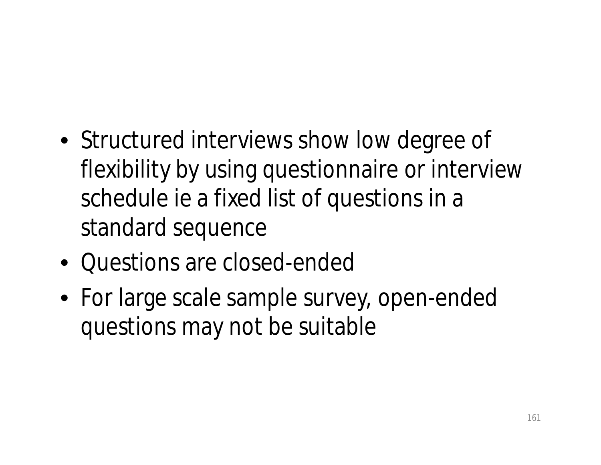- Structured interviews show low degree of flexibility by using questionnaire or interview schedule ie a fixed list of questions in a standard sequence
- Questions are closed-ended
- For large scale sample survey, open-ended questions may not be suitable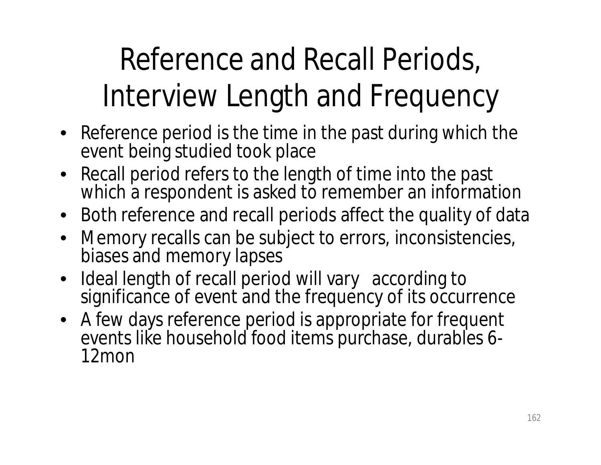### Reference and Recall Periods, Interview Length and Frequency

- Reference period is the time in the past during which the event being studied took place
- Recall period refers to the length of time into the past which a respondent is asked to remember an information
- Both reference and recall periods affect the quality of data
- Memory recalls can be subject to errors, inconsistencies, biases and memory lapses
- Ideal length of recall period will vary according to significance of event and the frequency of its occurrence
- A few days reference period is appropriate for frequent events like household food items purchase, durables 6- 12mon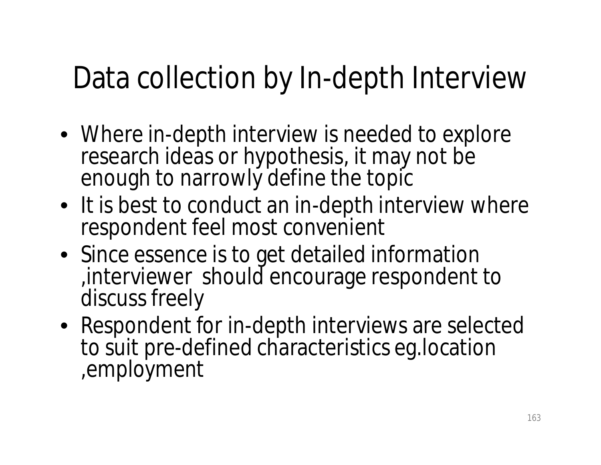#### Data collection by In-depth Interview

- Where in-depth interview is needed to explore research ideas or hypothesis, it may not be enough to narrowly define the topic
- It is best to conduct an in-depth interview where respondent feel most convenient
- Since essence is to get detailed information ,interviewer should encourage respondent to discuss freely
- Respondent for in-depth interviews are selected to suit pre-defined characteristics eg.location ,employment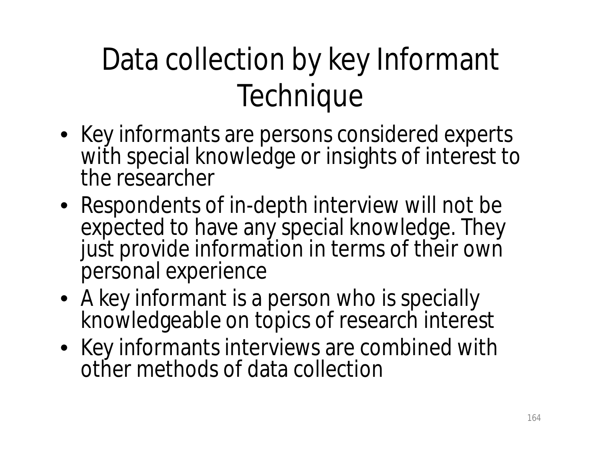### Data collection by key Informant **Technique**

- Key informants are persons considered experts with special knowledge or insights of interest to the researcher
- Respondents of in-depth interview will not be expected to have any special knowledge. They just provide information in terms of their own personal experience
- A key informant is a person who is specially knowledgeable on topics of research interest
- Key informants interviews are combined with other methods of data collection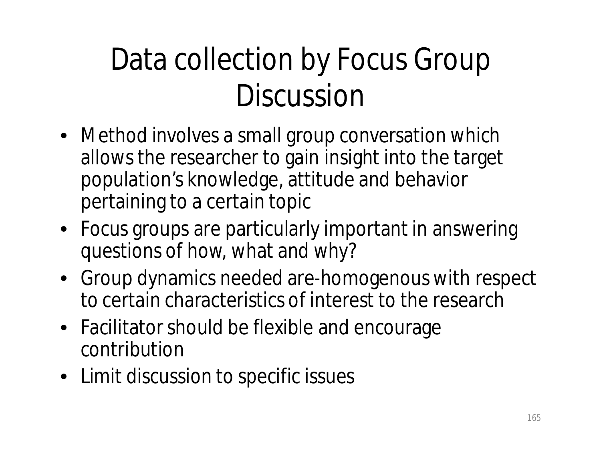#### Data collection by Focus Group Discussion

- Method involves a small group conversation which allows the researcher to gain insight into the target population's knowledge, attitude and behavior pertaining to a certain topic
- Focus groups are particularly important in answering questions of how, what and why?
- Group dynamics needed are-homogenous with respect to certain characteristics of interest to the research
- Facilitator should be flexible and encourage contribution
- Limit discussion to specific issues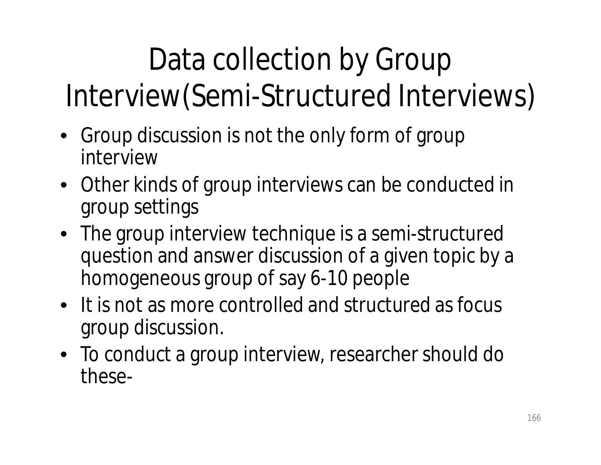### Data collection by Group Interview(Semi-Structured Interviews)

- Group discussion is not the only form of group interview
- Other kinds of group interviews can be conducted in group settings
- The group interview technique is a semi-structured question and answer discussion of a given topic by a homogeneous group of say 6-10 people
- It is not as more controlled and structured as focus group discussion.
- To conduct a group interview, researcher should do these-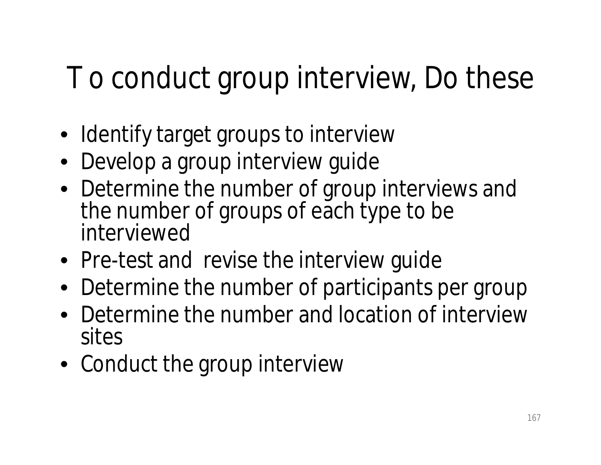#### T o conduct group interview, Do these

- Identify target groups to interview
- Develop a group interview guide
- Determine the number of group interviews and the number of groups of each type to be interviewed
- Pre-test and revise the interview guide
- Determine the number of participants per group
- Determine the number and location of interview sites
- Conduct the group interview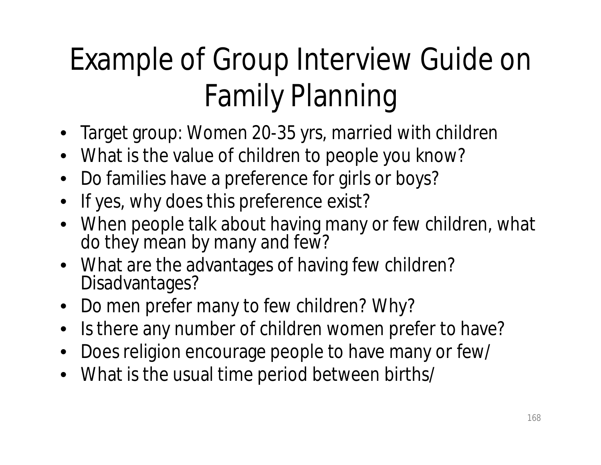### Example of Group Interview Guide on Family Planning

- Target group: Women 20-35 yrs, married with children
- What is the value of children to people you know?
- Do families have a preference for girls or boys?
- If yes, why does this preference exist?
- When people talk about having many or few children, what do they mean by many and few?
- What are the advantages of having few children? Disadvantages?
- Do men prefer many to few children? Why?
- Is there any number of children women prefer to have?
- Does religion encourage people to have many or few/
- What is the usual time period between births/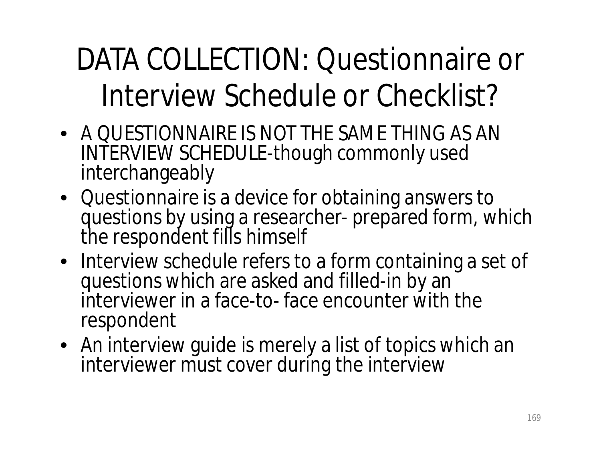#### DATA COLLECTION: Questionnaire or Interview Schedule or Checklist?

- A QUESTIONNAIRE IS NOT THE SAME THING AS AN INTERVIEW SCHEDULE-though commonly used interchangeably
- Questionnaire is a device for obtaining answers to questions by using a researcher- prepared form, which the respondent fills himself
- Interview schedule refers to a form containing a set of questions which are asked and filled-in by an interviewer in a face-to- face encounter with the respondent
- An interview guide is merely a list of topics which an interviewer must cover during the interview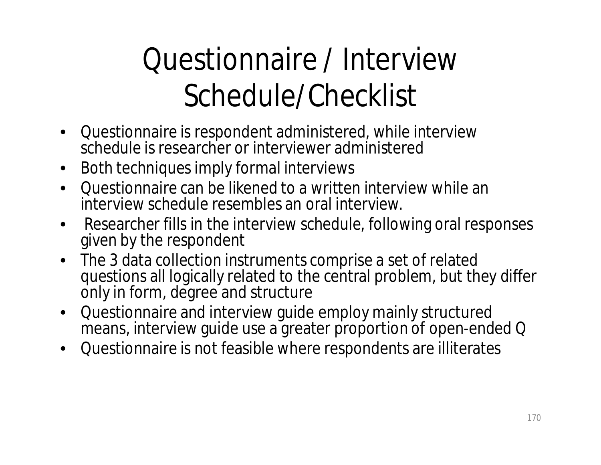### Questionnaire / Interview Schedule/Checklist

- Questionnaire is respondent administered, while interview schedule is researcher or interviewer administered
- Both techniques imply formal interviews
- Questionnaire can be likened to a written interview while an interview schedule resembles an oral interview.
- Researcher fills in the interview schedule, following oral responses given by the respondent
- The 3 data collection instruments comprise a set of related questions all logically related to the central problem, but they differ only in form, degree and structure
- Questionnaire and interview guide employ mainly structured means, interview guide use a greater proportion of open-ended Q
- Questionnaire is not feasible where respondents are illiterates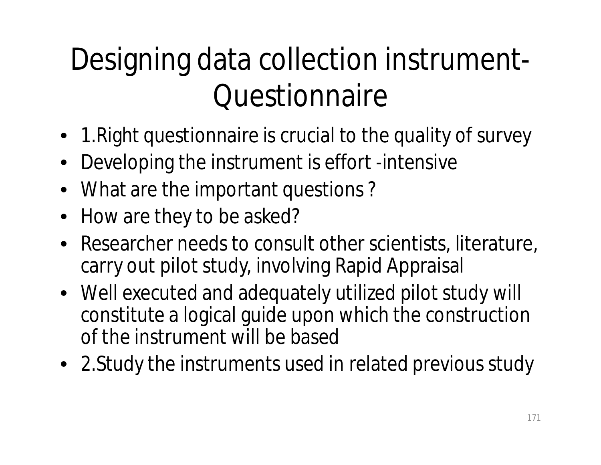#### Designing data collection instrument-**Questionnaire**

- 1.Right questionnaire is crucial to the quality of survey
- Developing the instrument is effort -intensive
- What are the important questions?
- How are they to be asked?
- Researcher needs to consult other scientists, literature, carry out pilot study, involving Rapid Appraisal
- Well executed and adequately utilized pilot study will constitute a logical guide upon which the construction of the instrument will be based
- 2.Study the instruments used in related previous study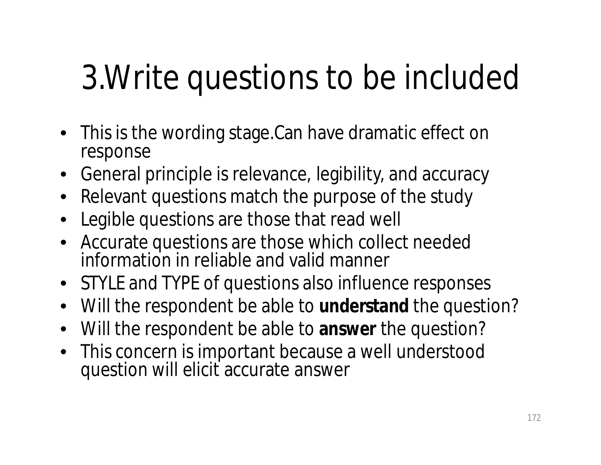# 3.Write questions to be included

- This is the wording stage.Can have dramatic effect on response
- General principle is relevance, legibility, and accuracy
- Relevant questions match the purpose of the study
- Legible questions are those that read well
- Accurate questions are those which collect needed information in reliable and valid manner
- STYLE and TYPE of questions also influence responses
- Will the respondent be able to **understand** the question?
- Will the respondent be able to **answer** the question?
- This concern is important because a well understood question will elicit accurate answer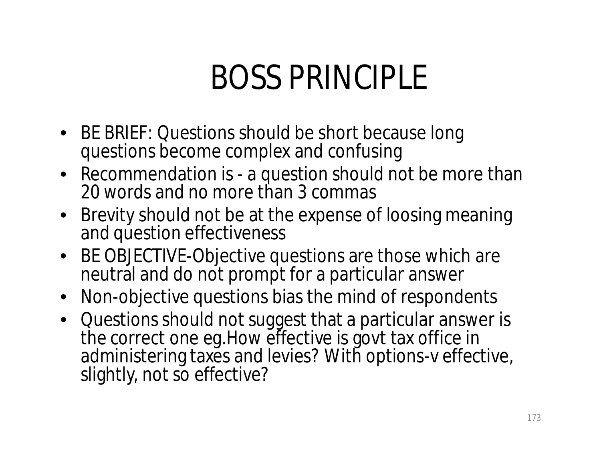### BOSS PRINCIPLE

- BE BRIEF: Questions should be short because long questions become complex and confusing
- Recommendation is a question should not be more than 20 words and no more than 3 commas
- Brevity should not be at the expense of loosing meaning and question effectiveness
- BE OBJECTIVE-Objective questions are those which are neutral and do not prompt for a particular answer
- Non-objective questions bias the mind of respondents
- Questions should not suggest that a particular answer is the correct one eg.How effective is govt tax office in administering taxes and levies? With options-v effective, slightly, not so effective?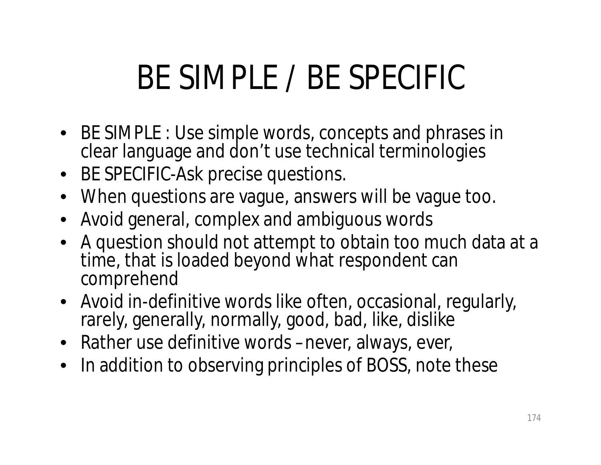## BE SIMPLE / BE SPECIFIC

- BE SIMPLE : Use simple words, concepts and phrases in clear language and don't use technical terminologies
- BE SPECIFIC-Ask precise questions.
- When questions are vague, answers will be vague too.
- Avoid general, complex and ambiguous words
- A question should not attempt to obtain too much data at a time, that is loaded beyond what respondent can comprehend
- Avoid in-definitive words like often, occasional, regularly, rarely, generally, normally, good, bad, like, dislike
- Rather use definitive words –never, always, ever,
- In addition to observing principles of BOSS, note these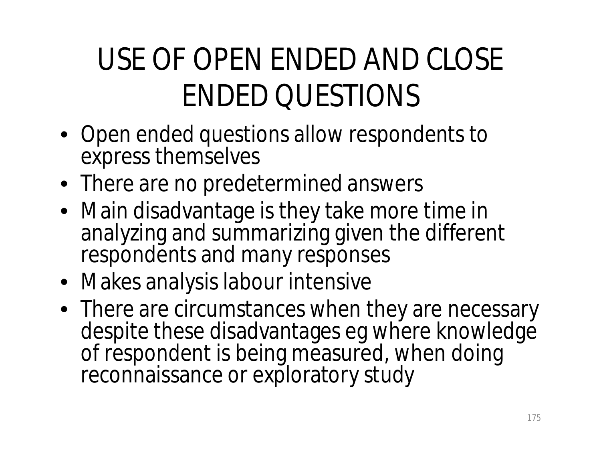### USE OF OPEN ENDED AND CLOSE ENDED QUESTIONS

- Open ended questions allow respondents to express themselves
- There are no predetermined answers
- Main disadvantage is they take more time in analyzing and summarizing given the different respondents and many responses
- Makes analysis labour intensive
- There are circumstances when they are necessary despite these disadvantages eg where knowledge of respondent is being measured, when doing reconnaissance or exploratory study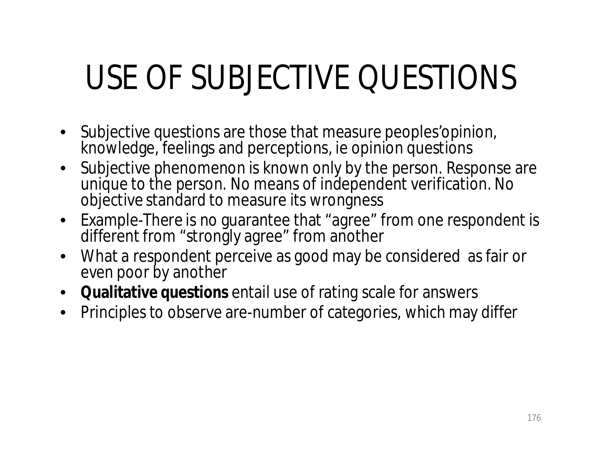# USE OF SUBJECTIVE QUESTIONS

- Subjective questions are those that measure peoples'opinion, knowledge, feelings and perceptions, ie opinion questions
- Subjective phenomenon is known only by the person. Response are unique to the person. No means of independent verification. No objective standard to measure its wrongness
- Example-There is no guarantee that "agree" from one respondent is different from "strongly agree" from another
- What a respondent perceive as good may be considered as fair or even poor by another
- **Qualitative questions** entail use of rating scale for answers
- Principles to observe are-number of categories, which may differ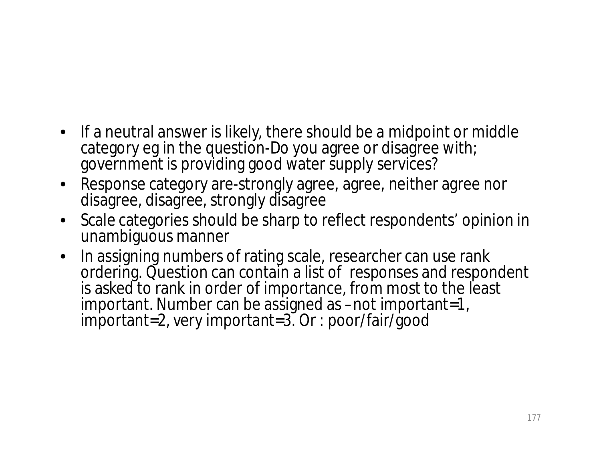- If a neutral answer is likely, there should be a midpoint or middle category eg in the question-Do you agree or disagree with; government is providing good water supply services?
- Response category are-strongly agree, agree, neither agree nor disagree, disagree, strongly disagree
- Scale categories should be sharp to reflect respondents' opinion in unambiguous manner
- In assigning numbers of rating scale, researcher can use rank ordering. Question can contain a list of responses and respondent is asked to rank in order of importance, from most to the least important. Number can be assigned as –not important=1, important=2, very important=3. Or : poor/fair/good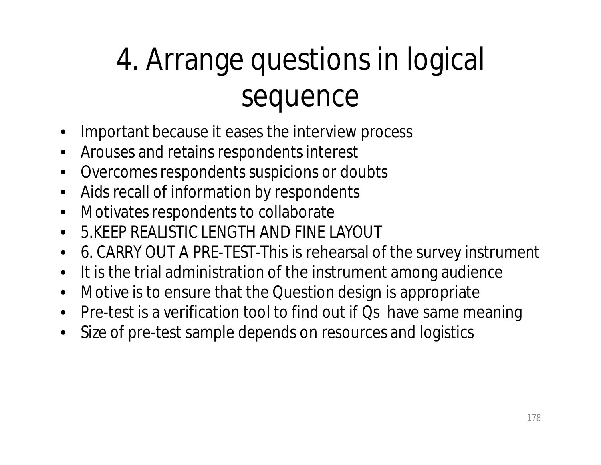### 4. Arrange questions in logical sequence

- Important because it eases the interview process
- Arouses and retains respondents interest
- Overcomes respondents suspicions or doubts
- Aids recall of information by respondents
- Motivates respondents to collaborate
- 5.KEEP REALISTIC LENGTH AND FINE LAYOUT
- 6. CARRY OUT A PRE-TEST-This is rehearsal of the survey instrument
- It is the trial administration of the instrument among audience
- Motive is to ensure that the Question design is appropriate
- Pre-test is a verification tool to find out if Qs have same meaning
- Size of pre-test sample depends on resources and logistics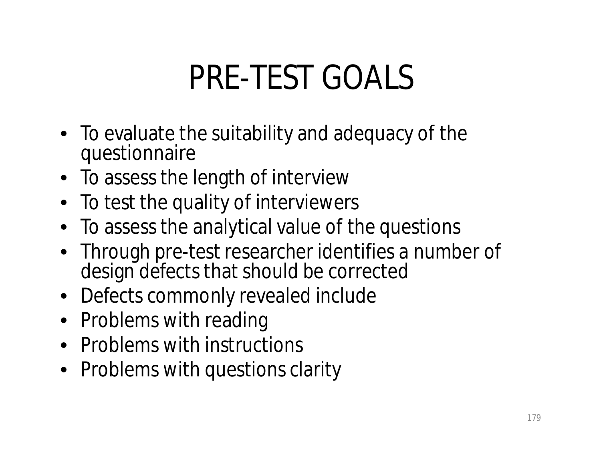## PRE-TEST GOALS

- To evaluate the suitability and adequacy of the questionnaire
- To assess the length of interview
- To test the quality of interviewers
- To assess the analytical value of the questions
- Through pre-test researcher identifies a number of design defects that should be corrected
- Defects commonly revealed include
- Problems with reading
- Problems with instructions
- Problems with questions clarity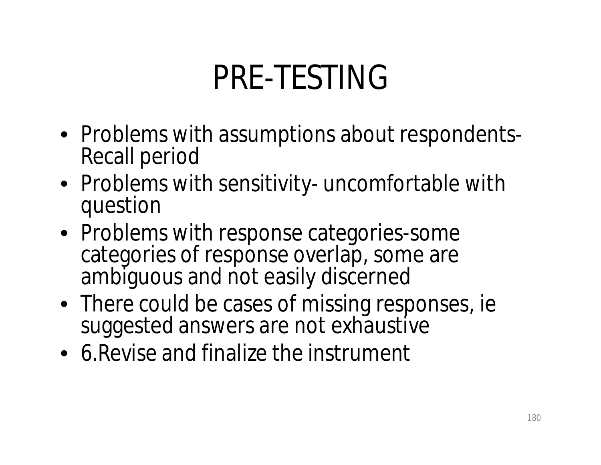## PRE-TESTING

- Problems with assumptions about respondents-Recall period
- Problems with sensitivity- uncomfortable with question
- Problems with response categories-some categories of response overlap, some are ambiguous and not easily discerned
- There could be cases of missing responses, ie suggested answers are not exhaustive
- 6.Revise and finalize the instrument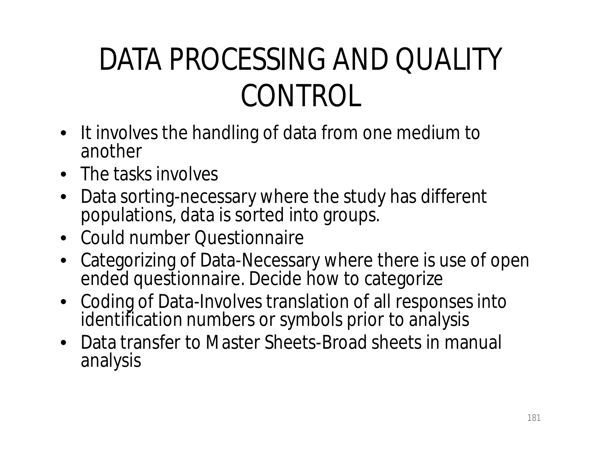#### DATA PROCESSING AND QUALITY CONTROL

- It involves the handling of data from one medium to another
- The tasks involves
- Data sorting-necessary where the study has different populations, data is sorted into groups.
- Could number Questionnaire
- Categorizing of Data-Necessary where there is use of open ended questionnaire. Decide how to categorize
- Coding of Data-Involves translation of all responses into identification numbers or symbols prior to analysis
- Data transfer to Master Sheets-Broad sheets in manual analysis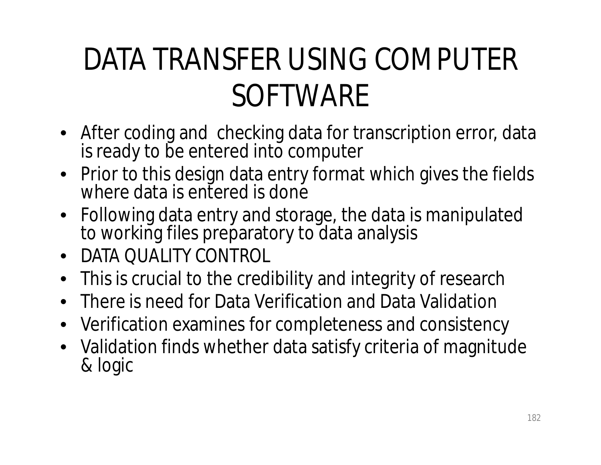#### DATA TRANSFER USING COMPUTER SOFTWARE

- After coding and checking data for transcription error, data is ready to be entered into computer
- Prior to this design data entry format which gives the fields where data is entered is done
- Following data entry and storage, the data is manipulated to working files preparatory to data analysis
- DATA QUALITY CONTROL
- This is crucial to the credibility and integrity of research
- There is need for Data Verification and Data Validation
- Verification examines for completeness and consistency
- Validation finds whether data satisfy criteria of magnitude & logic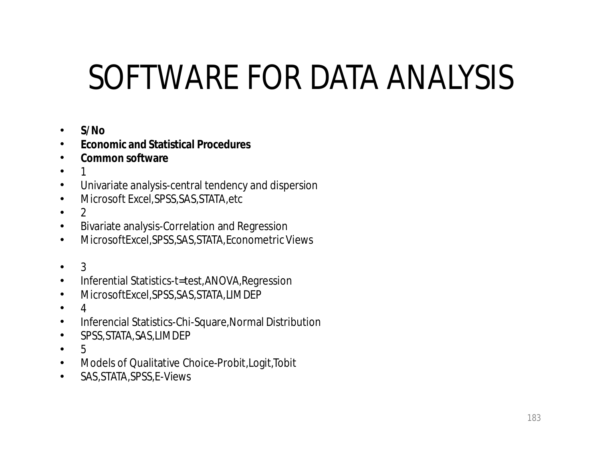### SOFTWARE FOR DATA ANALYSIS

- **S/No**
- **Economic and Statistical Procedures**
- **Common software**
- $\bullet$
- Univariate analysis-central tendency and dispersion
- Microsoft Excel,SPSS,SAS,STATA,etc
- $\bullet$  2
- Bivariate analysis-Correlation and Regression
- MicrosoftExcel,SPSS,SAS,STATA,Econometric Views
- 3
- Inferential Statistics-t=test,ANOVA,Regression
- MicrosoftExcel,SPSS,SAS,STATA,LIMDEP
- $\bullet$  4
- Inferencial Statistics-Chi-Square,Normal Distribution
- SPSS,STATA,SAS,LIMDEP
- 5
- Models of Qualitative Choice-Probit,Logit,Tobit
- SAS,STATA,SPSS,E-Views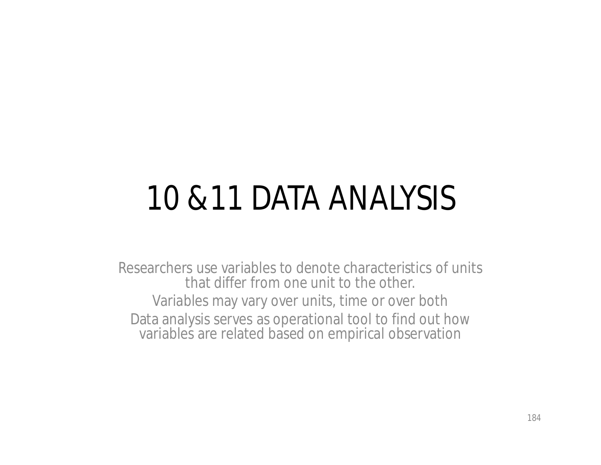### 10 &11 DATA ANALYSIS

Researchers use variables to denote characteristics of units that differ from one unit to the other. Variables may vary over units, time or over both Data analysis serves as operational tool to find out how variables are related based on empirical observation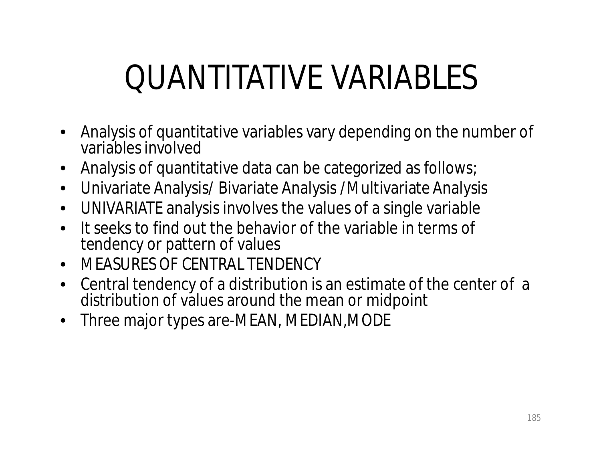# QUANTITATIVE VARIABLES

- Analysis of quantitative variables vary depending on the number of variables involved
- Analysis of quantitative data can be categorized as follows;
- Univariate Analysis/ Bivariate Analysis /Multivariate Analysis
- UNIVARIATE analysis involves the values of a single variable
- It seeks to find out the behavior of the variable in terms of tendency or pattern of values
- MEASURES OF CENTRAL TENDENCY
- Central tendency of a distribution is an estimate of the center of a distribution of values around the mean or midpoint
- Three major types are-MEAN, MEDIAN, MODE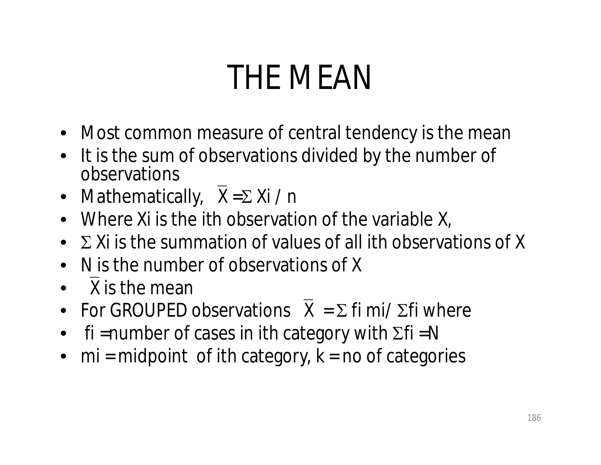## THE MEAN

- Most common measure of central tendency is the mean
- It is the sum of observations divided by the number of observations
- Mathematically,  $\overline{X} = \Sigma Xi / n$
- Where Xi is the ith observation of the variable X,
- $\Sigma$  Xi is the summation of values of all ith observations of X
- N is the number of observations of X
- X is the mean
- For GROUPED observations  $\overline{X} = \Sigma$  fi mi/  $\Sigma$ fi where
- fi = number of cases in ith category with  $\Sigma$ fi = N
- $mi = midpoint$  of ith category,  $k = no$  of categories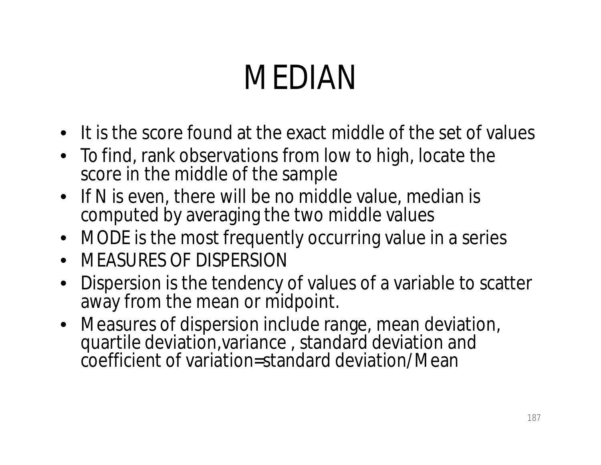### MEDIAN

- It is the score found at the exact middle of the set of values
- To find, rank observations from low to high, locate the score in the middle of the sample
- If N is even, there will be no middle value, median is computed by averaging the two middle values
- MODE is the most frequently occurring value in a series
- MEASURES OF DISPERSION
- Dispersion is the tendency of values of a variable to scatter away from the mean or midpoint.
- Measures of dispersion include range, mean deviation, quartile deviation,variance , standard deviation and coefficient of variation=standard deviation/Mean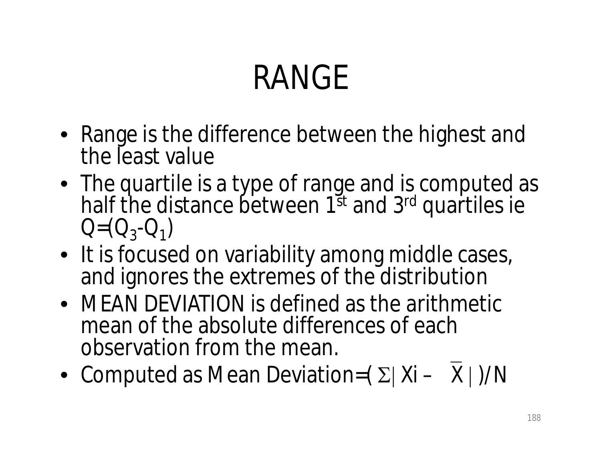# RANGE

- Range is the difference between the highest and the least value
- The quartile is a type of range and is computed as half the distance between 1<sup>st</sup> and 3<sup>rd</sup> quartiles ie  $Q=(Q_3-Q_1)$
- It is focused on variability among middle cases, and ignores the extremes of the distribution
- MEAN DEVIATION is defined as the arithmetic mean of the absolute differences of each observation from the mean.
- Computed as Mean Deviation= $(\Sigma | Xi X|)/N$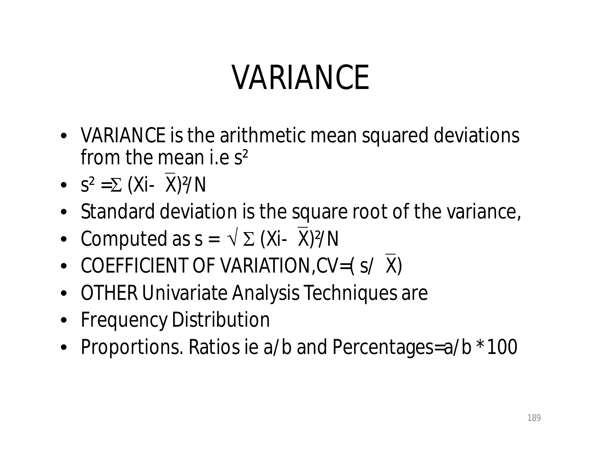## VARIANCE

- VARIANCE is the arithmetic mean squared deviations from the mean i.e s²
- $S^2 = \sum (Xi X)^2/N$
- Standard deviation is the square root of the variance,
- Computed as  $s = \sqrt{\sum (Xi \overline{X})^2/N}$
- COEFFICIENT OF VARIATION, CV=(S/X)
- OTHER Univariate Analysis Techniques are
- Frequency Distribution
- Proportions. Ratios ie a/b and Percentages=a/b \*100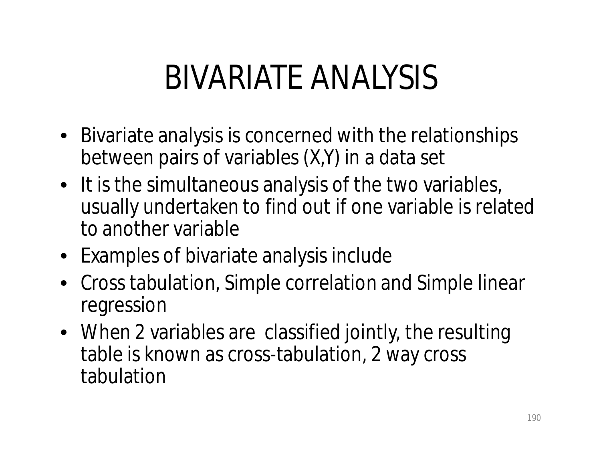#### BIVARIATE ANALYSIS

- Bivariate analysis is concerned with the relationships between pairs of variables (X,Y) in a data set
- It is the simultaneous analysis of the two variables, usually undertaken to find out if one variable is related to another variable
- Examples of bivariate analysis include
- Cross tabulation, Simple correlation and Simple linear regression
- When 2 variables are classified jointly, the resulting table is known as cross-tabulation, 2 way cross tabulation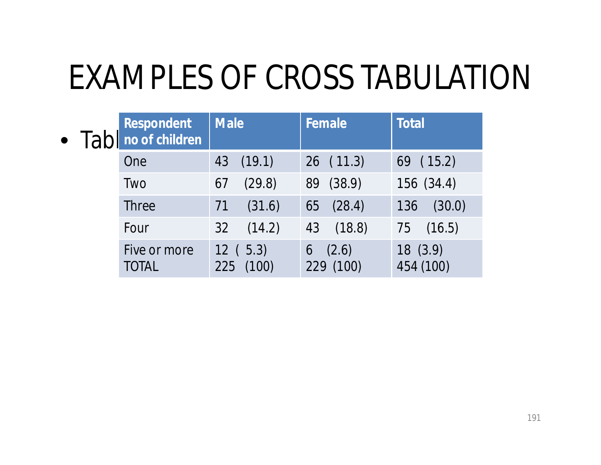#### EXAMPLES OF CROSS TABULATION

| $\bullet$ | Respondent<br>Tab no of children | <b>Male</b>          | Female                  | <b>Total</b>          |
|-----------|----------------------------------|----------------------|-------------------------|-----------------------|
|           | One                              | 43 (19.1)            | 26(11.3)                | 69(15.2)              |
|           | Two                              | (29.8)<br>67         | 89 (38.9)               | 156 (34.4)            |
|           | <b>Three</b>                     | (31.6)<br>71         | (28.4)<br>65            | (30.0)<br>136         |
|           | Four                             | (14.2)<br>32         | (18.8)<br>43            | 75 (16.5)             |
|           | Five or more<br><b>TOTAL</b>     | 12(5.3)<br>225 (100) | (2.6)<br>6<br>229 (100) | 18 (3.9)<br>454 (100) |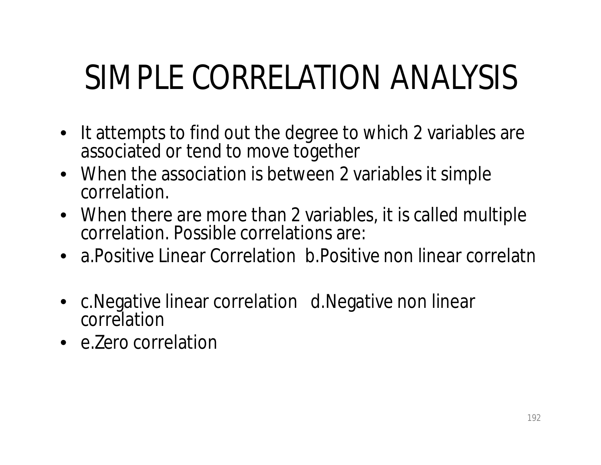# SIMPLE CORRELATION ANALYSIS

- It attempts to find out the degree to which 2 variables are associated or tend to move together
- When the association is between 2 variables it simple correlation.
- When there are more than 2 variables, it is called multiple correlation. Possible correlations are:
- a. Positive Linear Correlation b. Positive non linear correlatn
- c.Negative linear correlation d.Negative non linear correlation
- e.Zero correlation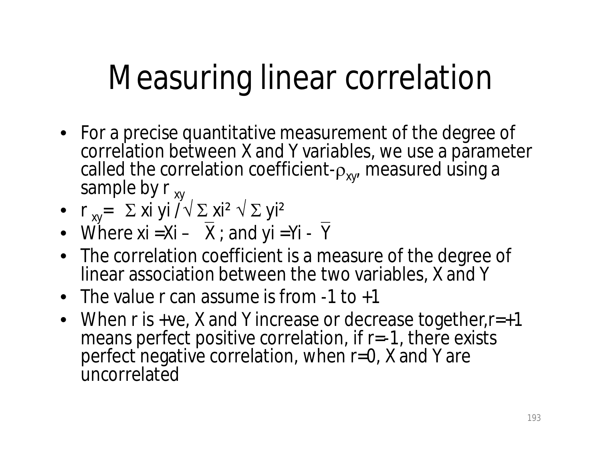# Measuring linear correlation

- For a precise quantitative measurement of the degree of correlation between X and Y variables, we use a parameter called the correlation coefficient- $\rho_{x,v}$ , measured using a sample by  $r_{xy}$
- $r_{xy} = \sum x i y i \sqrt{2} x i^2 \sqrt{2} y i^2$
- Where  $xi =Xi \overline{X}$ ; and  $yi =Yi \overline{Y}$
- The correlation coefficient is a measure of the degree of linear association between the two variables, X and Y
- The value r can assume is from -1 to +1
- When r is +ve, X and Y increase or decrease together,  $r=+1$ means perfect positive correlation, if  $r = -1$ , there exists perfect negative correlation, when r=0, X and Y are **uncorrelated**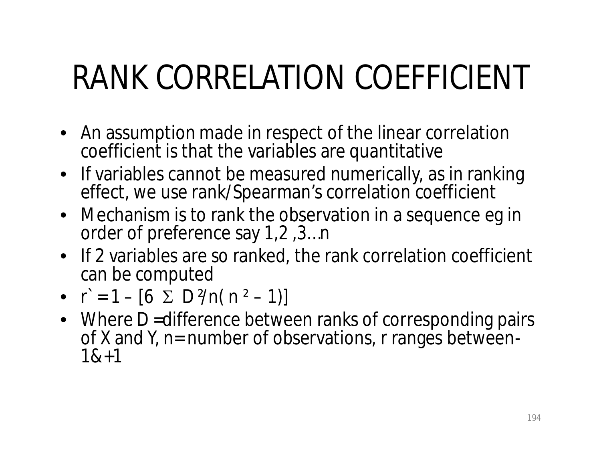# RANK CORRELATION COEFFICIENT

- An assumption made in respect of the linear correlation coefficient is that the variables are quantitative
- If variables cannot be measured numerically, as in ranking effect, we use rank/Spearman's correlation coefficient
- Mechanism is to rank the observation in a sequence eg in order of preference say 1,2 ,3…n
- If 2 variables are so ranked, the rank correlation coefficient can be computed
- $\vec{r} = 1 [6 \sum D^2/n(n^2 1)]$
- Where D = difference between ranks of corresponding pairs of X and Y, n= number of observations, r ranges between-1&+1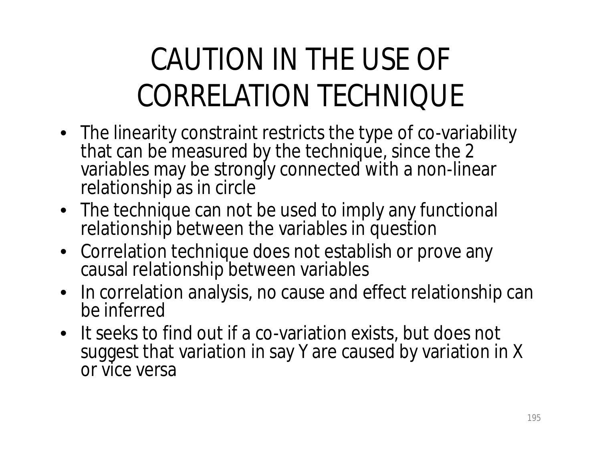#### CAUTION IN THE USE OF CORRELATION TECHNIQUE

- The linearity constraint restricts the type of co-variability that can be measured by the technique, since the 2 variables may be strongly connected with a non-linear relationship as in circle
- The technique can not be used to imply any functional relationship between the variables in question
- Correlation technique does not establish or prove any causal relationship between variables
- In correlation analysis, no cause and effect relationship can be inferred
- It seeks to find out if a co-variation exists, but does not suggest that variation in say Y are caused by variation in X or vice versa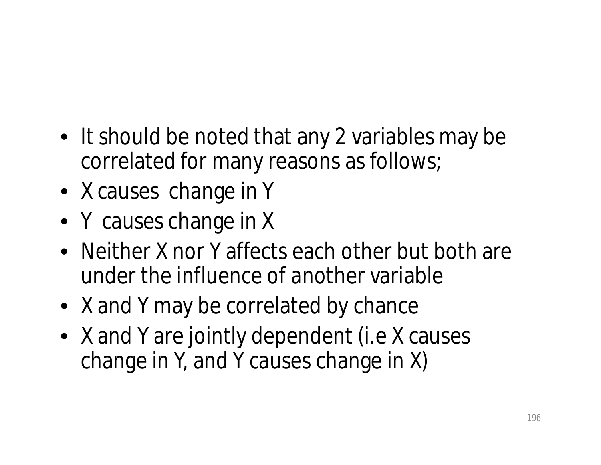- It should be noted that any 2 variables may be correlated for many reasons as follows;
- X causes change in Y
- Y causes change in X
- Neither X nor Y affects each other but both are under the influence of another variable
- X and Y may be correlated by chance
- X and Y are jointly dependent (i.e X causes change in Y, and Y causes change in X)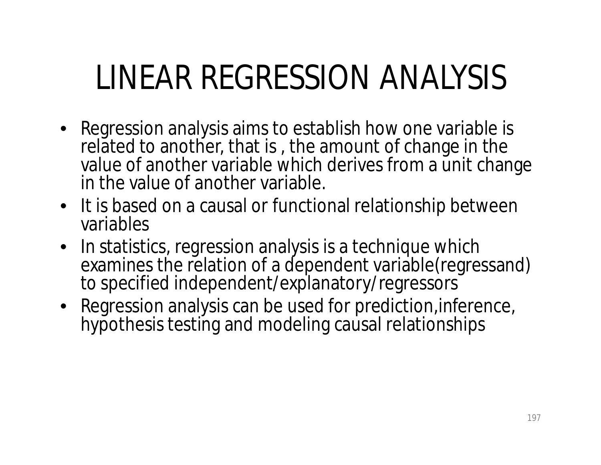## LINEAR REGRESSION ANALYSIS

- Regression analysis aims to establish how one variable is related to another, that is , the amount of change in the value of another variable which derives from a unit change in the value of another variable.
- It is based on a causal or functional relationship between variables
- In statistics, regression analysis is a technique which examines the relation of a dependent variable(regressand) to specified independent/explanatory/regressors
- Regression analysis can be used for prediction, inference, hypothesis testing and modeling causal relationships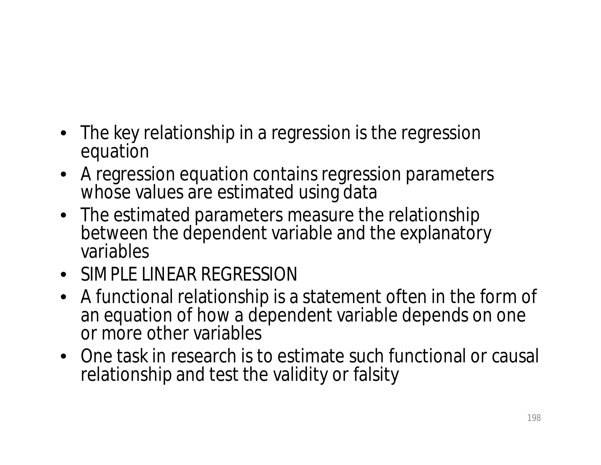- The key relationship in a regression is the regression equation
- A regression equation contains regression parameters whose values are estimated using data
- The estimated parameters measure the relationship between the dependent variable and the explanatory variables
- SIMPLE LINEAR REGRESSION
- A functional relationship is a statement often in the form of an equation of how a dependent variable depends on one or more other variables
- One task in research is to estimate such functional or causal relationship and test the validity or falsity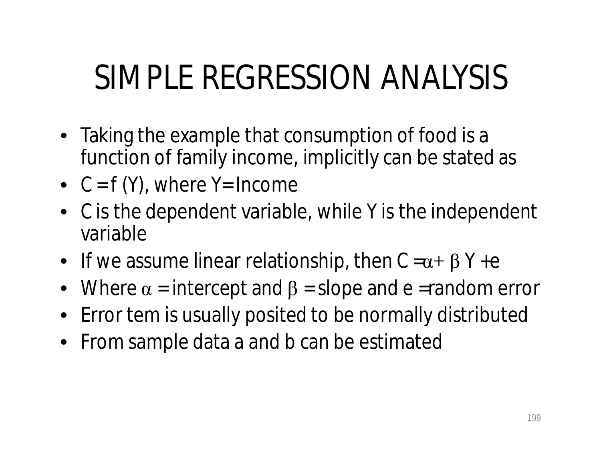# SIMPLE REGRESSION ANALYSIS

- Taking the example that consumption of food is a function of family income, implicitly can be stated as
- $C = f(Y)$ , where  $Y = Income$
- C is the dependent variable, while Y is the independent variable
- If we assume linear relationship, then  $C = \alpha + \beta Y + e$
- Where  $\alpha$  = intercept and  $\beta$  = slope and e =random error
- Error tem is usually posited to be normally distributed
- From sample data a and b can be estimated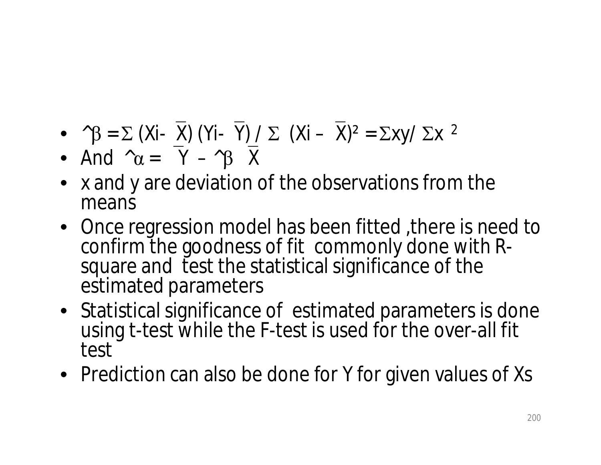- $\bullet$  ^ $\beta$  =  $\Sigma$  (Xi-X) (Yi-Y) /  $\Sigma$  (Xi X)<sup>2</sup> =  $\Sigma$ xy/  $\Sigma$ x <sup>2</sup>
- And  $\alpha = \overline{Y} \beta \overline{X}$
- x and y are deviation of the observations from the means
- Once regression model has been fitted, there is need to confirm the goodness of fit commonly done with Rsquare and test the statistical significance of the estimated parameters
- Statistical significance of estimated parameters is done using t-test while the F-test is used for the over-all fit test
- Prediction can also be done for Y for given values of Xs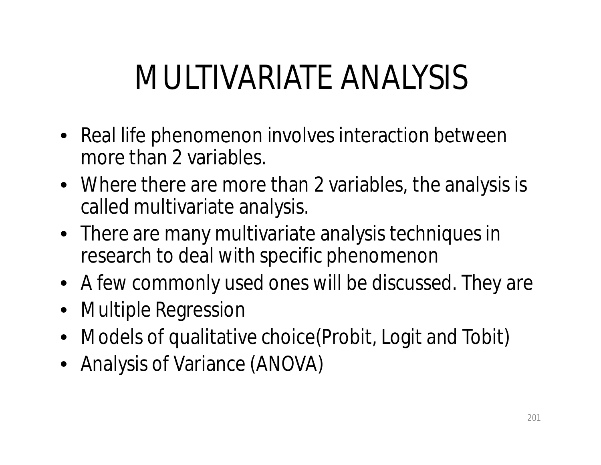# MULTIVARIATE ANALYSIS

- Real life phenomenon involves interaction between more than 2 variables.
- Where there are more than 2 variables, the analysis is called multivariate analysis.
- There are many multivariate analysis techniques in research to deal with specific phenomenon
- A few commonly used ones will be discussed. They are
- Multiple Regression
- Models of qualitative choice (Probit, Logit and Tobit)
- Analysis of Variance (ANOVA)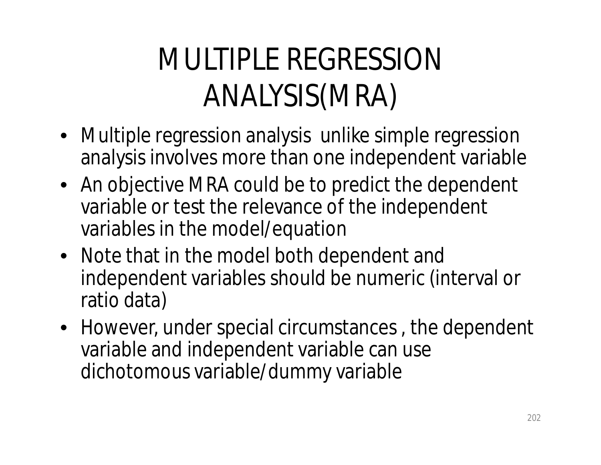#### MULTIPLE REGRESSION ANALYSIS(MRA)

- Multiple regression analysis unlike simple regression analysis involves more than one independent variable
- An objective MRA could be to predict the dependent variable or test the relevance of the independent variables in the model/equation
- Note that in the model both dependent and independent variables should be numeric (interval or ratio data)
- However, under special circumstances , the dependent variable and independent variable can use dichotomous variable/dummy variable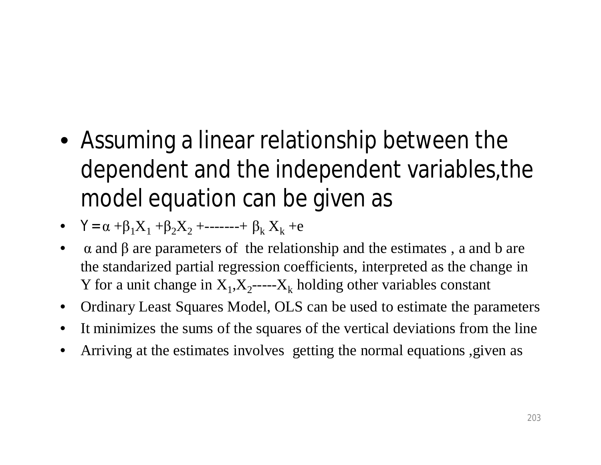- Assuming a linear relationship between the dependent and the independent variables,the model equation can be given as
- $Y = \alpha + \beta_1 X_1 + \beta_2 X_2 + \cdots + \beta_k X_k + e$
- $\alpha$  and  $\beta$  are parameters of the relationship and the estimates, a and b are the standarized partial regression coefficients, interpreted as the change in Y for a unit change in  $X_1, X_2$ ----- $X_k$  holding other variables constant
- Ordinary Least Squares Model, OLS can be used to estimate the parameters
- It minimizes the sums of the squares of the vertical deviations from the line
- Arriving at the estimates involves getting the normal equations ,given as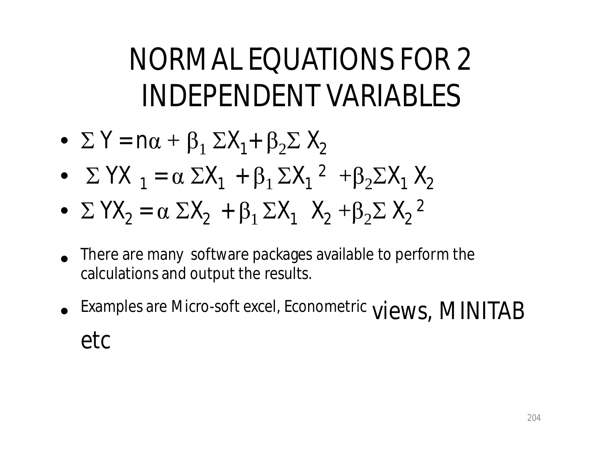#### NORMAL EQUATIONS FOR 2 INDEPENDENT VARIABLES

- $\Sigma$  Y = n $\alpha$  +  $\beta_1$   $\Sigma$ X<sub>1</sub>+  $\beta_2 \Sigma$  X<sub>2</sub>
- $\Sigma YX_1 = \alpha \Sigma X_1 + \beta_1 \Sigma X_1^2 + \beta_2 \Sigma X_1 X_2$
- $\Sigma YX_2 = \alpha \Sigma X_2 + \beta_1 \Sigma X_1 X_2 + \beta_2 \Sigma X_2^2$
- There are many software packages available to perform the calculations and output the results.
- Examples are Micro-soft excel, Econometric views, MINITAB etc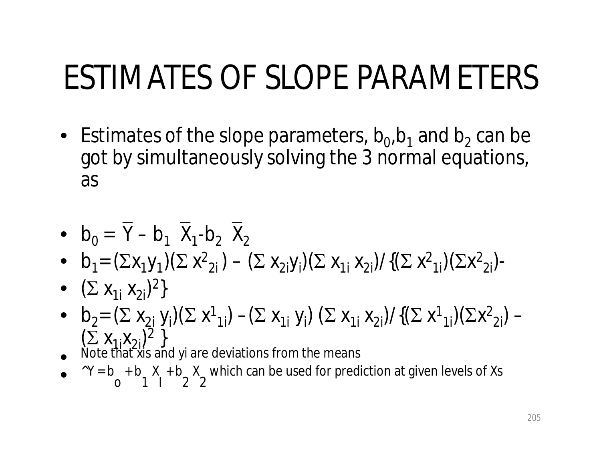### ESTIMATES OF SLOPE PARAMETERS

• Estimates of the slope parameters,  $b_0$ ,  $b_1$  and  $b_2$  can be got by simultaneously solving the 3 normal equations, as

• 
$$
b_0 = \overline{Y} - b_1 \overline{X}_1 - b_2 \overline{X}_2
$$

- b<sub>1</sub> =  $(\Sigma x_1 y_1)(\Sigma x_2) (\Sigma x_2 y_1)(\Sigma x_1 y_2) / {(\Sigma x_2)_{1}} (\Sigma x_2)$
- $(\sum X_{1i} X_{2i})^2$
- b<sub>2</sub> =  $(\Sigma x_{2i} y_i)(\Sigma x_{1i}) (\Sigma x_{1i} y_i) (\Sigma x_{1i} x_{2i})/((\Sigma x_{1i})(\Sigma x_{2i}) (\sum X_{1i}X_{2i})^2$
- Note that xis and yi are deviations from the means
- $\bullet$   $\wedge$  Y = b o + b 1 X I + b 2 X 2 which can be used for prediction at given levels of Xs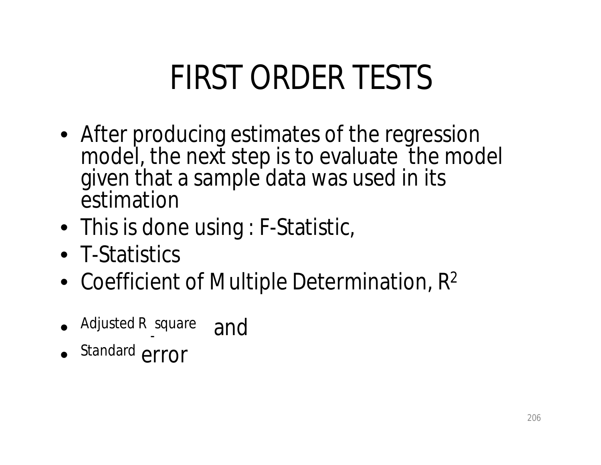## FIRST ORDER TESTS

- After producing estimates of the regression model, the next step is to evaluate the model given that a sample data was used in its estimation
- This is done using : F-Statistic,
- T-Statistics
- Coefficient of Multiple Determination, R<sup>2</sup>
- Adjusted R - square and
- Standard error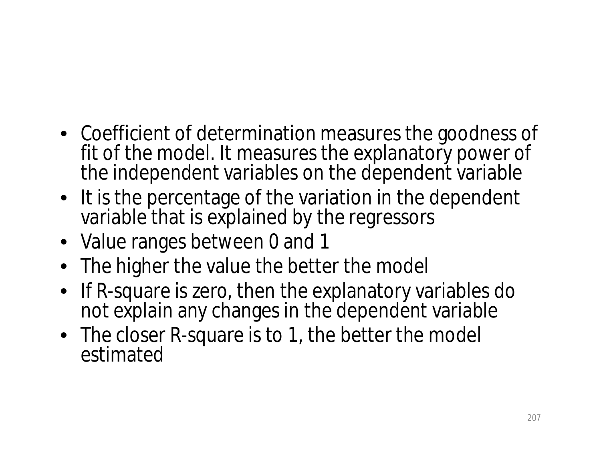- Coefficient of determination measures the goodness of fit of the model. It measures the explanatory power of the independent variables on the dependent variable
- It is the percentage of the variation in the dependent variable that is explained by the regressors
- Value ranges between 0 and 1
- The higher the value the better the model
- If R-square is zero, then the explanatory variables do not explain any changes in the dependent variable
- The closer R-square is to 1, the better the model estimated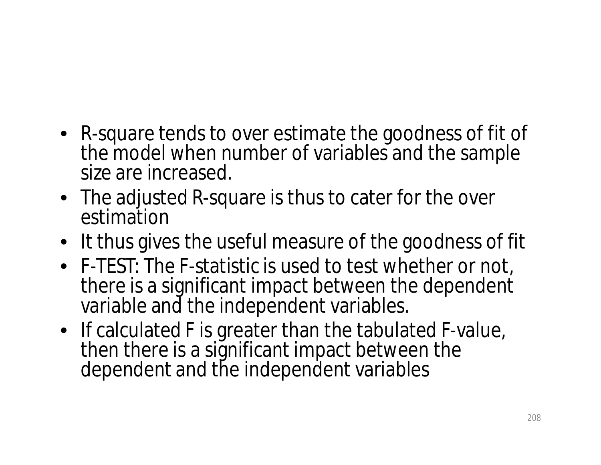- R-square tends to over estimate the goodness of fit of the model when number of variables and the sample size are increased.
- The adjusted R-square is thus to cater for the over estimation
- It thus gives the useful measure of the goodness of fit
- F-TEST: The F-statistic is used to test whether or not, there is a significant impact between the dependent variable and the independent variables.
- If calculated F is greater than the tabulated F-value, then there is a significant impact between the dependent and the independent variables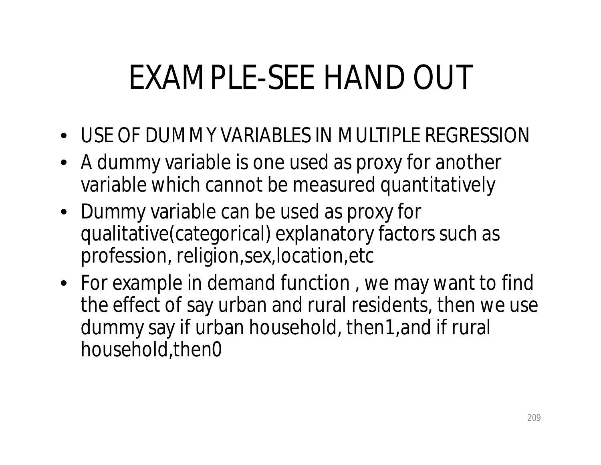# EXAMPLE-SEE HAND OUT

- USE OF DUMMY VARIABLES IN MULTIPLE REGRESSION
- A dummy variable is one used as proxy for another variable which cannot be measured quantitatively
- Dummy variable can be used as proxy for qualitative(categorical) explanatory factors such as profession, religion,sex,location,etc
- For example in demand function , we may want to find the effect of say urban and rural residents, then we use dummy say if urban household, then1,and if rural household,then0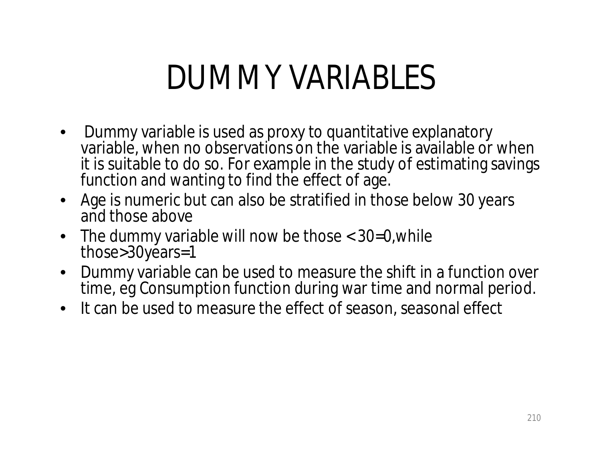#### DUMMY VARIABLES

- Dummy variable is used as proxy to quantitative explanatory variable, when no observations on the variable is available or when it is suitable to do so. For example in the study of estimating savings function and wanting to find the effect of age.
- Age is numeric but can also be stratified in those below 30 years and those above
- The dummy variable will now be those < 30=0, while those>30years=1
- Dummy variable can be used to measure the shift in a function over time, eg Consumption function during war time and normal period.
- It can be used to measure the effect of season, seasonal effect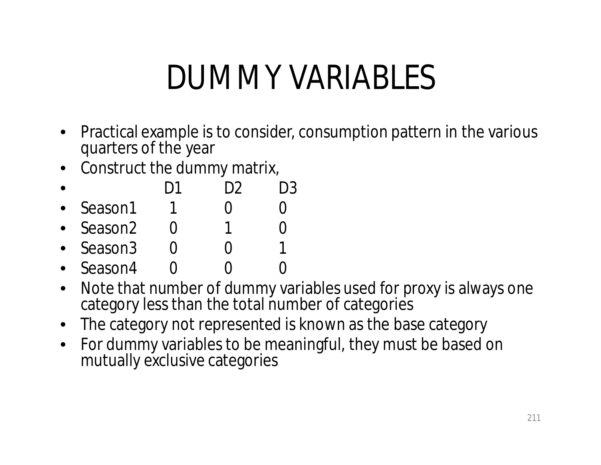#### DUMMY VARIABLES

- Practical example is to consider, consumption pattern in the various quarters of the year
- Construct the dummy matrix,
- D1 D2 D3
- Season1 1 0 0
- Season2 0 1 0
- Season3 0 0
- Season4 0 0 0
- Note that number of dummy variables used for proxy is always one category less than the total number of categories
- The category not represented is known as the base category
- For dummy variables to be meaningful, they must be based on mutually exclusive categories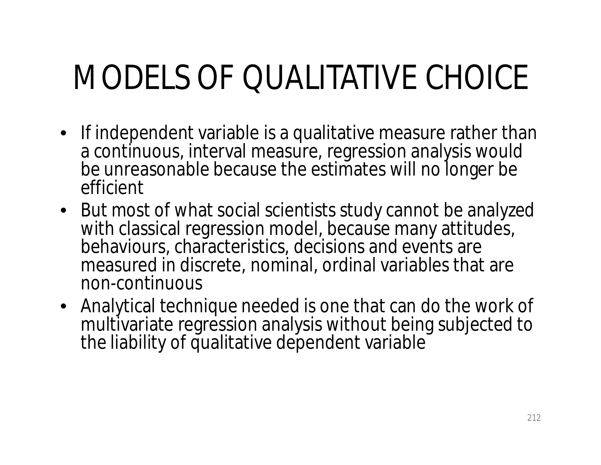# MODELS OF QUALITATIVE CHOICE

- If independent variable is a qualitative measure rather than a continuous, interval measure, regression analysis would be unreasonable because the estimates will no longer be efficient
- But most of what social scientists study cannot be analyzed with classical regression model, because many attitudes, behaviours, characteristics, decisions and events are measured in discrete, nominal, ordinal variables that are non-continuous
- Analytical technique needed is one that can do the work of multivariate regression analysis without being subjected to the liability of qualitative dependent variable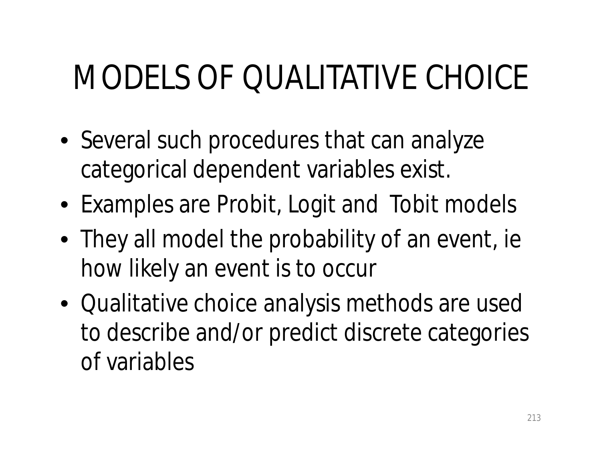# MODELS OF QUALITATIVE CHOICE

- Several such procedures that can analyze categorical dependent variables exist.
- Examples are Probit, Logit and Tobit models
- They all model the probability of an event, ie how likely an event is to occur
- Qualitative choice analysis methods are used to describe and/or predict discrete categories of variables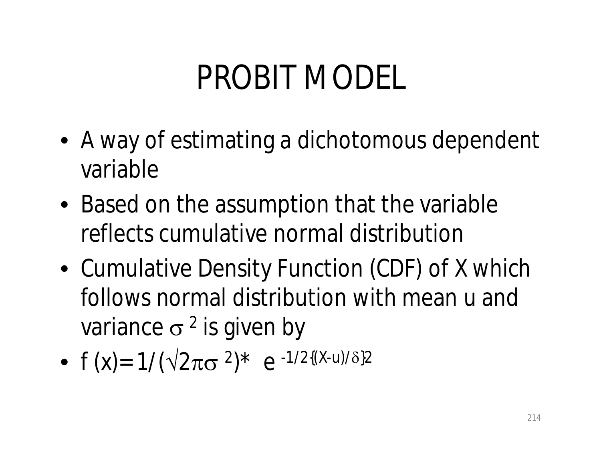### PROBIT MODEL

- A way of estimating a dichotomous dependent variable
- Based on the assumption that the variable reflects cumulative normal distribution
- Cumulative Density Function (CDF) of X which follows normal distribution with mean u and variance  $\sigma^2$  is given by
- $f(x) = 1/(\sqrt{2\pi}\sigma^2)^* e^{-1/2((X-u)/\delta^2)}$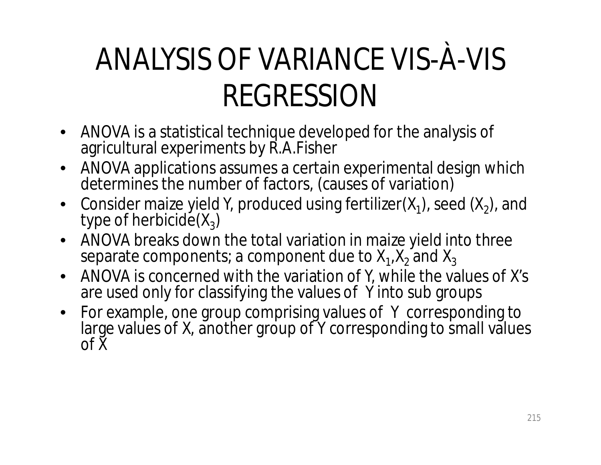#### ANALYSIS OF VARIANCE VIS-À-VIS REGRESSION

- ANOVA is a statistical technique developed for the analysis of agricultural experiments by R.A.Fisher
- ANOVA applications assumes a certain experimental design which determines the number of factors, (causes of variation)
- Consider maize yield Y, produced using fertilizer( $X_1$ ), seed ( $X_2$ ), and type of herbicide $(X_3)$
- ANOVA breaks down the total variation in maize yield into three separate components; a component due to  $\mathsf{X}_1$ , $\mathsf{X}_2$  and  $\mathsf{X}_3$
- ANOVA is concerned with the variation of Y, while the values of X's are used only for classifying the values of Y into sub groups
- For example, one group comprising values of Y corresponding to large values of X, another group of Y corresponding to small values of X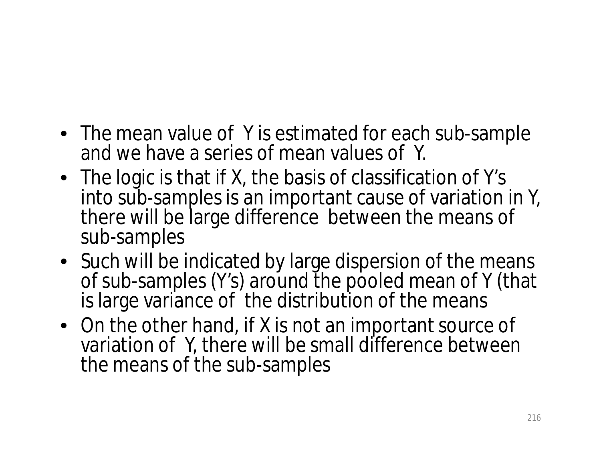- The mean value of Y is estimated for each sub-sample and we have a series of mean values of Y.
- The logic is that if X, the basis of classification of Y's into sub-samples is an important cause of variation in Y, there will be large difference between the means of sub-samples
- Such will be indicated by large dispersion of the means of sub-samples (Y's) around the pooled mean of Y (that is large variance of the distribution of the means
- On the other hand, if X is not an important source of variation of Y, there will be small difference between the means of the sub-samples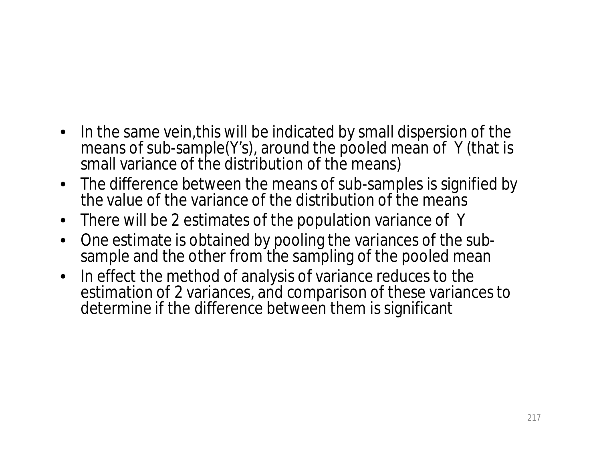- In the same vein,this will be indicated by small dispersion of the means of sub-sample(Y's), around the pooled mean of Y (that is small variance of the distribution of the means)
- The difference between the means of sub-samples is signified by the value of the variance of the distribution of the means
- There will be 2 estimates of the population variance of Y
- One estimate is obtained by pooling the variances of the subsample and the other from the sampling of the pooled mean
- In effect the method of analysis of variance reduces to the estimation of 2 variances, and comparison of these variances to determine if the difference between them is significant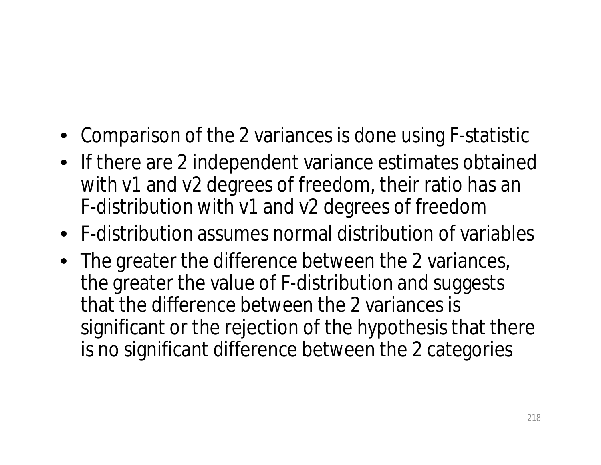- Comparison of the 2 variances is done using F-statistic
- If there are 2 independent variance estimates obtained with v1 and v2 degrees of freedom, their ratio has an F-distribution with v1 and v2 degrees of freedom
- F-distribution assumes normal distribution of variables
- The greater the difference between the 2 variances, the greater the value of F-distribution and suggests that the difference between the 2 variances is significant or the rejection of the hypothesis that there is no significant difference between the 2 categories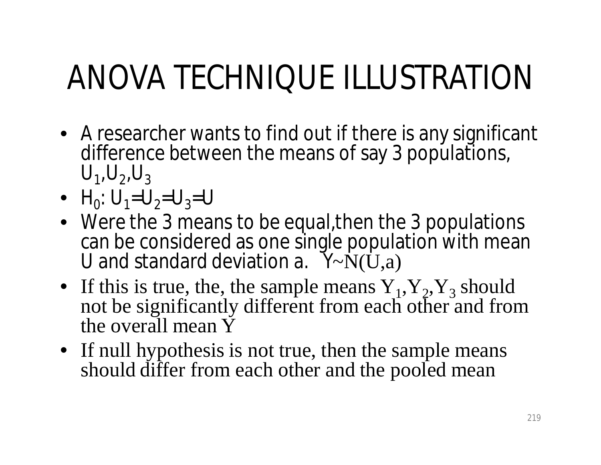# ANOVA TECHNIQUE ILLUSTRATION

- A researcher wants to find out if there is any significant difference between the means of say 3 populations,  $U_1, U_2, U_3$
- $H_0: U_1 = U_2 = U_3 = U$
- Were the 3 means to be equal,then the 3 populations can be considered as one single population with mean U and standard deviation a.  $Y \sim N(U,a)$
- If this is true, the, the sample means  $Y_1, Y_2, Y_3$  should not be significantly different from each other and from the overall mean Y
- If null hypothesis is not true, then the sample means should differ from each other and the pooled mean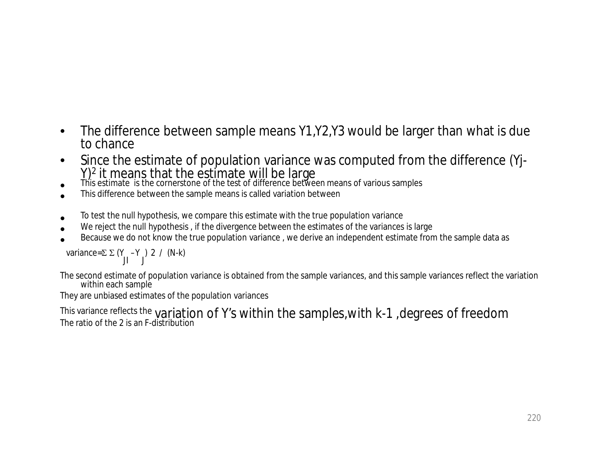- The difference between sample means Y1,Y2,Y3 would be larger than what is due to chance
- Since the estimate of population variance was computed from the difference (Yj-Y)<sup>2</sup> it means that the estimate will be large
- This estimate is the cornerstone of the test of difference between means of various samples
- This difference between the sample means is called variation between
- To test the null hypothesis, we compare this estimate with the true population variance
- We reject the null hypothesis , if the divergence between the estimates of the variances is large
- Because we do not know the true population variance , we derive an independent estimate from the sample data as

variance= $\Sigma$   $\Sigma$  (Y JI –Y J ) 2 / (N-k)

The second estimate of population variance is obtained from the sample variances, and this sample variances reflect the variation within each sample

They are unbiased estimates of the population variances

This variance reflects the variation of Y's within the samples, with k-1, degrees of freedom The ratio of the 2 is an F-distribution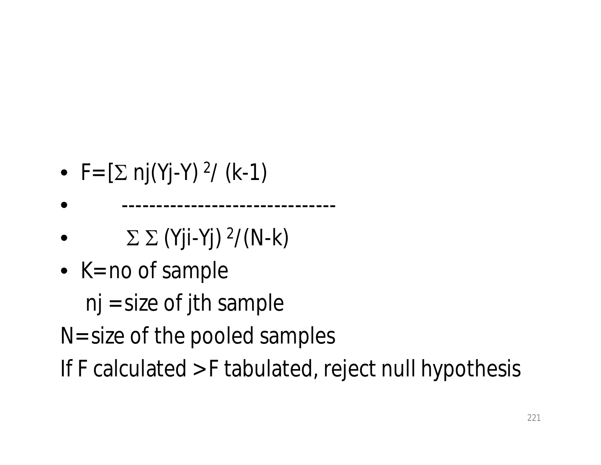- F=  $[\Sigma \text{ nj}(Yj-Y) \text{ }^2/ \text{ (k-1)}]$
- -------------------------------
- $\bullet$   $\Sigma \Sigma$  (Yji-Yj) <sup>2</sup>/(N-k)
- $K = no$  of sample
	- $nj = size of jth sample$
- N= size of the pooled samples
- If F calculated > F tabulated, reject null hypothesis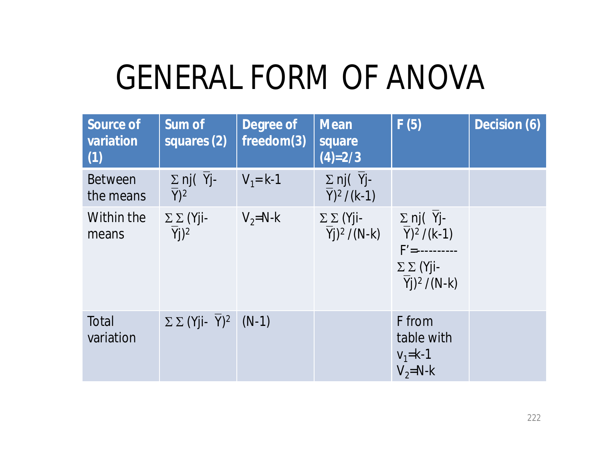## GENERAL FORM OF ANOVA

| <b>Source of</b><br>variation<br>(1) | <b>Sum of</b><br>squares (2)            | <b>Degree of</b><br>freedom(3) | <b>Mean</b><br>square<br>$(4)=2/3$                             | F(5)                                                                                                                                | Decision (6) |
|--------------------------------------|-----------------------------------------|--------------------------------|----------------------------------------------------------------|-------------------------------------------------------------------------------------------------------------------------------------|--------------|
| <b>Between</b><br>the means          | $\Sigma$ nj( $Y$ j-<br>$Y$ <sup>2</sup> | $V_1 = k-1$                    | $\Sigma$ nj(Yj-<br>$Y)^2/(k-1)$                                |                                                                                                                                     |              |
| Within the<br>means                  | $\Sigma \Sigma$ (Yji-<br>$Yj)^2$        | $V_2 = N - k$                  | $\Sigma \Sigma$ (Yji-<br>$\overline{Y}$ j) <sup>2</sup> /(N-k) | $\Sigma$ nj( Yj-<br>$\overline{Y})^2$ /(k-1)<br>$F' =$ ----------<br>$\Sigma \Sigma$ (Yji-<br>$\overline{Y}$ j) <sup>2</sup> /(N-k) |              |
| Total<br>variation                   | $\Sigma \Sigma$ (Yji- Y) <sup>2</sup>   | $(N-1)$                        |                                                                | F from<br>table with<br>$V_1 = k - 1$<br>$V_2 = N - k$                                                                              |              |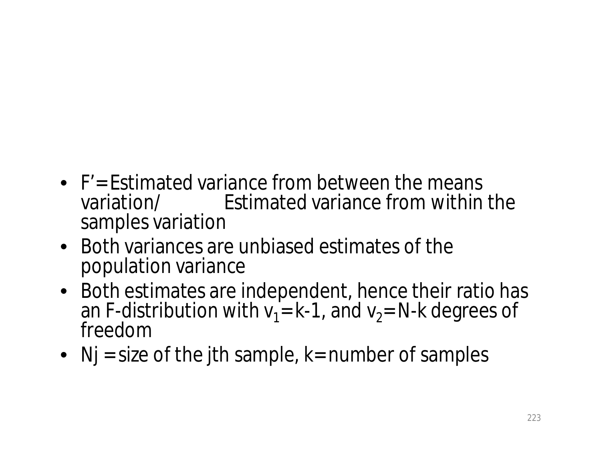- F'= Estimated variance from between the means variation/ Estimated variance from within the samples variation
- Both variances are unbiased estimates of the population variance
- Both estimates are independent, hence their ratio has an F-distribution with  $v_1$  = k-1, and  $v_2$  = N-k degrees of freedom
- $Nj$  = size of the jth sample, k= number of samples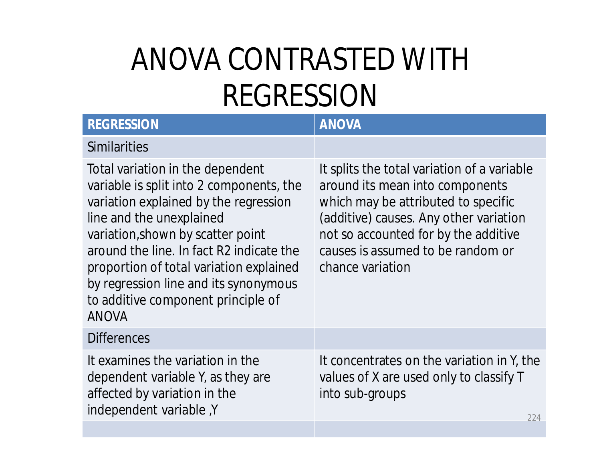#### ANOVA CONTRASTED WITH REGRESSION

| <b>REGRESSION</b>                                                                                                                                                                                                                                                                                                                                                            | <b>ANOVA</b>                                                                                                                                                                                                                                                     |
|------------------------------------------------------------------------------------------------------------------------------------------------------------------------------------------------------------------------------------------------------------------------------------------------------------------------------------------------------------------------------|------------------------------------------------------------------------------------------------------------------------------------------------------------------------------------------------------------------------------------------------------------------|
| <b>Similarities</b>                                                                                                                                                                                                                                                                                                                                                          |                                                                                                                                                                                                                                                                  |
| Total variation in the dependent<br>variable is split into 2 components, the<br>variation explained by the regression<br>line and the unexplained<br>variation, shown by scatter point<br>around the line. In fact R2 indicate the<br>proportion of total variation explained<br>by regression line and its synonymous<br>to additive component principle of<br><b>ANOVA</b> | It splits the total variation of a variable<br>around its mean into components<br>which may be attributed to specific<br>(additive) causes. Any other variation<br>not so accounted for by the additive<br>causes is assumed to be random or<br>chance variation |
| <b>Differences</b>                                                                                                                                                                                                                                                                                                                                                           |                                                                                                                                                                                                                                                                  |
| It examines the variation in the<br>dependent variable Y, as they are<br>affected by variation in the<br>independent variable, Y                                                                                                                                                                                                                                             | It concentrates on the variation in Y, the<br>values of X are used only to classify T<br>into sub-groups<br>224                                                                                                                                                  |
|                                                                                                                                                                                                                                                                                                                                                                              |                                                                                                                                                                                                                                                                  |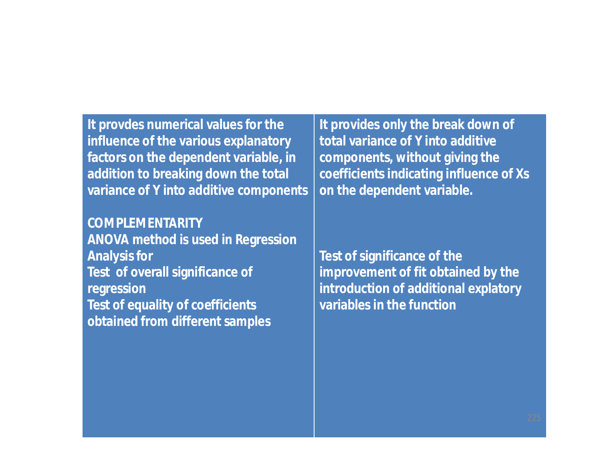**It provdes numerical values for the influence of the various explanatory factors on the dependent variable, in addition to breaking down the total variance of Y into additive components**

**COMPLEMENTARITY ANOVA method is used in Regression Analysis for Test of overall significance of regression Test of equality of coefficients obtained from different samples**

**It provides only the break down of total variance of Y into additive components, without giving the coefficients indicating influence of Xs on the dependent variable.**

**Test of significance of the improvement of fit obtained by the introduction of additional explatory variables in the function**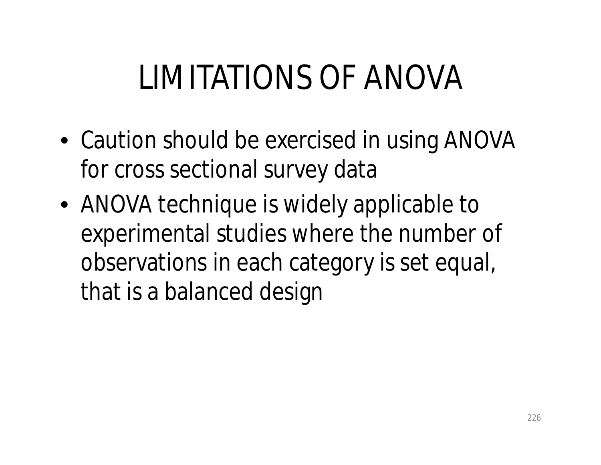## LIMITATIONS OF ANOVA

- Caution should be exercised in using ANOVA for cross sectional survey data
- ANOVA technique is widely applicable to experimental studies where the number of observations in each category is set equal, that is a balanced design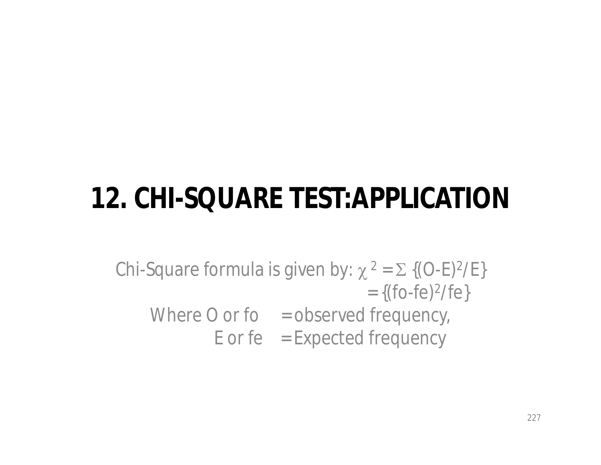#### **12. CHI-SQUARE TEST:APPLICATION**

Chi-Square formula is given by:  $\chi^2 = \Sigma$  {(O-E)<sup>2</sup>/E}  $= \{(\text{fo-fe})^2/\text{fe}\}$ Where  $O$  or fo  $=$  observed frequency,  $E$  or fe = Expected frequency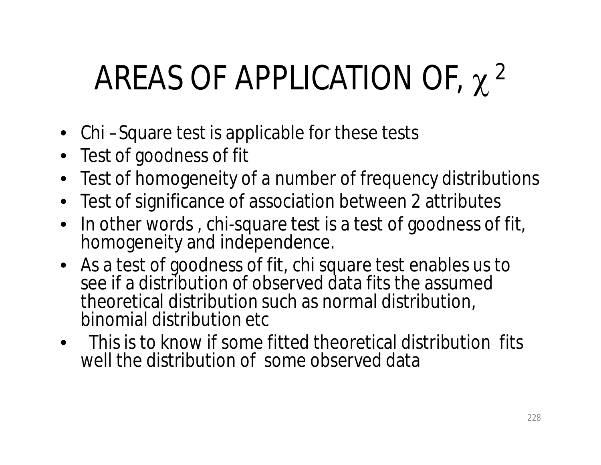# AREAS OF APPLICATION OF,  $\chi$ <sup>2</sup>

- Chi Square test is applicable for these tests
- Test of goodness of fit
- Test of homogeneity of a number of frequency distributions
- Test of significance of association between 2 attributes
- In other words, chi-square test is a test of goodness of fit, homogeneity and independence.
- As a test of goodness of fit, chi square test enables us to see if a distribution of observed data fits the assumed theoretical distribution such as normal distribution, binomial distribution etc
- This is to know if some fitted theoretical distribution fits well the distribution of some observed data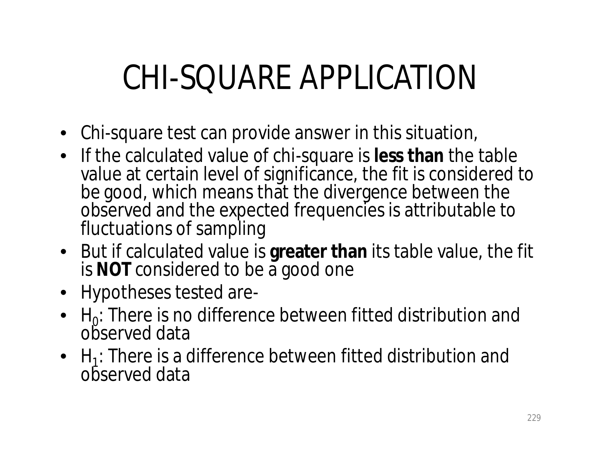## CHI-SQUARE APPLICATION

- Chi-square test can provide answer in this situation,
- If the calculated value of chi-square is **less than** the table value at certain level of significance, the fit is considered to be good, which means that the divergence between the observed and the expected frequencies is attributable to fluctuations of sampling
- But if calculated value is **greater than** its table value, the fit is **NOT** considered to be a good one
- Hypotheses tested are-
- $H_0$ : There is no difference between fitted distribution and observed data
- $H_1$ : There is a difference between fitted distribution and observed data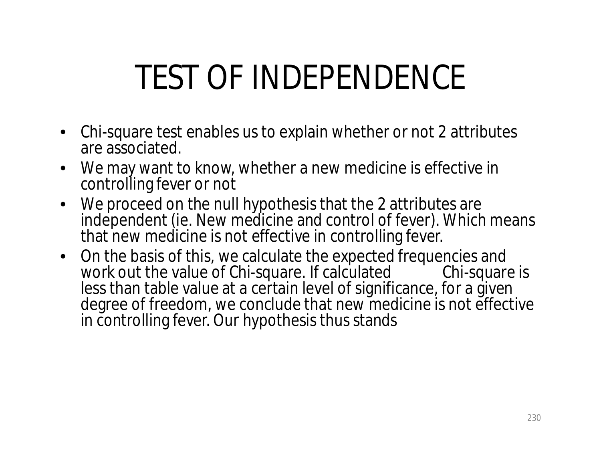## TEST OF INDEPENDENCE

- Chi-square test enables us to explain whether or not 2 attributes are associated.
- We may want to know, whether a new medicine is effective in controlling fever or not
- We proceed on the null hypothesis that the 2 attributes are independent (ie. New medicine and control of fever). Which means that new medicine is not effective in controlling fever.
- On the basis of this, we calculate the expected frequencies and<br>work out the value of Chi-square. If calculated Chi-square is work out the value of Chi-square. If calculated Chi-square is less than table value at a certain level of significance, for a given degree of freedom, we conclude that new medicine is not effective in controlling fever. Our hypothesis thus stands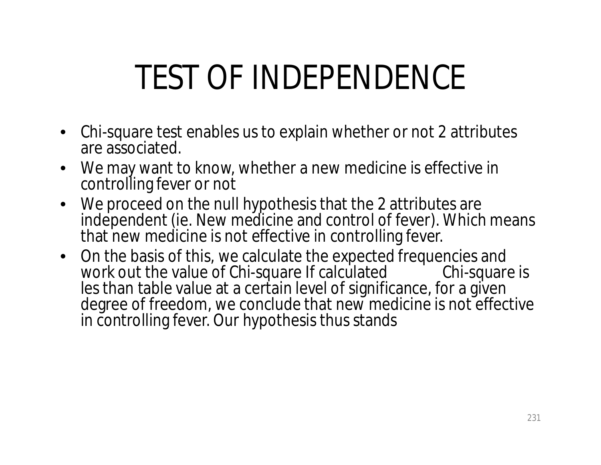## TEST OF INDEPENDENCE

- Chi-square test enables us to explain whether or not 2 attributes are associated.
- We may want to know, whether a new medicine is effective in controlling fever or not
- We proceed on the null hypothesis that the 2 attributes are independent (ie. New medicine and control of fever). Which means that new medicine is not effective in controlling fever.
- On the basis of this, we calculate the expected frequencies and<br>work out the value of Chi-square If calculated Chi-square is work out the value of Chi-square If calculated Chi-square is les than table value at a certain level of significance, for a given degree of freedom, we conclude that new medicine is not effective in controlling fever. Our hypothesis thus stands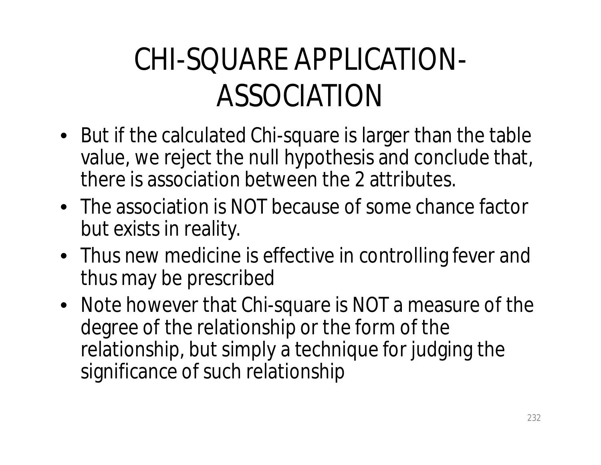#### CHI-SQUARE APPLICATION-ASSOCIATION

- But if the calculated Chi-square is larger than the table value, we reject the null hypothesis and conclude that, there is association between the 2 attributes.
- The association is NOT because of some chance factor but exists in reality.
- Thus new medicine is effective in controlling fever and thus may be prescribed
- Note however that Chi-square is NOT a measure of the degree of the relationship or the form of the relationship, but simply a technique for judging the significance of such relationship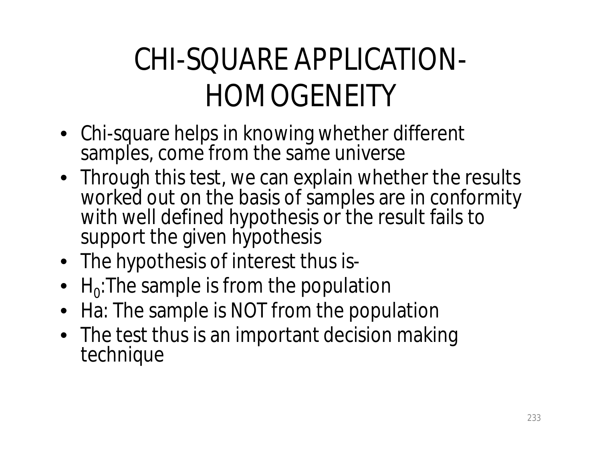#### CHI-SQUARE APPLICATION-HOMOGENEITY

- Chi-square helps in knowing whether different samples, come from the same universe
- Through this test, we can explain whether the results worked out on the basis of samples are in conformity with well defined hypothesis or the result fails to support the given hypothesis
- The hypothesis of interest thus is-
- $H_0$ :The sample is from the population
- Ha: The sample is NOT from the population
- The test thus is an important decision making technique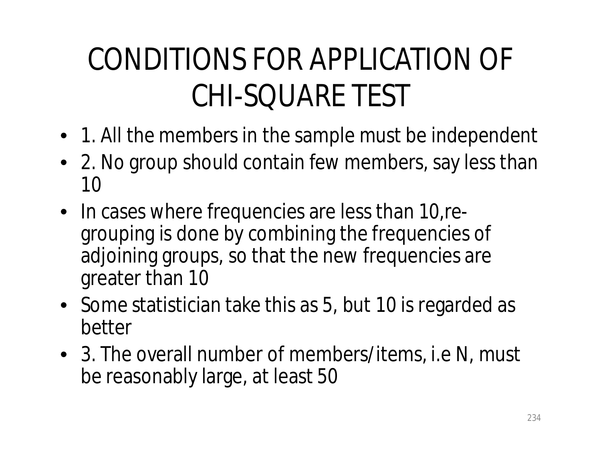#### CONDITIONS FOR APPLICATION OF CHI-SQUARE TEST

- 1. All the members in the sample must be independent
- 2. No group should contain few members, say less than 10
- In cases where frequencies are less than 10, regrouping is done by combining the frequencies of adjoining groups, so that the new frequencies are greater than 10
- Some statistician take this as 5, but 10 is regarded as better
- 3. The overall number of members/items, i.e N, must be reasonably large, at least 50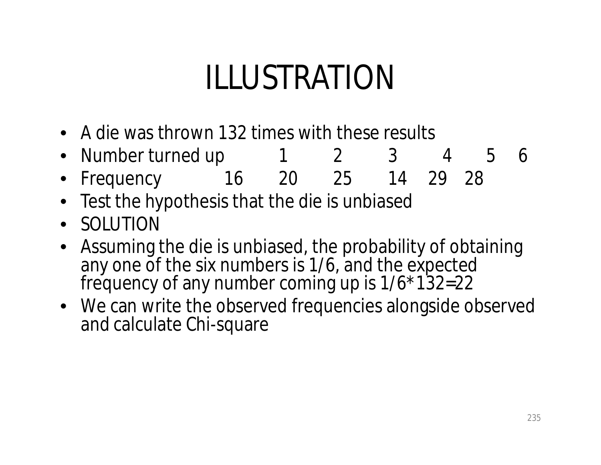## ILLUSTRATION

- A die was thrown 132 times with these results
- Number turned up 1 2 3 4 5 6
- Frequency 16 20 25 14 29 28
- Test the hypothesis that the die is unbiased
- SOLUTION
- Assuming the die is unbiased, the probability of obtaining any one of the six numbers is 1/6, and the expected frequency of any number coming up is  $1/6*132=22$
- We can write the observed frequencies alongside observed and calculate Chi-square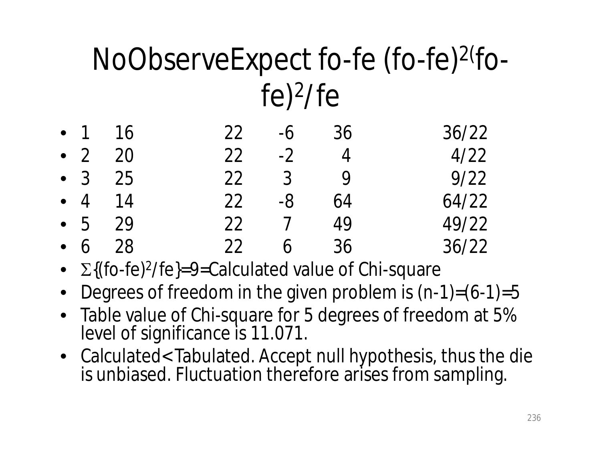#### NoObserveExpect fo-fe (fo-fe)<sup>2(fo-</sup> fe) 2 /fe

|  | $-1$ 16    | $22 - 6$ 36 |     | 36/22 |
|--|------------|-------------|-----|-------|
|  | • $2 \ 20$ | $22 - 2$ 4  |     | 4/22  |
|  | • $3$ 25   | 22 3 9      |     | 9/22  |
|  | • $4$ 14   | $22 - 8$    | -64 | 64/22 |
|  | • 5 29     | 22 7 49     |     | 49/22 |
|  | • $6$ 28   | 22 6        | 36  | 36/22 |

- $\Sigma\{(\text{fo-fe})^2/\text{fe}\} = 9 = \text{Calculated value of Chi-square}$
- Degrees of freedom in the given problem is  $(n-1)=(6-1)=5$
- Table value of Chi-square for 5 degrees of freedom at 5% level of significance is 11.071.
- Calculated< Tabulated. Accept null hypothesis, thus the die is unbiased. Fluctuation therefore arises from sampling.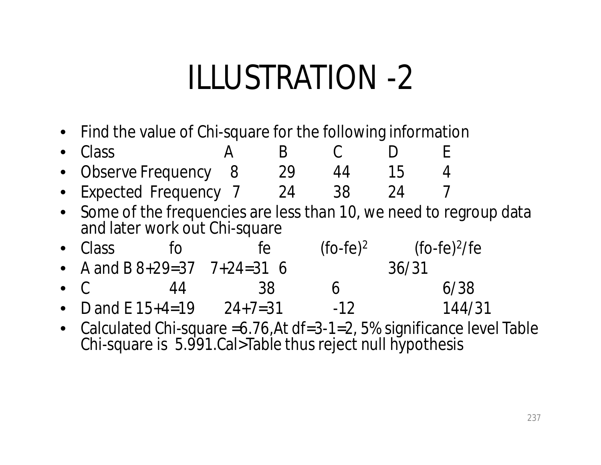### ILLUSTRATION -2

• Find the value of Chi-square for the following information

| $\bullet$ Class        |  |  |  |
|------------------------|--|--|--|
| • Observe Frequency 8  |  |  |  |
| - Evnactad Eraguancy 7 |  |  |  |

- Expected Frequency 7 24 38 24 7 • Some of the frequencies are less than 10, we need to regroup data and later work out Chi-square
- Class fo fe <sup>2</sup> (fo-fe)<sup>2</sup>/fe
- A and B  $8+29=37$   $7+24=31$  6 36/31
- C 44 38 6 6/38
- D and E  $15+4=19$   $24+7=31$   $-12$   $144/31$
- Calculated Chi-square = 6.76, At df = 3-1 = 2, 5% significance level Table Chi-square is 5.991.Cal>Table thus reject null hypothesis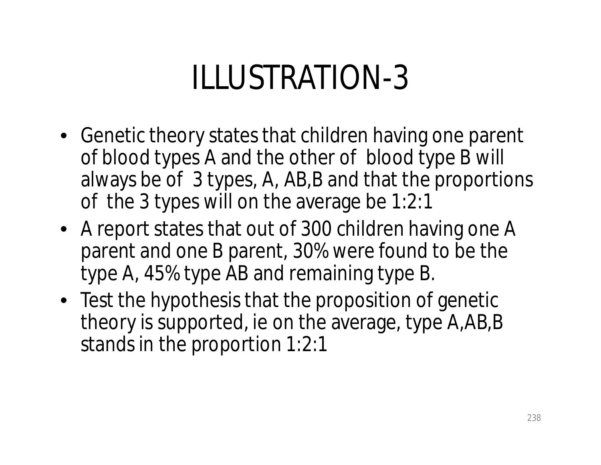## ILLUSTRATION-3

- Genetic theory states that children having one parent of blood types A and the other of blood type B will always be of 3 types, A, AB,B and that the proportions of the 3 types will on the average be 1:2:1
- A report states that out of 300 children having one A parent and one B parent, 30% were found to be the type A, 45% type AB and remaining type B.
- Test the hypothesis that the proposition of genetic theory is supported, ie on the average, type A,AB,B stands in the proportion 1:2:1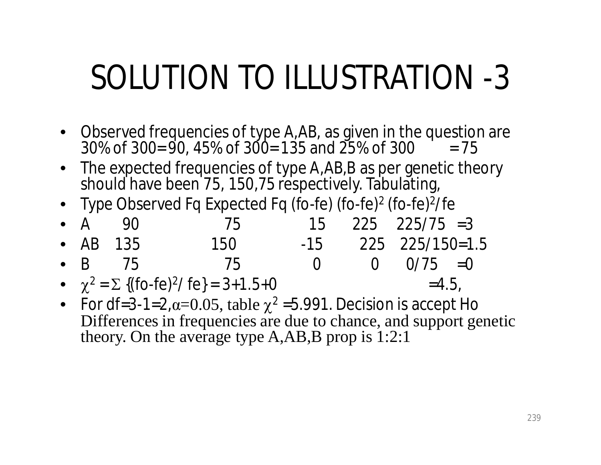## SOLUTION TO ILLUSTRATION -3

- Observed frequencies of type A,AB, as given in the question are  $30\%$  of  $300=90$ ,  $45\%$  of  $300=135$  and  $25\%$  of  $300 = 75$
- The expected frequencies of type A,AB,B as per genetic theory should have been 75, 150,75 respectively. Tabulating,
- Type Observed Fq Expected Fq (fo-fe) (fo-fe)<sup>2</sup> (fo-fe)<sup>2</sup>/fe

|  | • $A$ 90         | 75                                                        |                | $15$ $225$ $225/75$ =3 |  |
|--|------------------|-----------------------------------------------------------|----------------|------------------------|--|
|  | $\bullet$ AB 135 | 150 -                                                     |                | $-15$ 225 225/150=1.5  |  |
|  | $\bullet$ B 75   | 75                                                        | $\overline{O}$ | $0 \t 0/75 = 0$        |  |
|  |                  | • $\chi^2 = \Sigma$ {(fo-fe) <sup>2</sup> / fe} = 3+1.5+0 |                | $=4.5$                 |  |

• For df=3-1=2, $\alpha$ =0.05, table  $\chi^2$  =5.991. Decision is accept Ho Differences in frequencies are due to chance, and support genetic theory. On the average type A,AB,B prop is 1:2:1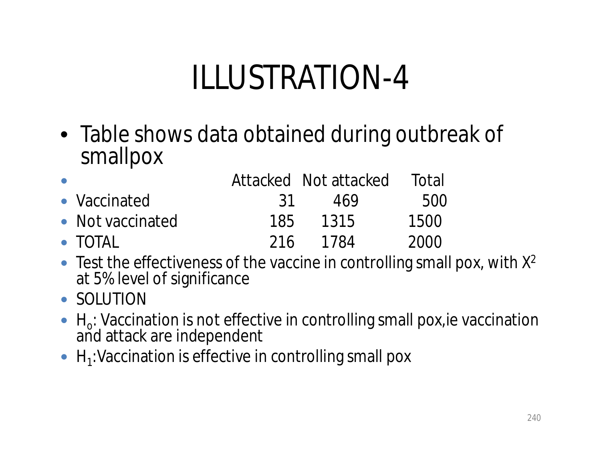## ILLUSTRATION-4

• Table shows data obtained during outbreak of smallpox

| $\bullet$ |                  |      | Attacked Not attacked | Total |
|-----------|------------------|------|-----------------------|-------|
|           | • Vaccinated     | - 31 | 469                   | 500   |
|           | • Not vaccinated | 185  | 1315                  | 1500  |
|           | $\bullet$ TOTAL  | 216  | 1784                  | 2000  |

- $\bullet$  Test the effectiveness of the vaccine in controlling small pox, with  $X^2$ at 5% level of significance
- SOLUTION
- $\bullet$  H<sub>o</sub>: Vaccination is not effective in controlling small pox, ie vaccination and attack are independent
- $\bullet$  H<sub>1</sub>: Vaccination is effective in controlling small pox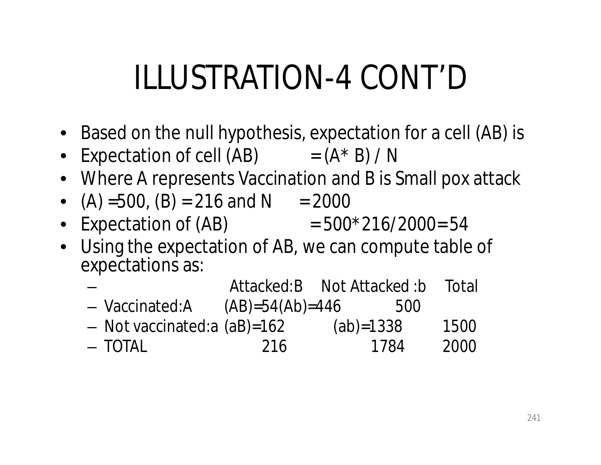## ILLUSTRATION-4 CONT'D

- Based on the null hypothesis, expectation for a cell (AB) is
- Expectation of cell  $(AB)$  =  $(A * B) / N$
- Where A represents Vaccination and B is Small pox attack
- $(A) = 500$ ,  $(B) = 216$  and N = 2000
- Expectation of  $(AB)$  = 500\*216/2000= 54
- Using the expectation of AB, we can compute table of expectations as:

|                                |                   | Attacked:B Not Attacked:b | Total |
|--------------------------------|-------------------|---------------------------|-------|
| - Vaccinated:A                 | $(AB)=54(Ab)=446$ | 500                       |       |
| $-$ Not vaccinated: a (aB)=162 |                   | $(ab) = 1338$             | 1500  |
| $-$ TOTAL                      | 216               | 1784                      | 2000  |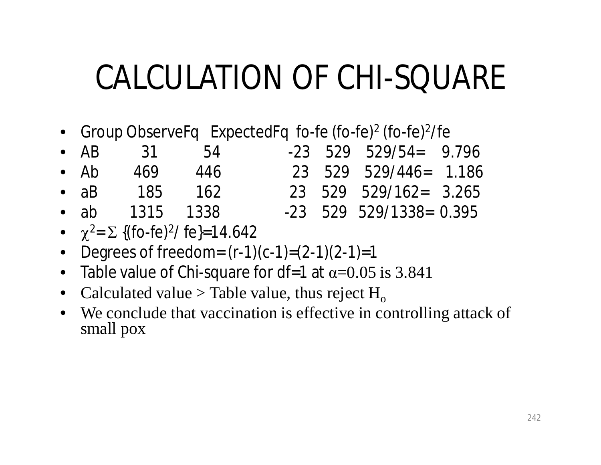### CALCULATION OF CHI-SQUARE

• Group ObserveFq ExpectedFq fo-fe (fo-fe)<sup>2</sup> (fo-fe)<sup>2</sup>/fe

|              | • AB 31 54       |     |  | $-23$ 529 529/54= 9.796   |  |
|--------------|------------------|-----|--|---------------------------|--|
| $\bullet$ Ab | - 469            | 446 |  | 23 529 529/446= 1.186     |  |
| $\bullet$ aB | 185 162          |     |  | $23$ 529 529/162= 3.265   |  |
|              | • ab $1315$ 1338 |     |  | $-23$ 529 529/1338= 0.395 |  |

- $\chi^2$ =  $\Sigma$  {(fo-fe)<sup>2</sup>/ fe}=14.642
- Degrees of freedom=  $(r-1)(c-1)=(2-1)(2-1)=1$
- Table value of Chi-square for df=1 at  $\alpha$ =0.05 is 3.841
- Calculated value > Table value, thus reject  $H_0$
- We conclude that vaccination is effective in controlling attack of small pox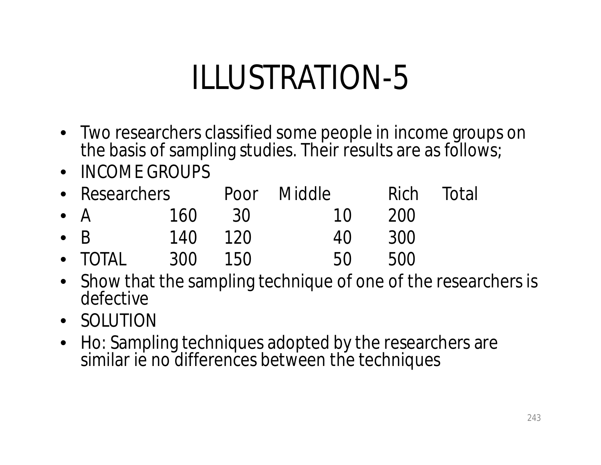## ILLUSTRATION-5

- Two researchers classified some people in income groups on the basis of sampling studies. Their results are as follows;
- INCOME GROUPS
- Researchers Poor Middle Rich Total • A 160 30 10 200 • B 140 120 40 300 • TOTAL 300 150 50 500
- Show that the sampling technique of one of the researchers is defective
- SOLUTION
- Ho: Sampling techniques adopted by the researchers are similar ie no differences between the techniques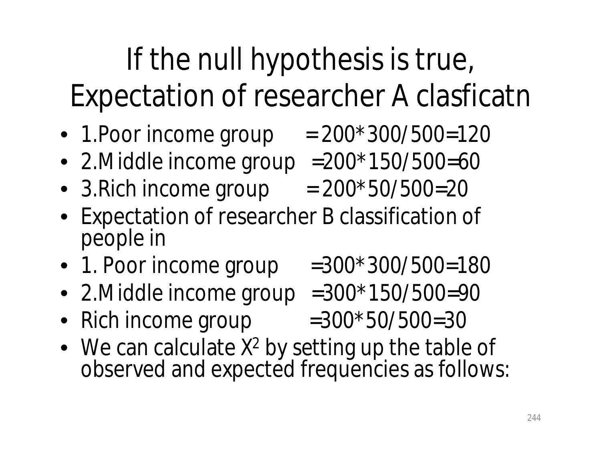#### If the null hypothesis is true, Expectation of researcher A clasficatn

- 1. Poor income group  $= 200*300/500=120$
- 2. Middle income group  $=200*150/500=60$
- 3. Rich income group  $= 200*50/500=20$
- Expectation of researcher B classification of people in
- 1. Poor income group  $=300*300/500=180$
- 2. Middle income group  $=300*150/500=90$
- Rich income group  $=300*50/500=30$
- We can calculate  $X^2$  by setting up the table of observed and expected frequencies as follows: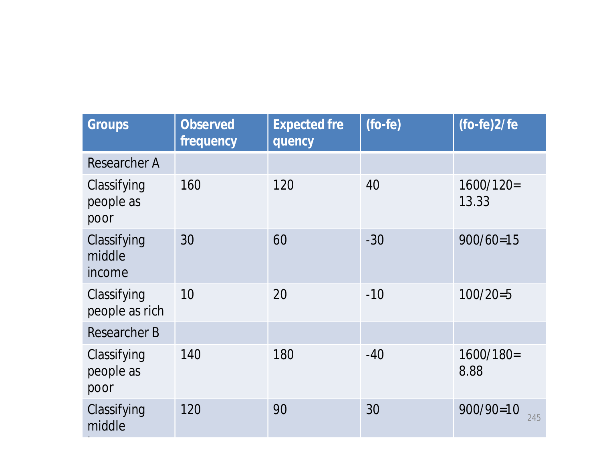| <b>Observed</b><br>frequency | <b>Expected fre</b><br>quency | $(fo-fe)$ | $(fo-fe)2/fe$        |
|------------------------------|-------------------------------|-----------|----------------------|
|                              |                               |           |                      |
| 160                          | 120                           | 40        | $1600/120=$<br>13.33 |
| 30                           | 60                            | $-30$     | $900/60=15$          |
| 10                           | 20                            | $-10$     | $100/20=5$           |
|                              |                               |           |                      |
| 140                          | 180                           | $-40$     | $1600/180=$<br>8.88  |
| 120                          | 90                            | 30        | $900/90=10$<br>245   |
|                              |                               |           |                      |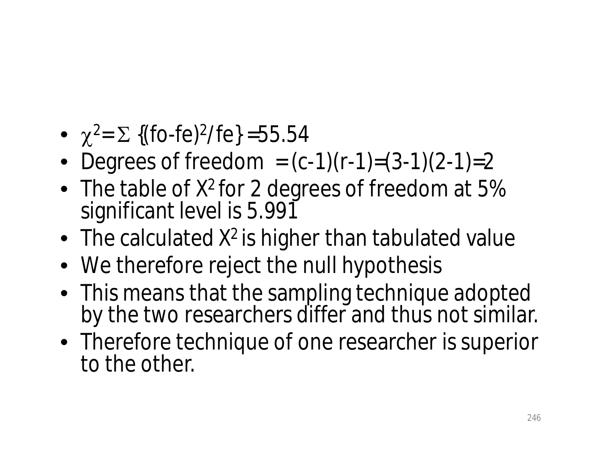- $\chi^2 = \Sigma$  {(fo-fe)<sup>2</sup>/fe} =55.54
- Degrees of freedom  $= (c-1)(r-1)=(3-1)(2-1)=2$
- The table of  $X^2$  for 2 degrees of freedom at 5% significant level is 5.991
- The calculated  $X^2$  is higher than tabulated value
- We therefore reject the null hypothesis
- This means that the sampling technique adopted by the two researchers differ and thus not similar.
- Therefore technique of one researcher is superior to the other.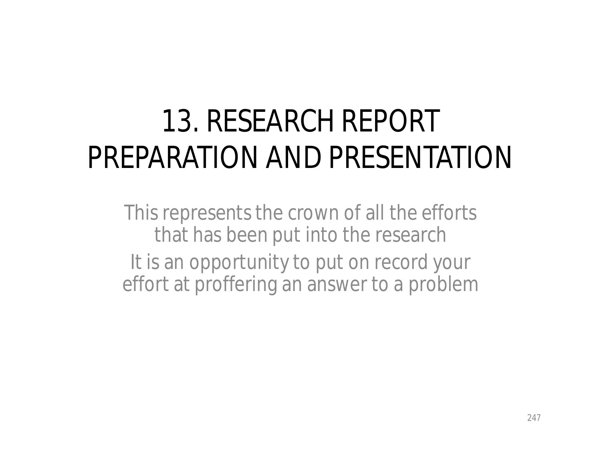#### 13. RESEARCH REPORT PREPARATION AND PRESENTATION

This represents the crown of all the efforts that has been put into the research It is an opportunity to put on record your effort at proffering an answer to a problem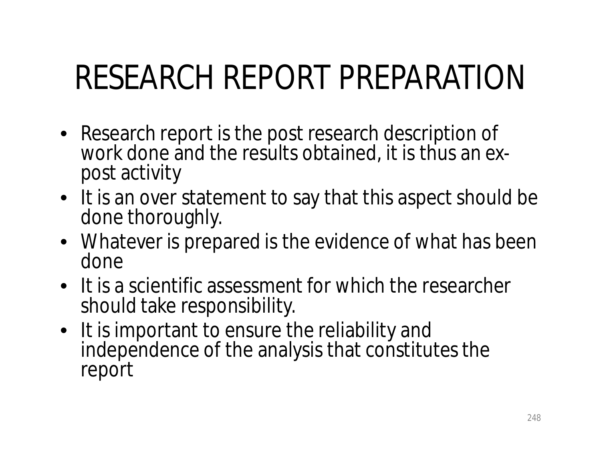## RESEARCH REPORT PREPARATION

- Research report is the post research description of work done and the results obtained, it is thus an ex*post* activity
- It is an over statement to say that this aspect should be done thoroughly.
- Whatever is prepared is the evidence of what has been done
- It is a scientific assessment for which the researcher should take responsibility.
- It is important to ensure the reliability and independence of the analysis that constitutes the report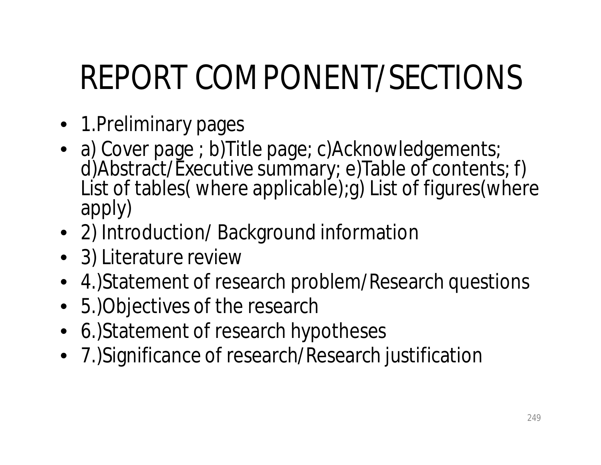# REPORT COMPONENT/SECTIONS

- 1. Preliminary pages
- a) Cover page ; b) Title page; c) Acknowledgements; d)Abstract/Executive summary; e)Table of contents; f) List of tables( where applicable); g) List of figures (where apply)
- 2) Introduction/ Background information
- 3) Literature review
- 4.)Statement of research problem/Research questions
- 5.)Objectives of the research
- 6.)Statement of research hypotheses
- 7.)Significance of research/Research justification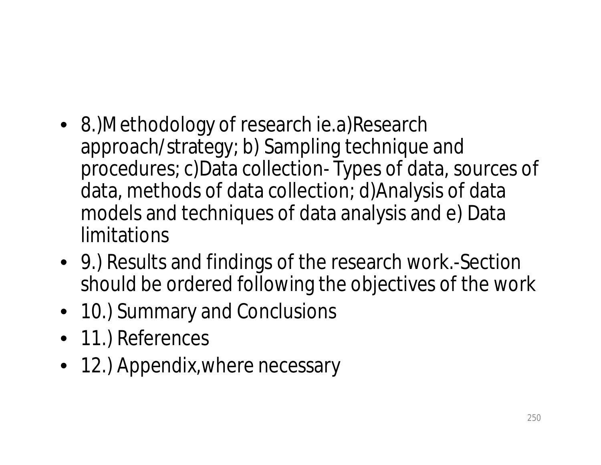- 8.)Methodology of research ie.a)Research approach/strategy; b) Sampling technique and procedures; c)Data collection- Types of data, sources of data, methods of data collection; d)Analysis of data models and techniques of data analysis and e) Data limitations
- 9.) Results and findings of the research work.-Section should be ordered following the objectives of the work
- 10.) Summary and Conclusions
- 11.) References
- 12.) Appendix, where necessary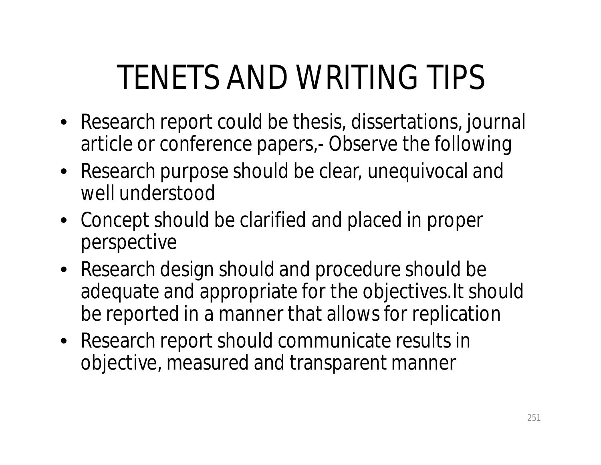## TENETS AND WRITING TIPS

- Research report could be thesis, dissertations, journal article or conference papers,- Observe the following
- Research purpose should be clear, unequivocal and well understood
- Concept should be clarified and placed in proper perspective
- Research design should and procedure should be adequate and appropriate for the objectives.It should be reported in a manner that allows for replication
- Research report should communicate results in objective, measured and transparent manner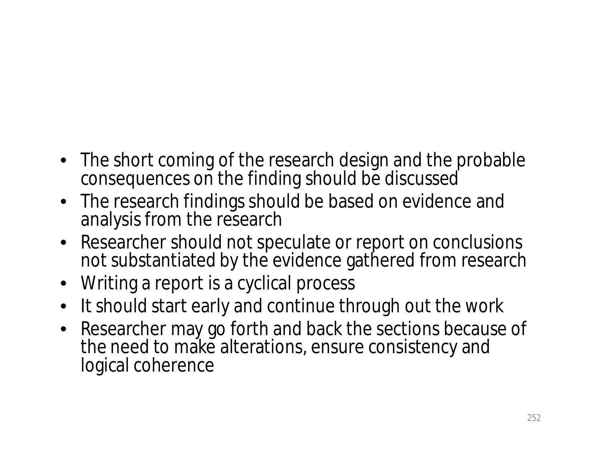- The short coming of the research design and the probable consequences on the finding should be discussed
- The research findings should be based on evidence and analysis from the research
- Researcher should not speculate or report on conclusions not substantiated by the evidence gathered from research
- Writing a report is a cyclical process
- It should start early and continue through out the work
- Researcher may go forth and back the sections because of the need to make alterations, ensure consistency and logical coherence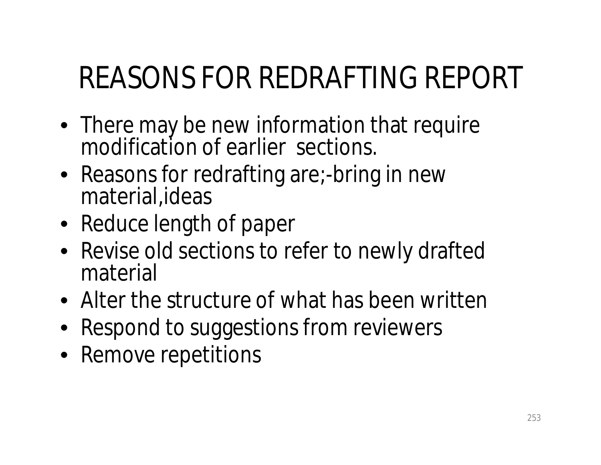#### REASONS FOR REDRAFTING REPORT

- There may be new information that require modification of earlier sections.
- Reasons for redrafting are;-bring in new material,ideas
- Reduce length of paper
- Revise old sections to refer to newly drafted material
- Alter the structure of what has been written
- Respond to suggestions from reviewers
- Remove repetitions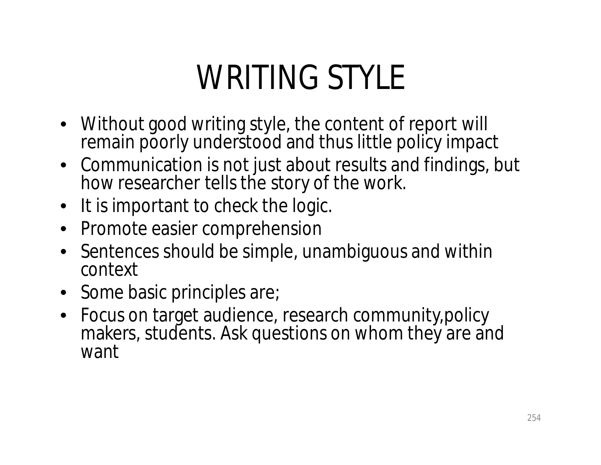## WRITING STYLE

- Without good writing style, the content of report will remain poorly understood and thus little policy impact
- Communication is not just about results and findings, but how researcher tells the story of the work.
- It is important to check the logic.
- Promote easier comprehension
- Sentences should be simple, unambiguous and within context
- Some basic principles are;
- Focus on target audience, research community,policy makers, students. Ask questions on whom they are and want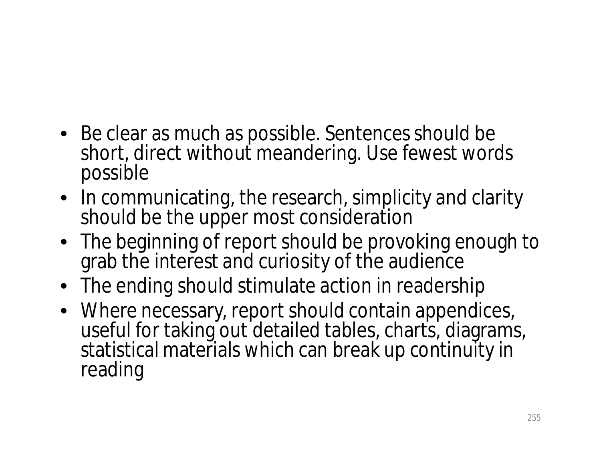- Be clear as much as possible. Sentences should be short, direct without meandering. Use fewest words possible
- In communicating, the research, simplicity and clarity should be the upper most consideration
- The beginning of report should be provoking enough to grab the interest and curiosity of the audience
- The ending should stimulate action in readership
- Where necessary, report should contain appendices, useful for taking out detailed tables, charts, diagrams, statistical materials which can break up continuity in reading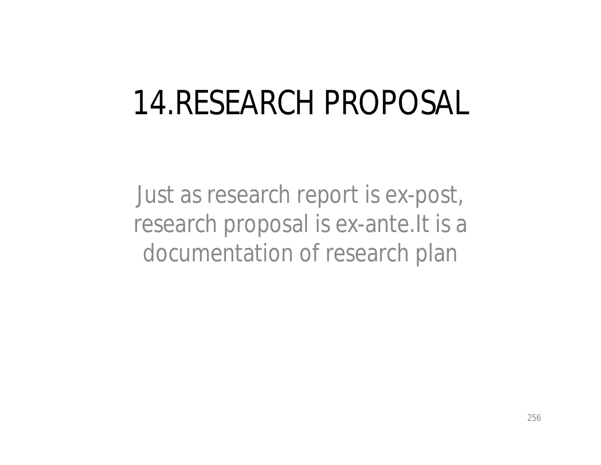#### 14.RESEARCH PROPOSAL

Just as research report is ex-post, research proposal is ex-ante.It is a documentation of research plan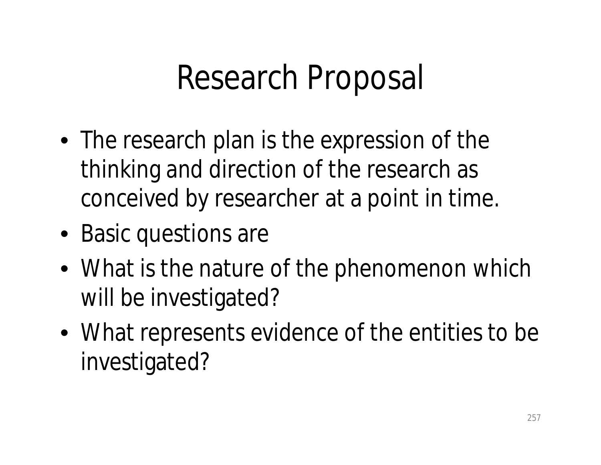#### Research Proposal

- The research plan is the expression of the thinking and direction of the research as conceived by researcher at a point in time.
- Basic questions are
- What is the nature of the phenomenon which will be investigated?
- What represents evidence of the entities to be investigated?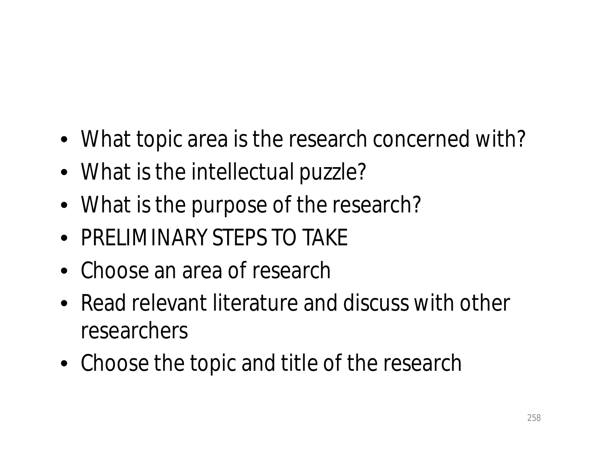- What topic area is the research concerned with?
- What is the intellectual puzzle?
- What is the purpose of the research?
- PRELIMINARY STEPS TO TAKE
- Choose an area of research
- Read relevant literature and discuss with other researchers
- Choose the topic and title of the research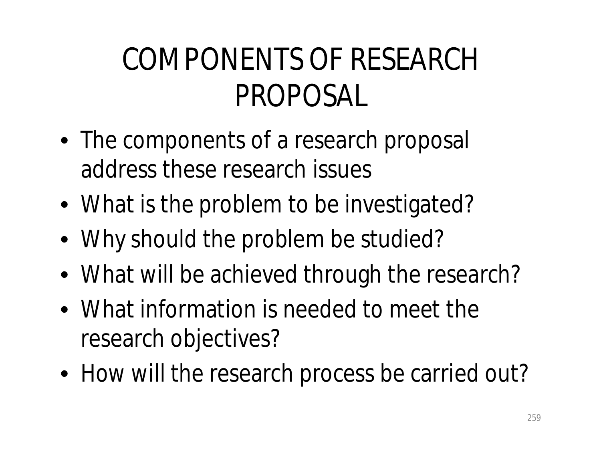#### COMPONENTS OF RESEARCH PROPOSAL

- The components of a research proposal address these research issues
- What is the problem to be investigated?
- Why should the problem be studied?
- What will be achieved through the research?
- What information is needed to meet the research objectives?
- How will the research process be carried out?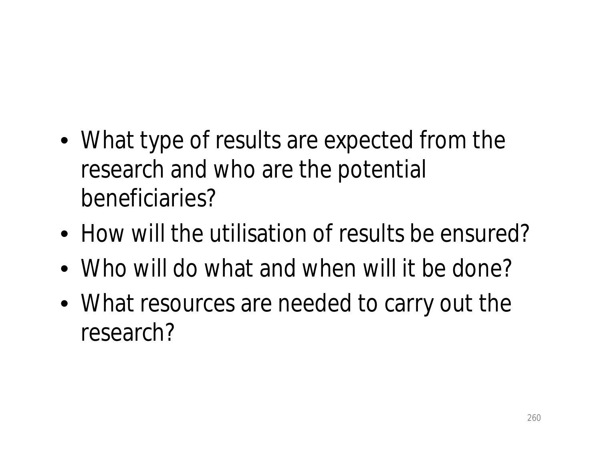- What type of results are expected from the research and who are the potential beneficiaries?
- How will the utilisation of results be ensured?
- Who will do what and when will it be done?
- What resources are needed to carry out the research?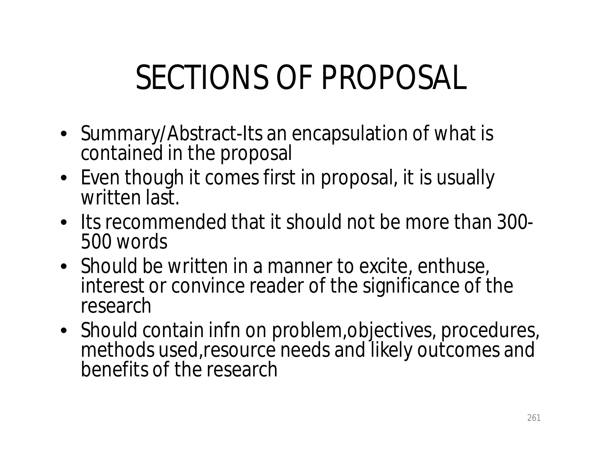# SECTIONS OF PROPOSAL

- Summary/Abstract-Its an encapsulation of what is contained in the proposal
- Even though it comes first in proposal, it is usually written last.
- Its recommended that it should not be more than 300- 500 words
- Should be written in a manner to excite, enthuse, interest or convince reader of the significance of the research
- Should contain infn on problem, objectives, procedures, methods used,resource needs and likely outcomes and benefits of the research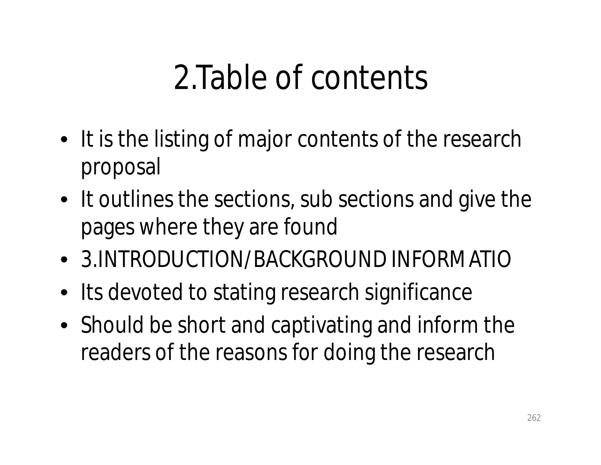### 2.Table of contents

- It is the listing of major contents of the research proposal
- It outlines the sections, sub sections and give the pages where they are found
- 3.INTRODUCTION/BACKGROUND INFORMATIO
- Its devoted to stating research significance
- Should be short and captivating and inform the readers of the reasons for doing the research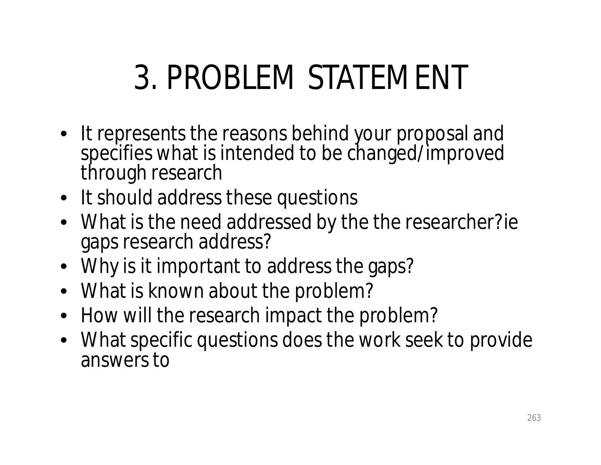# 3. PROBLEM STATEMENT

- It represents the reasons behind your proposal and specifies what is intended to be changed/improved through research
- It should address these questions
- What is the need addressed by the the researcher?ie gaps research address?
- Why is it important to address the gaps?
- What is known about the problem?
- How will the research impact the problem?
- What specific questions does the work seek to provide answers to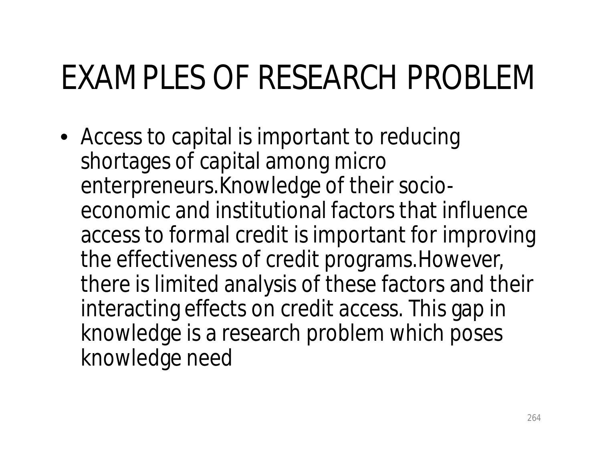# EXAMPLES OF RESEARCH PROBLEM

• Access to capital is important to reducing shortages of capital among micro enterpreneurs.Knowledge of their socioeconomic and institutional factors that influence access to formal credit is important for improving the effectiveness of credit programs.However, there is limited analysis of these factors and their interacting effects on credit access. This gap in knowledge is a research problem which poses knowledge need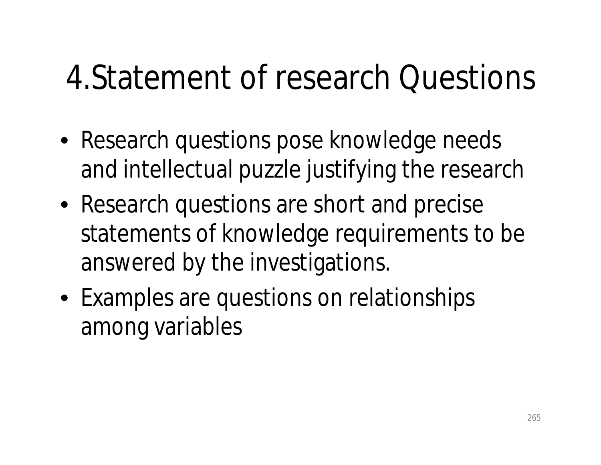#### 4.Statement of research Questions

- Research questions pose knowledge needs and intellectual puzzle justifying the research
- Research questions are short and precise statements of knowledge requirements to be answered by the investigations.
- Examples are questions on relationships among variables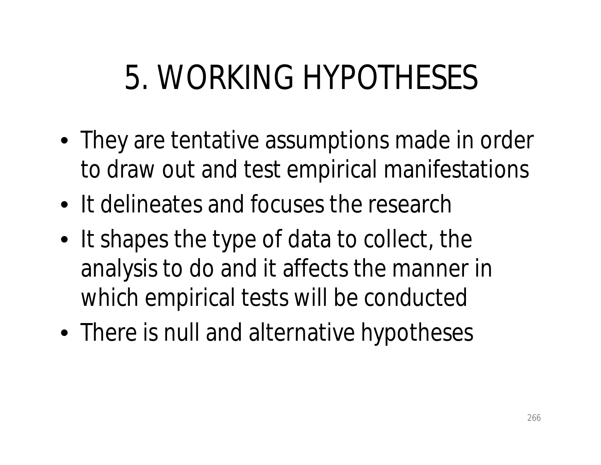## 5. WORKING HYPOTHESES

- They are tentative assumptions made in order to draw out and test empirical manifestations
- It delineates and focuses the research
- It shapes the type of data to collect, the analysis to do and it affects the manner in which empirical tests will be conducted
- There is null and alternative hypotheses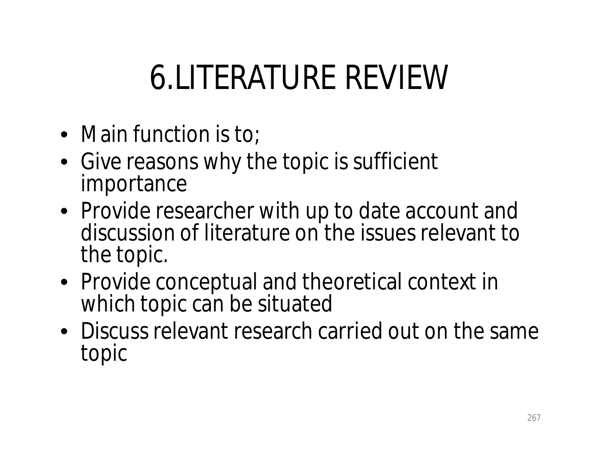# 6.LITERATURE REVIEW

- Main function is to;
- Give reasons why the topic is sufficient importance
- Provide researcher with up to date account and discussion of literature on the issues relevant to the topic.
- Provide conceptual and theoretical context in which topic can be situated
- Discuss relevant research carried out on the same topic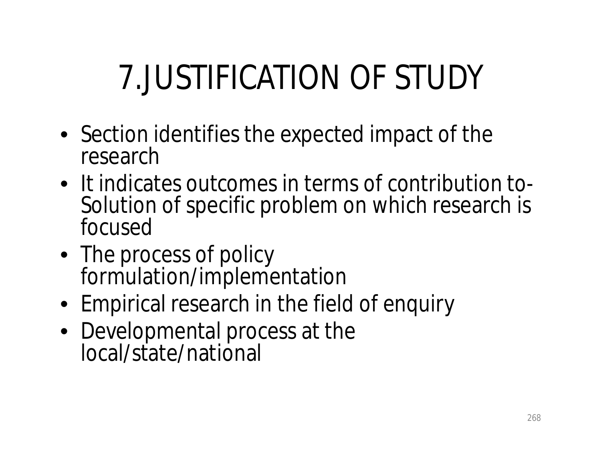# 7.JUSTIFICATION OF STUDY

- Section identifies the expected impact of the research
- It indicates outcomes in terms of contribution to-Solution of specific problem on which research is focused
- The process of policy formulation/implementation
- Empirical research in the field of enquiry
- Developmental process at the local/state/national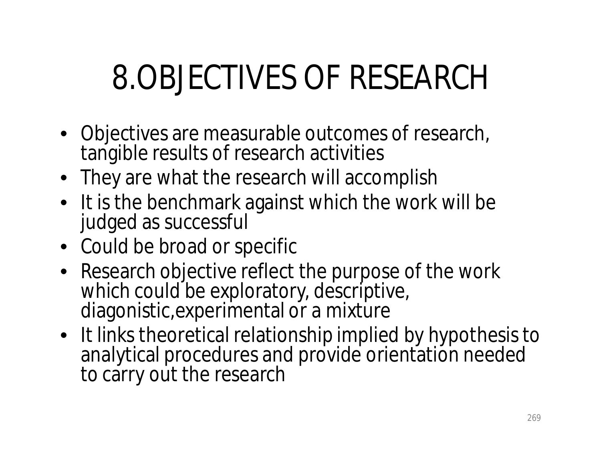# 8.OBJECTIVES OF RESEARCH

- Objectives are measurable outcomes of research, tangible results of research activities
- They are what the research will accomplish
- It is the benchmark against which the work will be judged as successful
- Could be broad or specific
- Research objective reflect the purpose of the work which could be exploratory, descriptive, diagonistic,experimental or a mixture
- It links theoretical relationship implied by hypothesis to analytical procedures and provide orientation needed to carry out the research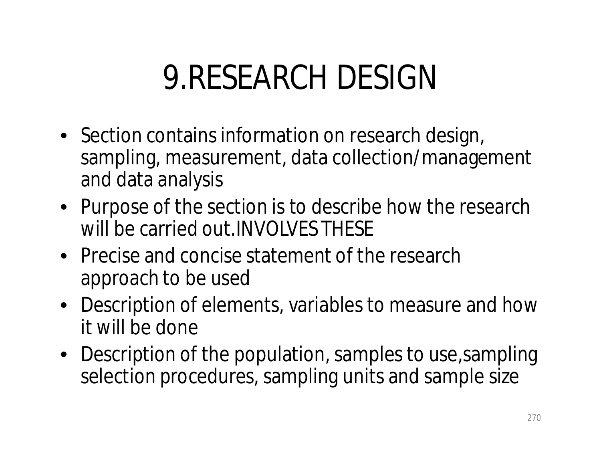### 9.RESEARCH DESIGN

- Section contains information on research design, sampling, measurement, data collection/management and data analysis
- Purpose of the section is to describe how the research will be carried out.INVOLVES THESE
- Precise and concise statement of the research approach to be used
- Description of elements, variables to measure and how it will be done
- Description of the population, samples to use, sampling selection procedures, sampling units and sample size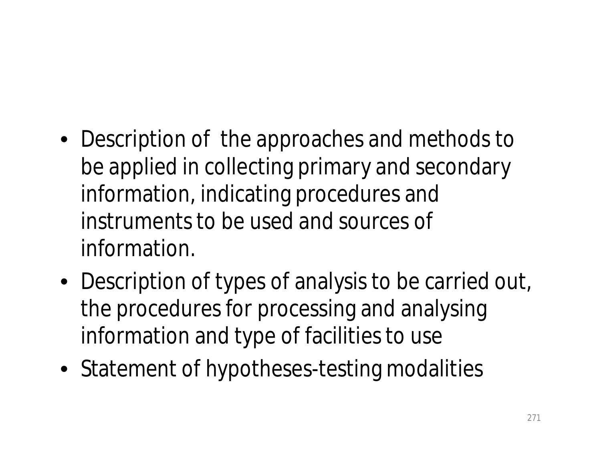- Description of the approaches and methods to be applied in collecting primary and secondary information, indicating procedures and instruments to be used and sources of information.
- Description of types of analysis to be carried out, the procedures for processing and analysing information and type of facilities to use
- Statement of hypotheses-testing modalities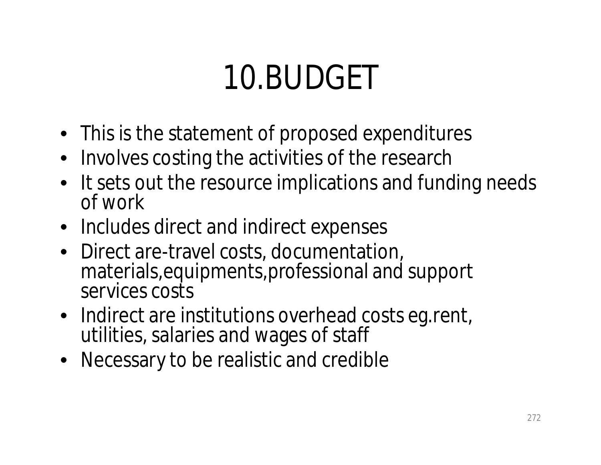## 10.BUDGET

- This is the statement of proposed expenditures
- Involves costing the activities of the research
- It sets out the resource implications and funding needs of work
- Includes direct and indirect expenses
- Direct are-travel costs, documentation, materials,equipments,professional and support services costs
- Indirect are institutions overhead costs eq. rent, utilities, salaries and wages of staff
- Necessary to be realistic and credible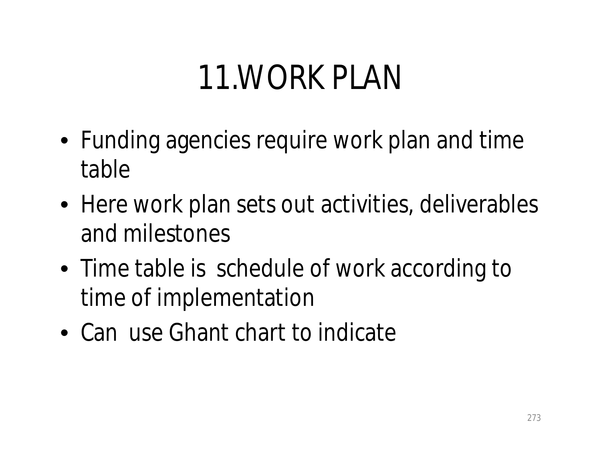## 11.WORK PLAN

- Funding agencies require work plan and time table
- Here work plan sets out activities, deliverables and milestones
- Time table is schedule of work according to time of implementation
- Can use Ghant chart to indicate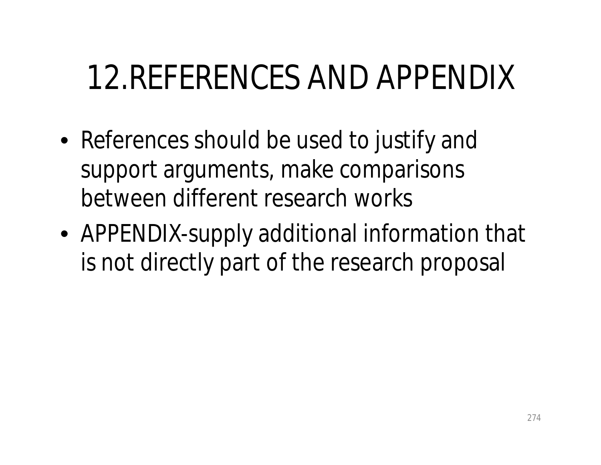## 12.REFERENCES AND APPENDIX

- References should be used to justify and support arguments, make comparisons between different research works
- APPENDIX-supply additional information that is not directly part of the research proposal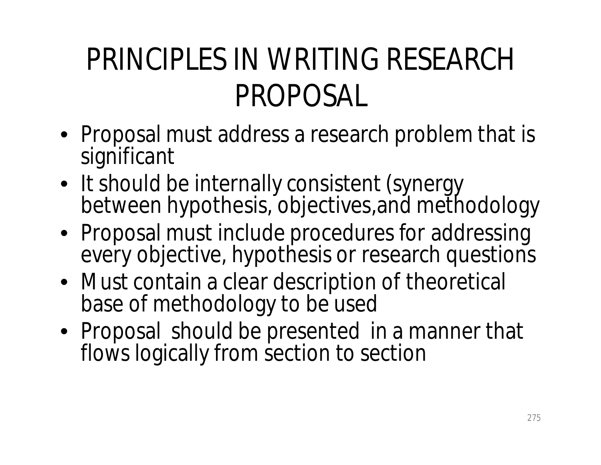#### PRINCIPLES IN WRITING RESEARCH PROPOSAL

- Proposal must address a research problem that is significant
- It should be internally consistent (synergy between hypothesis, objectives,and methodology
- Proposal must include procedures for addressing every objective, hypothesis or research questions
- Must contain a clear description of theoretical base of methodology to be used
- Proposal should be presented in a manner that flows logically from section to section